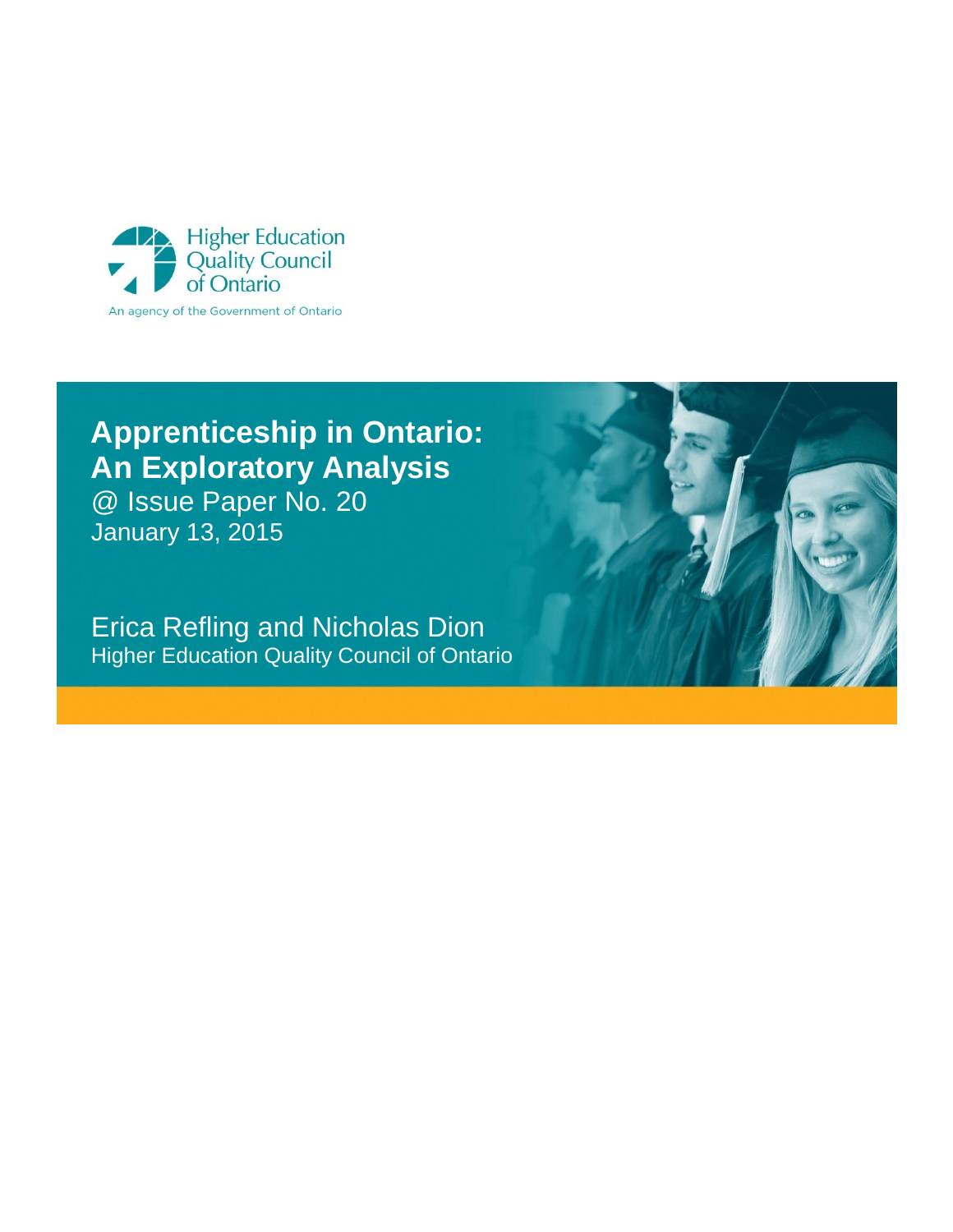

# **Apprenticeship in Ontario: An Exploratory Analysis**

@ Issue Paper No. 20 January 13, 2015

Erica Refling and Nicholas Dion Higher Education Quality Council of Ontario

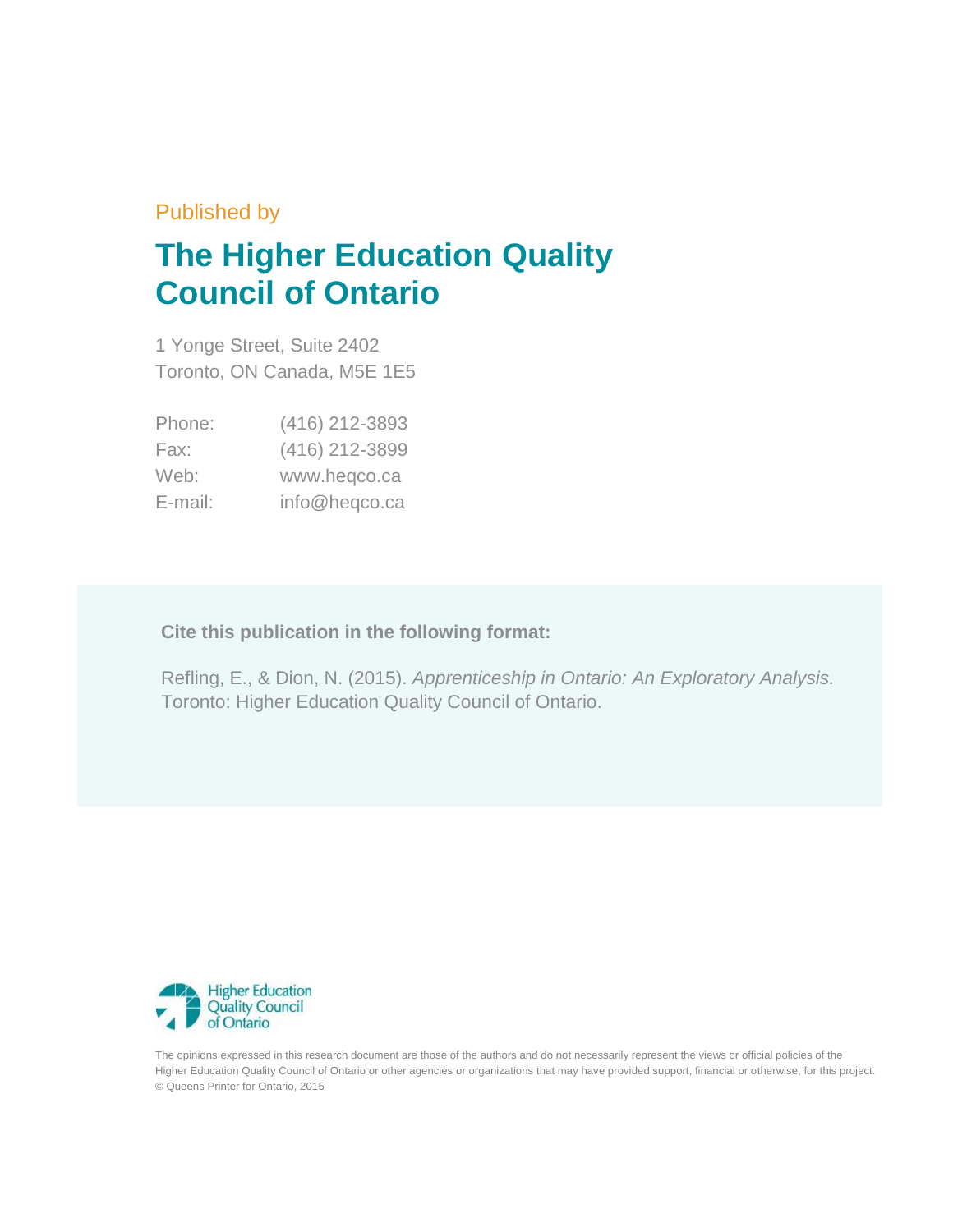# Published by

# **The Higher Education Quality Council of Ontario**

1 Yonge Street, Suite 2402 Toronto, ON Canada, M5E 1E5

| Phone:  | (416) 212-3893 |
|---------|----------------|
| Fax:    | (416) 212-3899 |
| Web:    | www.heqco.ca   |
| E-mail: | info@heqco.ca  |

**Cite this publication in the following format:**

Refling, E., & Dion, N. (2015). *Apprenticeship in Ontario: An Exploratory Analysis.* Toronto: Higher Education Quality Council of Ontario.



The opinions expressed in this research document are those of the authors and do not necessarily represent the views or official policies of the Higher Education Quality Council of Ontario or other agencies or organizations that may have provided support, financial or otherwise, for this project. © Queens Printer for Ontario, 2015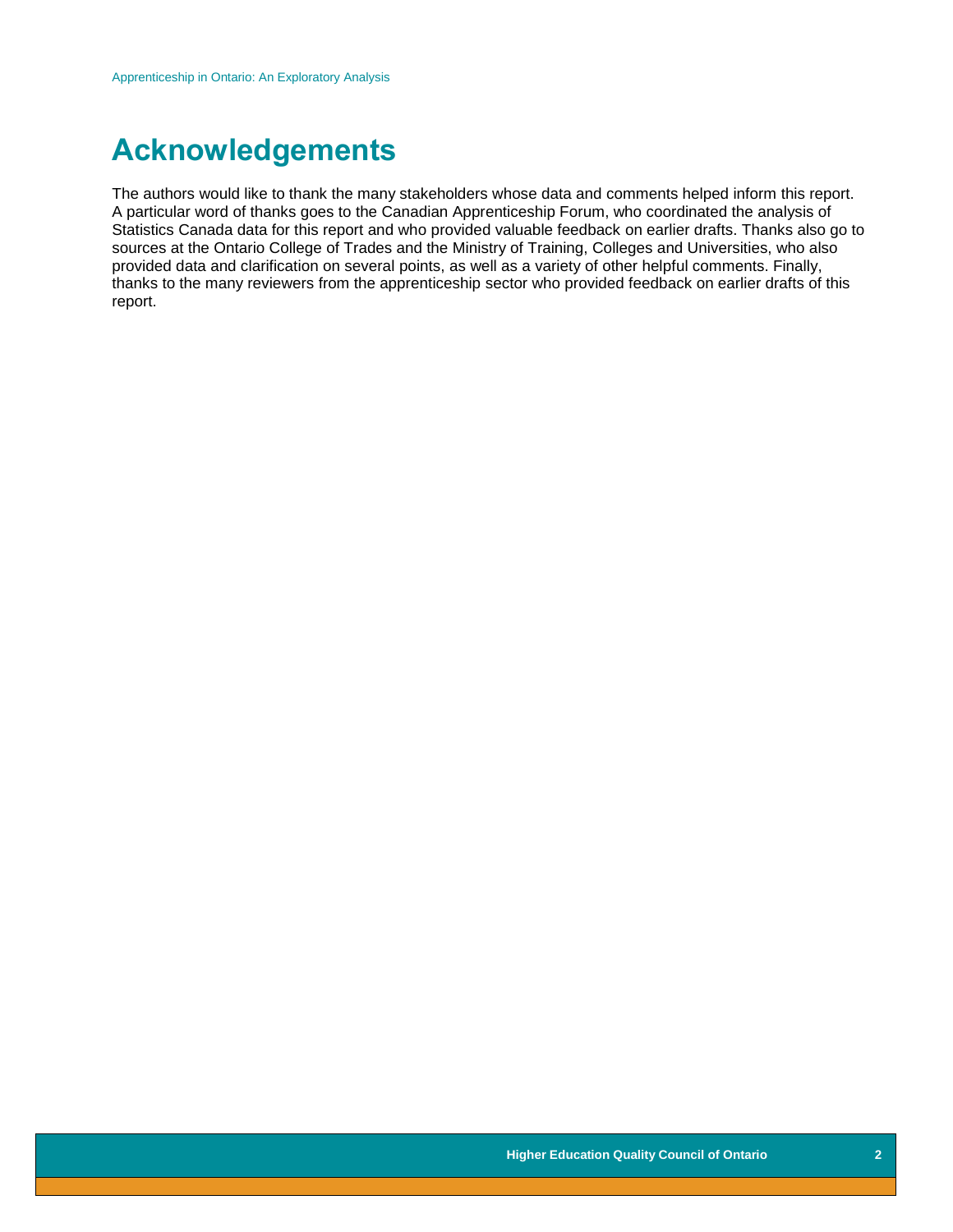# **Acknowledgements**

The authors would like to thank the many stakeholders whose data and comments helped inform this report. A particular word of thanks goes to the Canadian Apprenticeship Forum, who coordinated the analysis of Statistics Canada data for this report and who provided valuable feedback on earlier drafts. Thanks also go to sources at the Ontario College of Trades and the Ministry of Training, Colleges and Universities, who also provided data and clarification on several points, as well as a variety of other helpful comments. Finally, thanks to the many reviewers from the apprenticeship sector who provided feedback on earlier drafts of this report.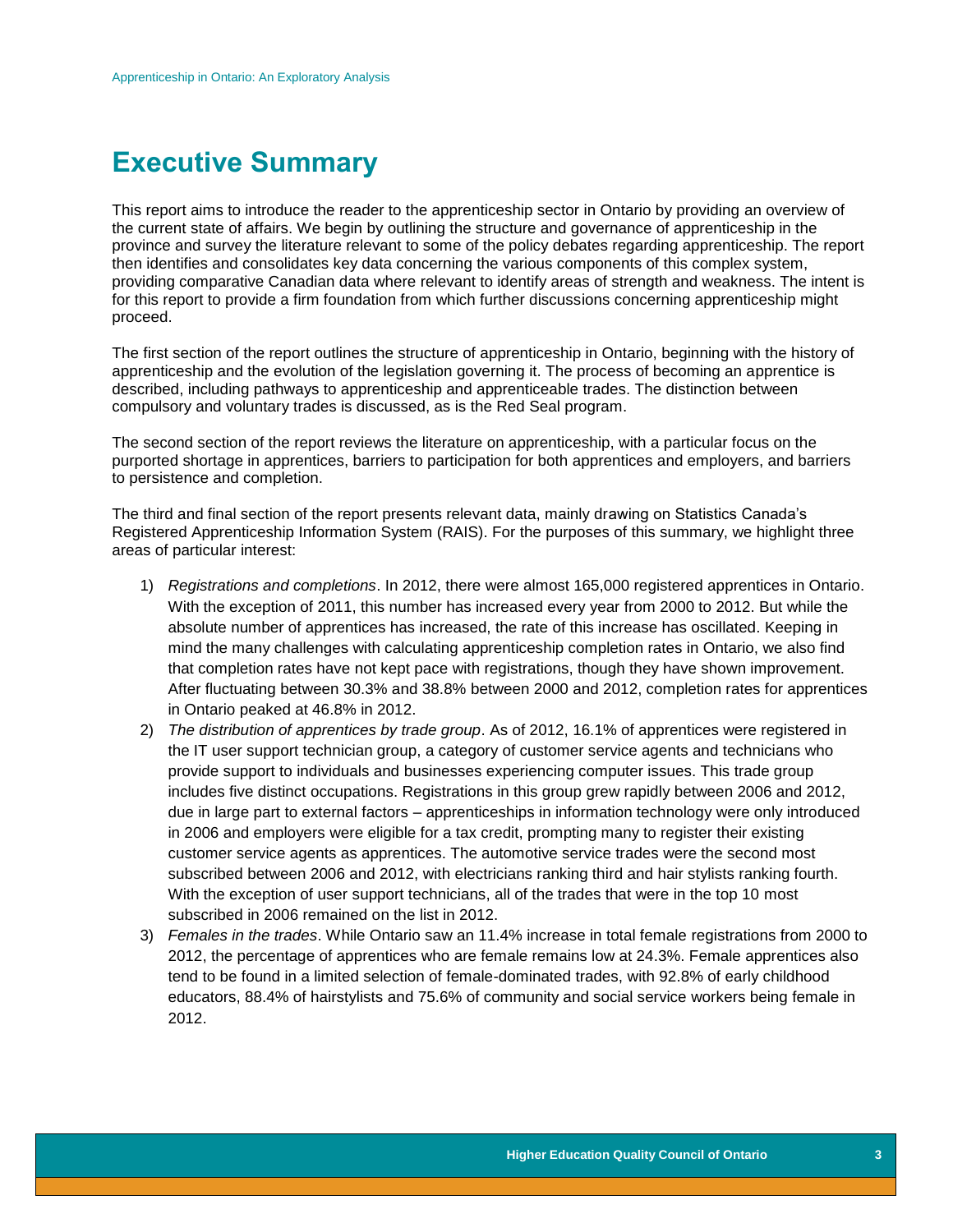# **Executive Summary**

This report aims to introduce the reader to the apprenticeship sector in Ontario by providing an overview of the current state of affairs. We begin by outlining the structure and governance of apprenticeship in the province and survey the literature relevant to some of the policy debates regarding apprenticeship. The report then identifies and consolidates key data concerning the various components of this complex system, providing comparative Canadian data where relevant to identify areas of strength and weakness. The intent is for this report to provide a firm foundation from which further discussions concerning apprenticeship might proceed.

The first section of the report outlines the structure of apprenticeship in Ontario, beginning with the history of apprenticeship and the evolution of the legislation governing it. The process of becoming an apprentice is described, including pathways to apprenticeship and apprenticeable trades. The distinction between compulsory and voluntary trades is discussed, as is the Red Seal program.

The second section of the report reviews the literature on apprenticeship, with a particular focus on the purported shortage in apprentices, barriers to participation for both apprentices and employers, and barriers to persistence and completion.

The third and final section of the report presents relevant data, mainly drawing on Statistics Canada's Registered Apprenticeship Information System (RAIS). For the purposes of this summary, we highlight three areas of particular interest:

- 1) *Registrations and completions*. In 2012, there were almost 165,000 registered apprentices in Ontario. With the exception of 2011, this number has increased every year from 2000 to 2012. But while the absolute number of apprentices has increased, the rate of this increase has oscillated. Keeping in mind the many challenges with calculating apprenticeship completion rates in Ontario, we also find that completion rates have not kept pace with registrations, though they have shown improvement. After fluctuating between 30.3% and 38.8% between 2000 and 2012, completion rates for apprentices in Ontario peaked at 46.8% in 2012.
- 2) *The distribution of apprentices by trade group*. As of 2012, 16.1% of apprentices were registered in the IT user support technician group, a category of customer service agents and technicians who provide support to individuals and businesses experiencing computer issues. This trade group includes five distinct occupations. Registrations in this group grew rapidly between 2006 and 2012, due in large part to external factors – apprenticeships in information technology were only introduced in 2006 and employers were eligible for a tax credit, prompting many to register their existing customer service agents as apprentices. The automotive service trades were the second most subscribed between 2006 and 2012, with electricians ranking third and hair stylists ranking fourth. With the exception of user support technicians, all of the trades that were in the top 10 most subscribed in 2006 remained on the list in 2012.
- 3) *Females in the trades*. While Ontario saw an 11.4% increase in total female registrations from 2000 to 2012, the percentage of apprentices who are female remains low at 24.3%. Female apprentices also tend to be found in a limited selection of female-dominated trades, with 92.8% of early childhood educators, 88.4% of hairstylists and 75.6% of community and social service workers being female in 2012.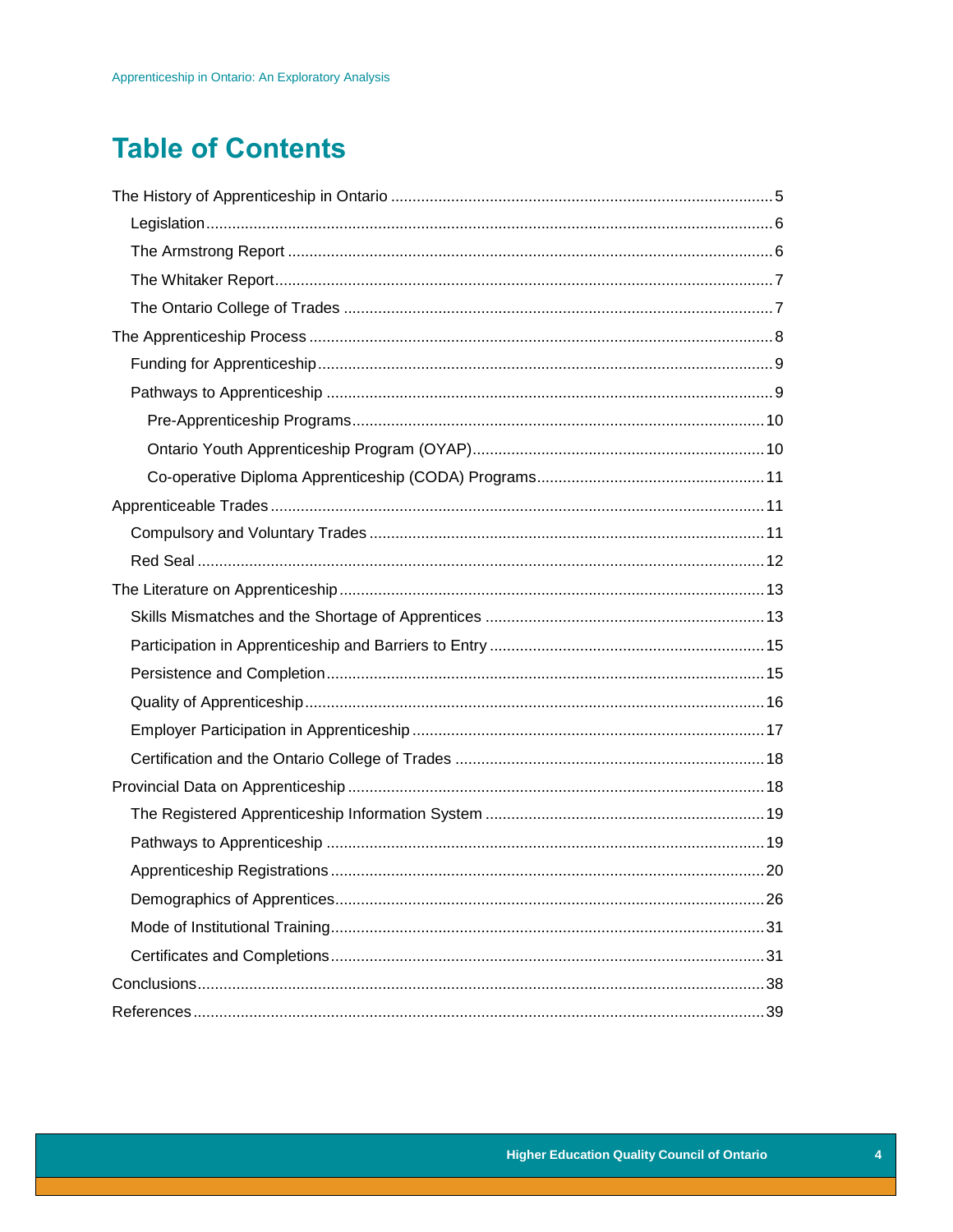# **Table of Contents**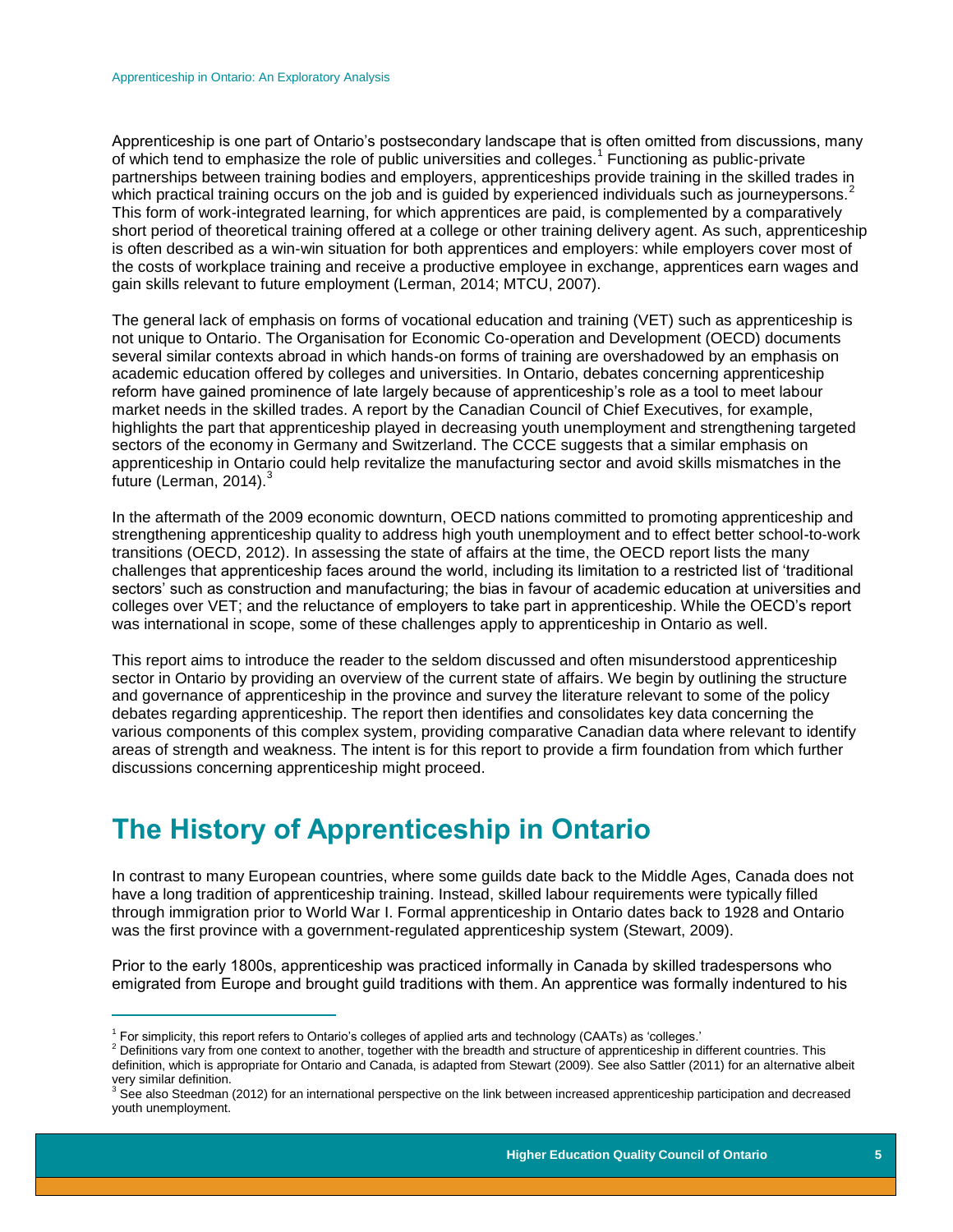Apprenticeship is one part of Ontario's postsecondary landscape that is often omitted from discussions, many of which tend to emphasize the role of public universities and colleges.<sup>1</sup> Functioning as public-private partnerships between training bodies and employers, apprenticeships provide training in the skilled trades in which practical training occurs on the job and is guided by experienced individuals such as journeypersons.<sup>2</sup> This form of work-integrated learning, for which apprentices are paid, is complemented by a comparatively short period of theoretical training offered at a college or other training delivery agent. As such, apprenticeship is often described as a win-win situation for both apprentices and employers: while employers cover most of the costs of workplace training and receive a productive employee in exchange, apprentices earn wages and gain skills relevant to future employment (Lerman, 2014; MTCU, 2007).

The general lack of emphasis on forms of vocational education and training (VET) such as apprenticeship is not unique to Ontario. The Organisation for Economic Co-operation and Development (OECD) documents several similar contexts abroad in which hands-on forms of training are overshadowed by an emphasis on academic education offered by colleges and universities. In Ontario, debates concerning apprenticeship reform have gained prominence of late largely because of apprenticeship's role as a tool to meet labour market needs in the skilled trades. A report by the Canadian Council of Chief Executives, for example, highlights the part that apprenticeship played in decreasing youth unemployment and strengthening targeted sectors of the economy in Germany and Switzerland. The CCCE suggests that a similar emphasis on apprenticeship in Ontario could help revitalize the manufacturing sector and avoid skills mismatches in the future (Lerman,  $2014$ ).<sup>3</sup>

In the aftermath of the 2009 economic downturn, OECD nations committed to promoting apprenticeship and strengthening apprenticeship quality to address high youth unemployment and to effect better school-to-work transitions (OECD, 2012). In assessing the state of affairs at the time, the OECD report lists the many challenges that apprenticeship faces around the world, including its limitation to a restricted list of 'traditional sectors' such as construction and manufacturing; the bias in favour of academic education at universities and colleges over VET; and the reluctance of employers to take part in apprenticeship. While the OECD's report was international in scope, some of these challenges apply to apprenticeship in Ontario as well.

This report aims to introduce the reader to the seldom discussed and often misunderstood apprenticeship sector in Ontario by providing an overview of the current state of affairs. We begin by outlining the structure and governance of apprenticeship in the province and survey the literature relevant to some of the policy debates regarding apprenticeship. The report then identifies and consolidates key data concerning the various components of this complex system, providing comparative Canadian data where relevant to identify areas of strength and weakness. The intent is for this report to provide a firm foundation from which further discussions concerning apprenticeship might proceed.

# <span id="page-5-0"></span>**The History of Apprenticeship in Ontario**

In contrast to many European countries, where some guilds date back to the Middle Ages, Canada does not have a long tradition of apprenticeship training. Instead, skilled labour requirements were typically filled through immigration prior to World War I. Formal apprenticeship in Ontario dates back to 1928 and Ontario was the first province with a government-regulated apprenticeship system (Stewart, 2009).

Prior to the early 1800s, apprenticeship was practiced informally in Canada by skilled tradespersons who emigrated from Europe and brought guild traditions with them. An apprentice was formally indentured to his

 $\overline{a}$ 

<sup>1</sup> For simplicity, this report refers to Ontario's colleges of applied arts and technology (CAATs) as 'colleges.'

<sup>&</sup>lt;sup>2</sup> Definitions vary from one context to another, together with the breadth and structure of apprenticeship in different countries. This definition, which is appropriate for Ontario and Canada, is adapted from Stewart (2009). See also Sattler (2011) for an alternative albeit very similar definition.

 $3$  See also Steedman (2012) for an international perspective on the link between increased apprenticeship participation and decreased youth unemployment.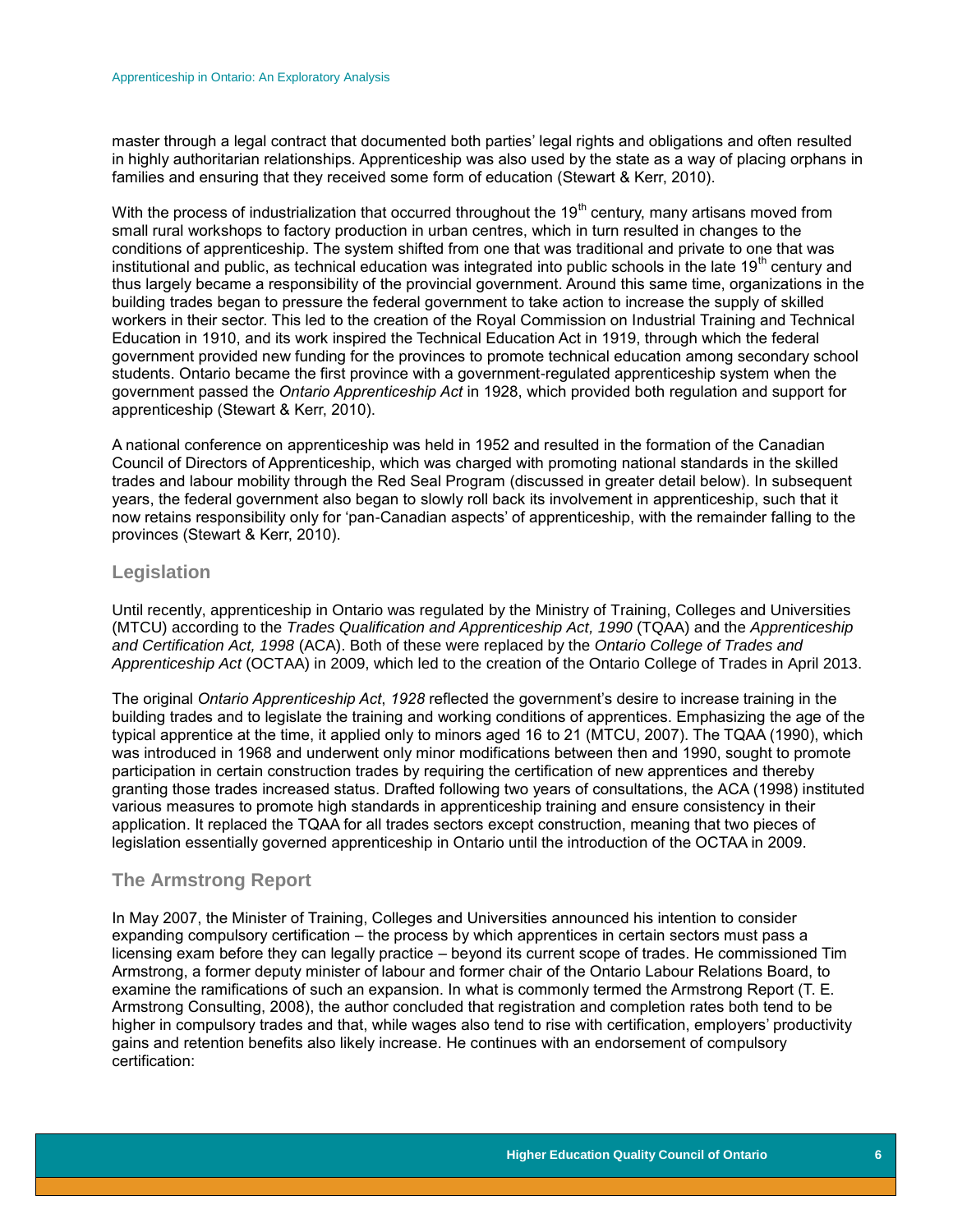master through a legal contract that documented both parties' legal rights and obligations and often resulted in highly authoritarian relationships. Apprenticeship was also used by the state as a way of placing orphans in families and ensuring that they received some form of education (Stewart & Kerr, 2010).

With the process of industrialization that occurred throughout the 19<sup>th</sup> century, many artisans moved from small rural workshops to factory production in urban centres, which in turn resulted in changes to the conditions of apprenticeship. The system shifted from one that was traditional and private to one that was institutional and public, as technical education was integrated into public schools in the late  $19<sup>th</sup>$  century and thus largely became a responsibility of the provincial government. Around this same time, organizations in the building trades began to pressure the federal government to take action to increase the supply of skilled workers in their sector. This led to the creation of the Royal Commission on Industrial Training and Technical Education in 1910, and its work inspired the Technical Education Act in 1919, through which the federal government provided new funding for the provinces to promote technical education among secondary school students. Ontario became the first province with a government-regulated apprenticeship system when the government passed the *Ontario Apprenticeship Act* in 1928, which provided both regulation and support for apprenticeship (Stewart & Kerr, 2010).

A national conference on apprenticeship was held in 1952 and resulted in the formation of the Canadian Council of Directors of Apprenticeship, which was charged with promoting national standards in the skilled trades and labour mobility through the Red Seal Program (discussed in greater detail below). In subsequent years, the federal government also began to slowly roll back its involvement in apprenticeship, such that it now retains responsibility only for 'pan-Canadian aspects' of apprenticeship, with the remainder falling to the provinces (Stewart & Kerr, 2010).

#### <span id="page-6-0"></span>**Legislation**

Until recently, apprenticeship in Ontario was regulated by the Ministry of Training, Colleges and Universities (MTCU) according to the *Trades Qualification and Apprenticeship Act, 1990* (TQAA) and the *Apprenticeship and Certification Act, 1998* (ACA). Both of these were replaced by the *Ontario College of Trades and Apprenticeship Act* (OCTAA) in 2009, which led to the creation of the Ontario College of Trades in April 2013.

The original *Ontario Apprenticeship Act*, *1928* reflected the government's desire to increase training in the building trades and to legislate the training and working conditions of apprentices. Emphasizing the age of the typical apprentice at the time, it applied only to minors aged 16 to 21 (MTCU, 2007). The TQAA (1990), which was introduced in 1968 and underwent only minor modifications between then and 1990, sought to promote participation in certain construction trades by requiring the certification of new apprentices and thereby granting those trades increased status. Drafted following two years of consultations, the ACA (1998) instituted various measures to promote high standards in apprenticeship training and ensure consistency in their application. It replaced the TQAA for all trades sectors except construction, meaning that two pieces of legislation essentially governed apprenticeship in Ontario until the introduction of the OCTAA in 2009.

#### <span id="page-6-1"></span>**The Armstrong Report**

In May 2007, the Minister of Training, Colleges and Universities announced his intention to consider expanding compulsory certification – the process by which apprentices in certain sectors must pass a licensing exam before they can legally practice – beyond its current scope of trades. He commissioned Tim Armstrong, a former deputy minister of labour and former chair of the Ontario Labour Relations Board, to examine the ramifications of such an expansion. In what is commonly termed the Armstrong Report (T. E. Armstrong Consulting, 2008), the author concluded that registration and completion rates both tend to be higher in compulsory trades and that, while wages also tend to rise with certification, employers' productivity gains and retention benefits also likely increase. He continues with an endorsement of compulsory certification: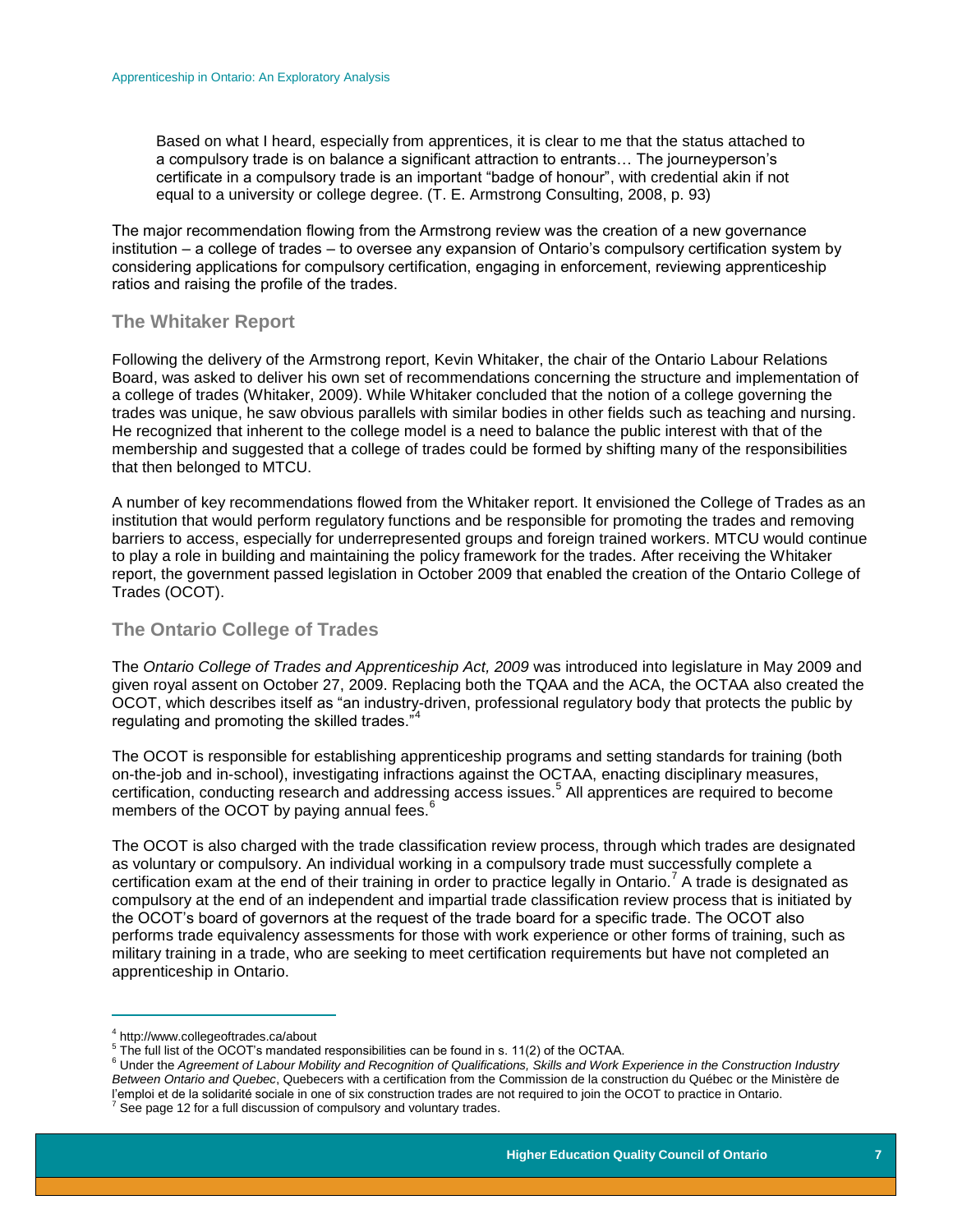Based on what I heard, especially from apprentices, it is clear to me that the status attached to a compulsory trade is on balance a significant attraction to entrants… The journeyperson's certificate in a compulsory trade is an important "badge of honour", with credential akin if not equal to a university or college degree. (T. E. Armstrong Consulting, 2008, p. 93)

The major recommendation flowing from the Armstrong review was the creation of a new governance institution – a college of trades – to oversee any expansion of Ontario's compulsory certification system by considering applications for compulsory certification, engaging in enforcement, reviewing apprenticeship ratios and raising the profile of the trades.

#### <span id="page-7-0"></span>**The Whitaker Report**

Following the delivery of the Armstrong report, Kevin Whitaker, the chair of the Ontario Labour Relations Board, was asked to deliver his own set of recommendations concerning the structure and implementation of a college of trades (Whitaker, 2009). While Whitaker concluded that the notion of a college governing the trades was unique, he saw obvious parallels with similar bodies in other fields such as teaching and nursing. He recognized that inherent to the college model is a need to balance the public interest with that of the membership and suggested that a college of trades could be formed by shifting many of the responsibilities that then belonged to MTCU.

A number of key recommendations flowed from the Whitaker report. It envisioned the College of Trades as an institution that would perform regulatory functions and be responsible for promoting the trades and removing barriers to access, especially for underrepresented groups and foreign trained workers. MTCU would continue to play a role in building and maintaining the policy framework for the trades. After receiving the Whitaker report, the government passed legislation in October 2009 that enabled the creation of the Ontario College of Trades (OCOT).

## <span id="page-7-1"></span>**The Ontario College of Trades**

The *Ontario College of Trades and Apprenticeship Act, 2009* was introduced into legislature in May 2009 and given royal assent on October 27, 2009. Replacing both the TQAA and the ACA, the OCTAA also created the OCOT, which describes itself as "an industry-driven, professional regulatory body that protects the public by regulating and promoting the skilled trades."

The OCOT is responsible for establishing apprenticeship programs and setting standards for training (both on-the-job and in-school), investigating infractions against the OCTAA, enacting disciplinary measures, certification, conducting research and addressing access issues.<sup>5</sup> All apprentices are required to become members of the OCOT by paying annual fees.<sup>6</sup>

The OCOT is also charged with the trade classification review process, through which trades are designated as voluntary or compulsory. An individual working in a compulsory trade must successfully complete a certification exam at the end of their training in order to practice legally in Ontario.<sup>7</sup> A trade is designated as compulsory at the end of an independent and impartial trade classification review process that is initiated by the OCOT's board of governors at the request of the trade board for a specific trade. The OCOT also performs trade equivalency assessments for those with work experience or other forms of training, such as military training in a trade, who are seeking to meet certification requirements but have not completed an apprenticeship in Ontario.

 $\overline{a}$ 

<sup>4</sup> http://www.collegeoftrades.ca/about

 $5$  The full list of the OCOT's mandated responsibilities can be found in s. 11(2) of the OCTAA.

<sup>6</sup> Under the *Agreement of Labour Mobility and Recognition of Qualifications, Skills and Work Experience in the Construction Industry Between Ontario and Quebec*, Quebecers with a certification from the Commission de la construction du Québec or the Ministère de l'emploi et de la solidarité sociale in one of six construction trades are not required to join the OCOT to practice in Ontario.  $7$  See page 12 for a full discussion of compulsory and voluntary trades.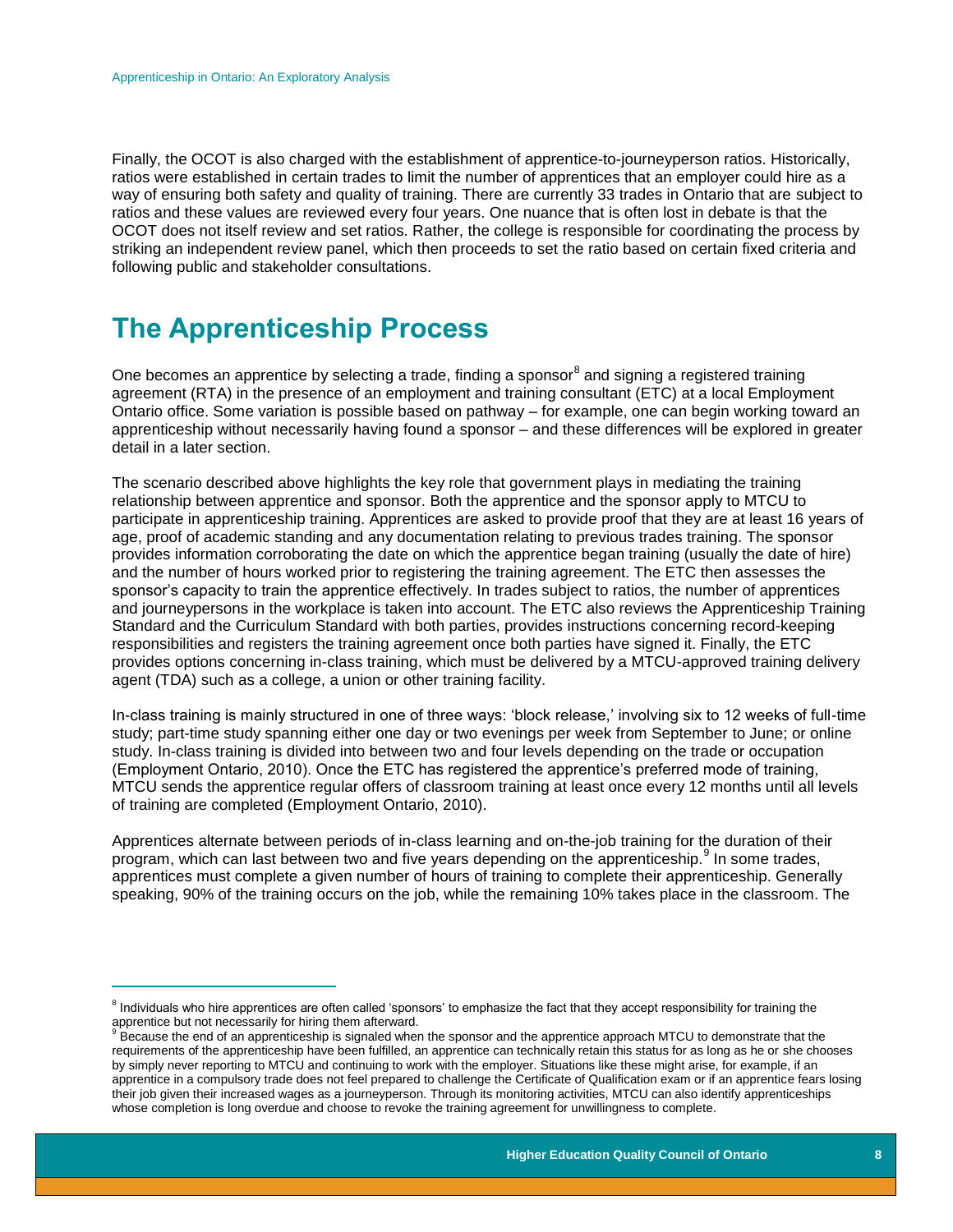Finally, the OCOT is also charged with the establishment of apprentice-to-journeyperson ratios. Historically, ratios were established in certain trades to limit the number of apprentices that an employer could hire as a way of ensuring both safety and quality of training. There are currently 33 trades in Ontario that are subject to ratios and these values are reviewed every four years. One nuance that is often lost in debate is that the OCOT does not itself review and set ratios. Rather, the college is responsible for coordinating the process by striking an independent review panel, which then proceeds to set the ratio based on certain fixed criteria and following public and stakeholder consultations.

# <span id="page-8-0"></span>**The Apprenticeship Process**

 $\overline{a}$ 

One becomes an apprentice by selecting a trade, finding a sponsor $^8$  and signing a registered training agreement (RTA) in the presence of an employment and training consultant (ETC) at a local Employment Ontario office. Some variation is possible based on pathway – for example, one can begin working toward an apprenticeship without necessarily having found a sponsor – and these differences will be explored in greater detail in a later section.

The scenario described above highlights the key role that government plays in mediating the training relationship between apprentice and sponsor. Both the apprentice and the sponsor apply to MTCU to participate in apprenticeship training. Apprentices are asked to provide proof that they are at least 16 years of age, proof of academic standing and any documentation relating to previous trades training. The sponsor provides information corroborating the date on which the apprentice began training (usually the date of hire) and the number of hours worked prior to registering the training agreement. The ETC then assesses the sponsor's capacity to train the apprentice effectively. In trades subject to ratios, the number of apprentices and journeypersons in the workplace is taken into account. The ETC also reviews the Apprenticeship Training Standard and the Curriculum Standard with both parties, provides instructions concerning record-keeping responsibilities and registers the training agreement once both parties have signed it. Finally, the ETC provides options concerning in-class training, which must be delivered by a MTCU-approved training delivery agent (TDA) such as a college, a union or other training facility.

In-class training is mainly structured in one of three ways: 'block release,' involving six to 12 weeks of full-time study; part-time study spanning either one day or two evenings per week from September to June; or online study. In-class training is divided into between two and four levels depending on the trade or occupation (Employment Ontario, 2010). Once the ETC has registered the apprentice's preferred mode of training, MTCU sends the apprentice regular offers of classroom training at least once every 12 months until all levels of training are completed (Employment Ontario, 2010).

Apprentices alternate between periods of in-class learning and on-the-job training for the duration of their program, which can last between two and five years depending on the apprenticeship.<sup>9</sup> In some trades, apprentices must complete a given number of hours of training to complete their apprenticeship. Generally speaking, 90% of the training occurs on the job, while the remaining 10% takes place in the classroom. The

<sup>&</sup>lt;sup>8</sup> Individuals who hire apprentices are often called 'sponsors' to emphasize the fact that they accept responsibility for training the apprentice but not necessarily for hiring them afterward.

Because the end of an apprenticeship is signaled when the sponsor and the apprentice approach MTCU to demonstrate that the requirements of the apprenticeship have been fulfilled, an apprentice can technically retain this status for as long as he or she chooses by simply never reporting to MTCU and continuing to work with the employer. Situations like these might arise, for example, if an apprentice in a compulsory trade does not feel prepared to challenge the Certificate of Qualification exam or if an apprentice fears losing their job given their increased wages as a journeyperson. Through its monitoring activities, MTCU can also identify apprenticeships whose completion is long overdue and choose to revoke the training agreement for unwillingness to complete.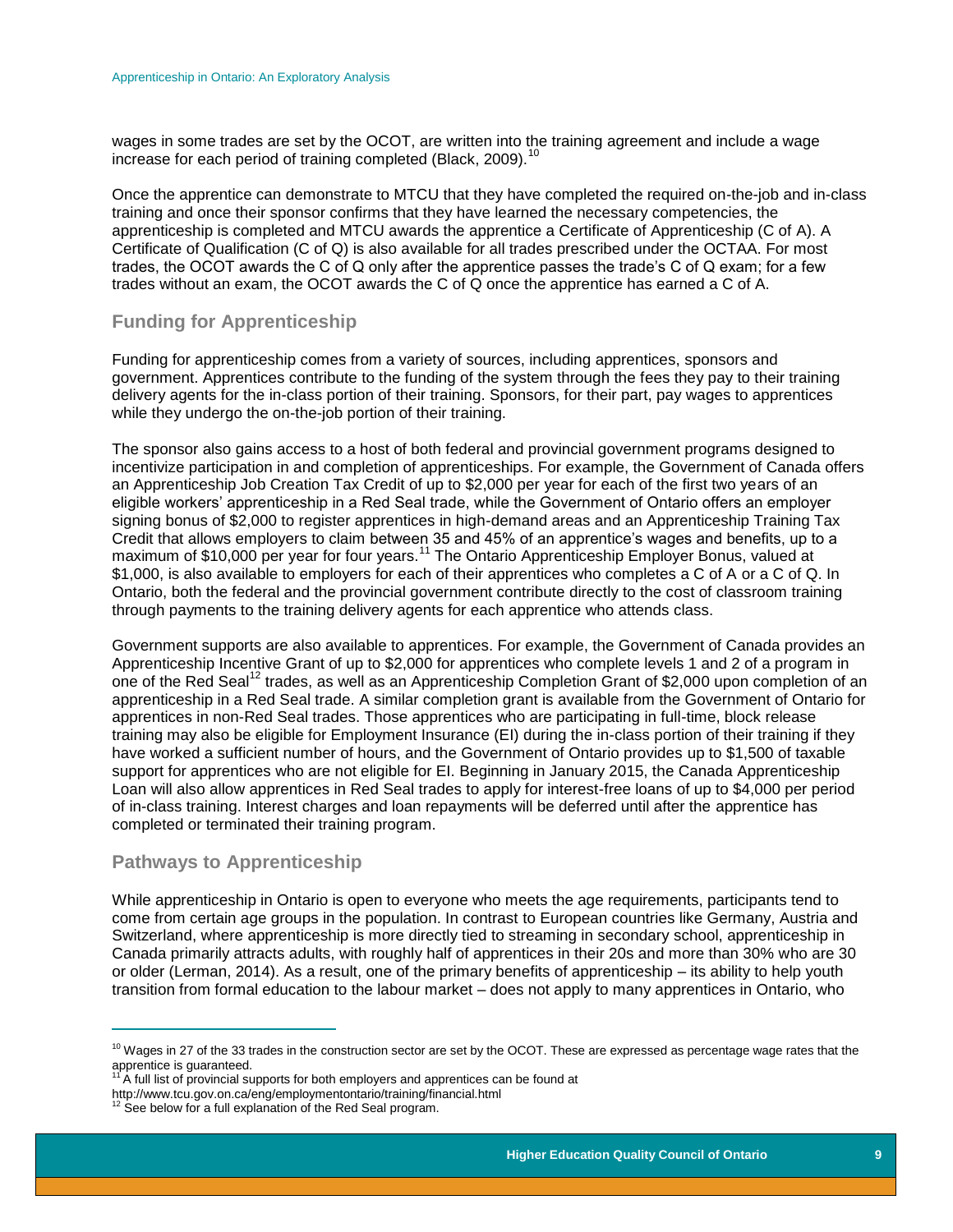wages in some trades are set by the OCOT, are written into the training agreement and include a wage increase for each period of training completed (Black, 2009).<sup>10</sup>

Once the apprentice can demonstrate to MTCU that they have completed the required on-the-job and in-class training and once their sponsor confirms that they have learned the necessary competencies, the apprenticeship is completed and MTCU awards the apprentice a Certificate of Apprenticeship (C of A). A Certificate of Qualification (C of Q) is also available for all trades prescribed under the OCTAA. For most trades, the OCOT awards the C of Q only after the apprentice passes the trade's C of Q exam; for a few trades without an exam, the OCOT awards the C of Q once the apprentice has earned a C of A.

### <span id="page-9-0"></span>**Funding for Apprenticeship**

Funding for apprenticeship comes from a variety of sources, including apprentices, sponsors and government. Apprentices contribute to the funding of the system through the fees they pay to their training delivery agents for the in-class portion of their training. Sponsors, for their part, pay wages to apprentices while they undergo the on-the-job portion of their training.

The sponsor also gains access to a host of both federal and provincial government programs designed to incentivize participation in and completion of apprenticeships. For example, the Government of Canada offers an Apprenticeship Job Creation Tax Credit of up to \$2,000 per year for each of the first two years of an eligible workers' apprenticeship in a Red Seal trade, while the Government of Ontario offers an employer signing bonus of \$2,000 to register apprentices in high-demand areas and an Apprenticeship Training Tax Credit that allows employers to claim between 35 and 45% of an apprentice's wages and benefits, up to a maximum of \$10,000 per year for four years.<sup>11</sup> The Ontario Apprenticeship Employer Bonus, valued at \$1,000, is also available to employers for each of their apprentices who completes a C of A or a C of Q. In Ontario, both the federal and the provincial government contribute directly to the cost of classroom training through payments to the training delivery agents for each apprentice who attends class.

Government supports are also available to apprentices. For example, the Government of Canada provides an Apprenticeship Incentive Grant of up to \$2,000 for apprentices who complete levels 1 and 2 of a program in one of the Red Seal<sup>12</sup> trades, as well as an Apprenticeship Completion Grant of \$2,000 upon completion of an apprenticeship in a Red Seal trade. A similar completion grant is available from the Government of Ontario for apprentices in non-Red Seal trades. Those apprentices who are participating in full-time, block release training may also be eligible for Employment Insurance (EI) during the in-class portion of their training if they have worked a sufficient number of hours, and the Government of Ontario provides up to \$1,500 of taxable support for apprentices who are not eligible for EI. Beginning in January 2015, the Canada Apprenticeship Loan will also allow apprentices in Red Seal trades to apply for interest-free loans of up to \$4,000 per period of in-class training. Interest charges and loan repayments will be deferred until after the apprentice has completed or terminated their training program.

#### <span id="page-9-1"></span>**Pathways to Apprenticeship**

While apprenticeship in Ontario is open to everyone who meets the age requirements, participants tend to come from certain age groups in the population. In contrast to European countries like Germany, Austria and Switzerland, where apprenticeship is more directly tied to streaming in secondary school, apprenticeship in Canada primarily attracts adults, with roughly half of apprentices in their 20s and more than 30% who are 30 or older (Lerman, 2014). As a result, one of the primary benefits of apprenticeship – its ability to help youth transition from formal education to the labour market – does not apply to many apprentices in Ontario, who

 $\overline{a}$  $10$  Wages in 27 of the 33 trades in the construction sector are set by the OCOT. These are expressed as percentage wage rates that the apprentice is guaranteed.

 $A$  full list of provincial supports for both employers and apprentices can be found at

http://www.tcu.gov.on.ca/eng/employmentontario/training/financial.html<br><sup>12</sup> See below for a full explanation of the Red Seal program.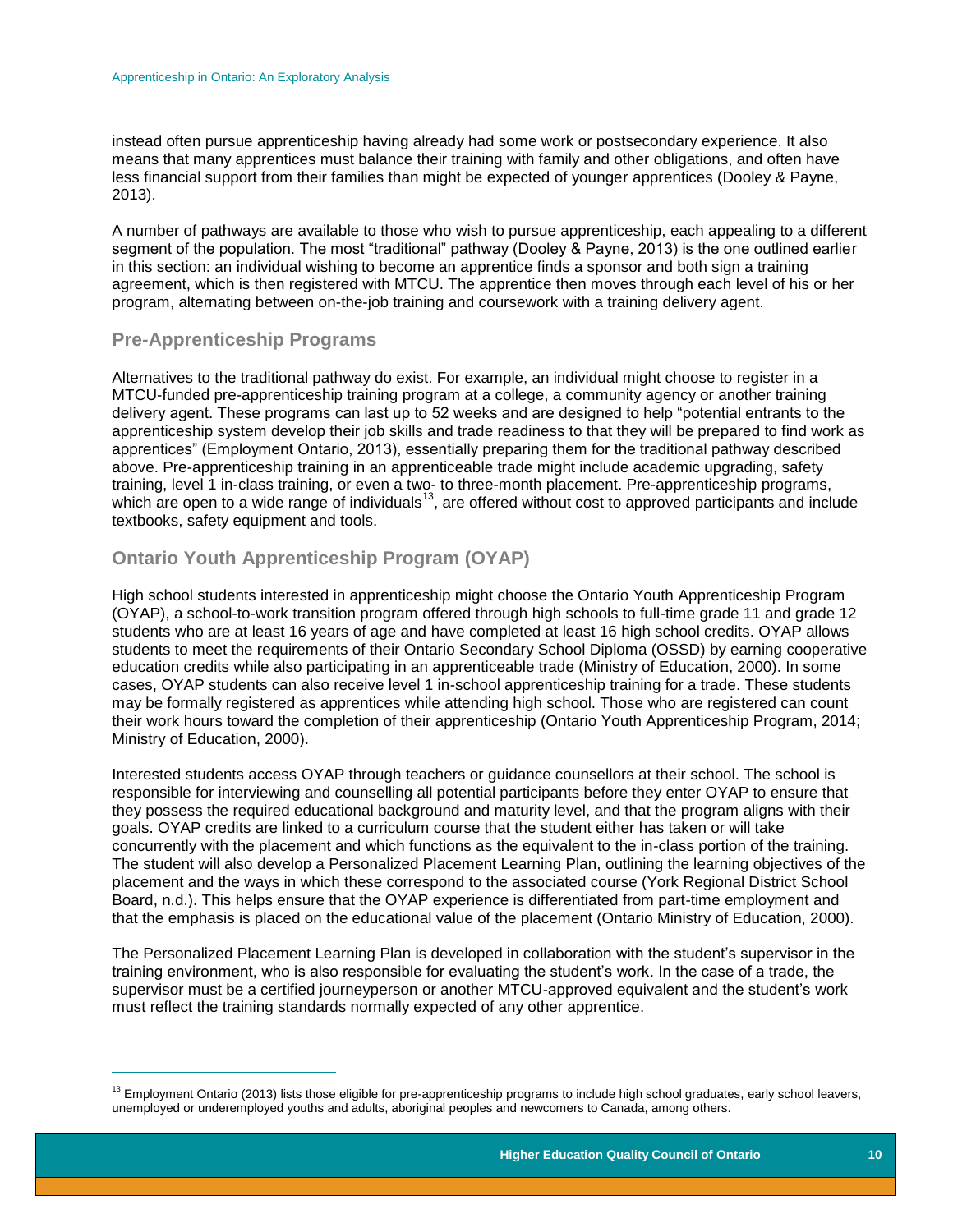instead often pursue apprenticeship having already had some work or postsecondary experience. It also means that many apprentices must balance their training with family and other obligations, and often have less financial support from their families than might be expected of younger apprentices (Dooley & Payne, 2013).

A number of pathways are available to those who wish to pursue apprenticeship, each appealing to a different segment of the population. The most "traditional" pathway (Dooley & Payne, 2013) is the one outlined earlier in this section: an individual wishing to become an apprentice finds a sponsor and both sign a training agreement, which is then registered with MTCU. The apprentice then moves through each level of his or her program, alternating between on-the-job training and coursework with a training delivery agent.

### <span id="page-10-0"></span>**Pre-Apprenticeship Programs**

<span id="page-10-2"></span> $\overline{a}$ 

Alternatives to the traditional pathway do exist. For example, an individual might choose to register in a MTCU-funded pre-apprenticeship training program at a college, a community agency or another training delivery agent. These programs can last up to 52 weeks and are designed to help "potential entrants to the apprenticeship system develop their job skills and trade readiness to that they will be prepared to find work as apprentices" (Employment Ontario, 2013), essentially preparing them for the traditional pathway described above. Pre-apprenticeship training in an apprenticeable trade might include academic upgrading, safety training, level 1 in-class training, or even a two- to three-month placement. Pre-apprenticeship programs, which are open to a wide range of individuals<sup>13</sup>, are offered without cost to approved participants and include without are open to a wide range of individuals<sup>13</sup>, are offered without cost to approved participants and in textbooks, safety equipment and tools.

## <span id="page-10-1"></span>**Ontario Youth Apprenticeship Program (OYAP)**

High school students interested in apprenticeship might choose the Ontario Youth Apprenticeship Program (OYAP), a school-to-work transition program offered through high schools to full-time grade 11 and grade 12 students who are at least 16 years of age and have completed at least 16 high school credits. OYAP allows students to meet the requirements of their Ontario Secondary School Diploma (OSSD) by earning cooperative education credits while also participating in an apprenticeable trade (Ministry of Education, 2000). In some cases, OYAP students can also receive level 1 in-school apprenticeship training for a trade. These students may be formally registered as apprentices while attending high school. Those who are registered can count their work hours toward the completion of their apprenticeship (Ontario Youth Apprenticeship Program, 2014; Ministry of Education, 2000).

Interested students access OYAP through teachers or guidance counsellors at their school. The school is responsible for interviewing and counselling all potential participants before they enter OYAP to ensure that they possess the required educational background and maturity level, and that the program aligns with their goals. OYAP credits are linked to a curriculum course that the student either has taken or will take concurrently with the placement and which functions as the equivalent to the in-class portion of the training. The student will also develop a Personalized Placement Learning Plan, outlining the learning objectives of the placement and the ways in which these correspond to the associated course (York Regional District School Board, n.d.). This helps ensure that the OYAP experience is differentiated from part-time employment and that the emphasis is placed on the educational value of the placement (Ontario Ministry of Education, 2000).

The Personalized Placement Learning Plan is developed in collaboration with the student's supervisor in the training environment, who is also responsible for evaluating the student's work. In the case of a trade, the supervisor must be a certified journeyperson or another MTCU-approved equivalent and the student's work must reflect the training standards normally expected of any other apprentice.

<sup>&</sup>lt;sup>13</sup> Employment Ontario (2013) lists those eligible for pre-apprenticeship programs to include high school graduates, early school leavers, unemployed or underemployed youths and adults, aboriginal peoples and newcomers to Canada, among others.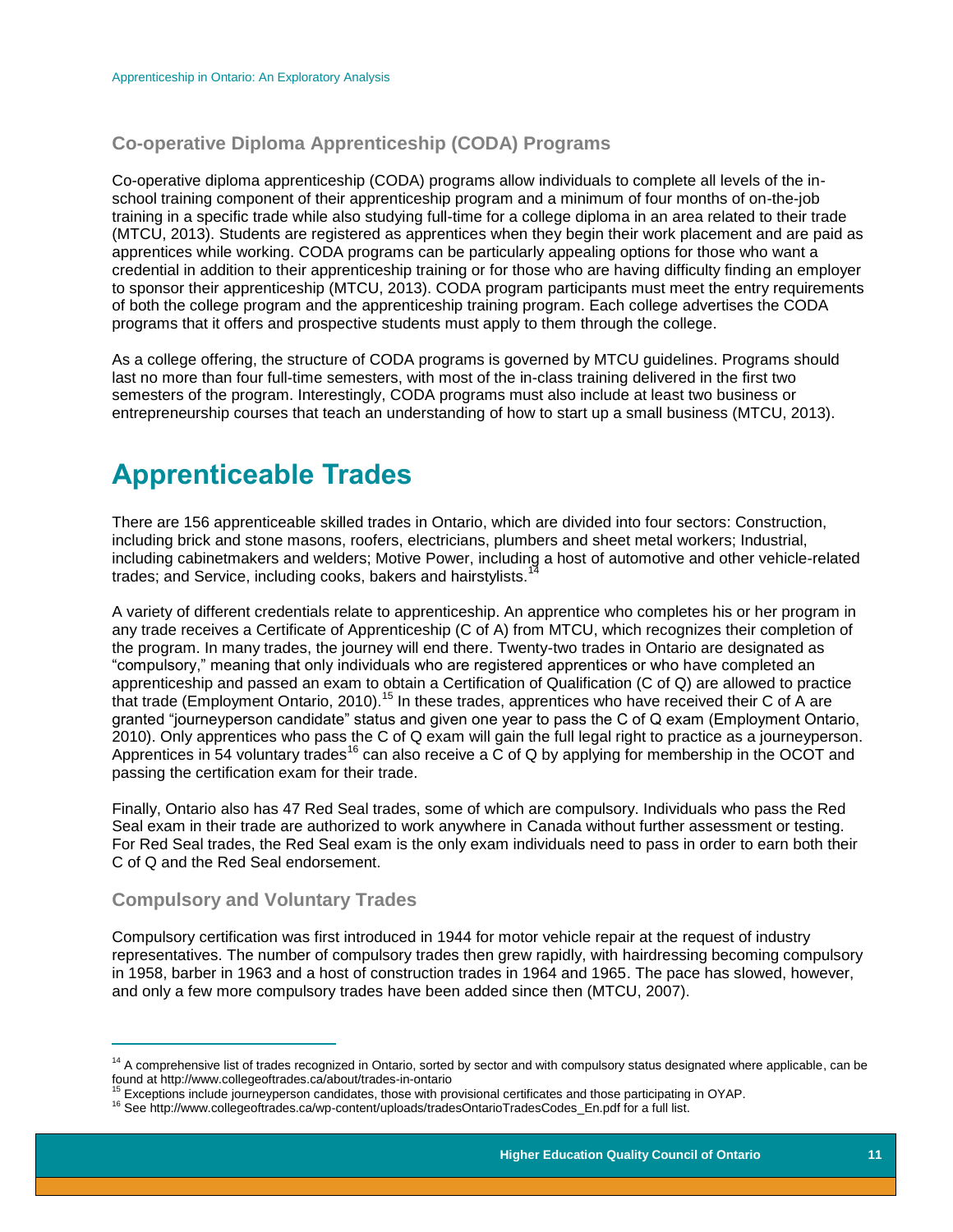## **Co-operative Diploma Apprenticeship (CODA) Programs**

Co-operative diploma apprenticeship (CODA) programs allow individuals to complete all levels of the inschool training component of their apprenticeship program and a minimum of four months of on-the-job training in a specific trade while also studying full-time for a college diploma in an area related to their trade (MTCU, 2013). Students are registered as apprentices when they begin their work placement and are paid as apprentices while working. CODA programs can be particularly appealing options for those who want a credential in addition to their apprenticeship training or for those who are having difficulty finding an employer to sponsor their apprenticeship (MTCU, 2013). CODA program participants must meet the entry requirements of both the college program and the apprenticeship training program. Each college advertises the CODA programs that it offers and prospective students must apply to them through the college.

As a college offering, the structure of CODA programs is governed by MTCU guidelines. Programs should last no more than four full-time semesters, with most of the in-class training delivered in the first two semesters of the program. Interestingly, CODA programs must also include at least two business or entrepreneurship courses that teach an understanding of how to start up a small business (MTCU, 2013).

# <span id="page-11-0"></span>**Apprenticeable Trades**

There are 156 apprenticeable skilled trades in Ontario, which are divided into four sectors: Construction, including brick and stone masons, roofers, electricians, plumbers and sheet metal workers; Industrial, including cabinetmakers and welders; Motive Power, including a host of automotive and other vehicle-related trades; and Service, including cooks, bakers and hairstylists.

A variety of different credentials relate to apprenticeship. An apprentice who completes his or her program in any trade receives a Certificate of Apprenticeship (C of A) from MTCU, which recognizes their completion of the program. In many trades, the journey will end there. Twenty-two trades in Ontario are designated as "compulsory," meaning that only individuals who are registered apprentices or who have completed an apprenticeship and passed an exam to obtain a Certification of Qualification (C of Q) are allowed to practice that trade (Employment Ontario, 2010).<sup>15</sup> In these trades, apprentices who have received their C of A are granted "journeyperson candidate" status and given one year to pass the C of Q exam (Employment Ontario, 2010). Only apprentices who pass the C of Q exam will gain the full legal right to practice as a journeyperson. Apprentices in 54 voluntary trades<sup>16</sup> can also receive a  $\tilde{C}$  of Q by applying for membership in the OCOT and passing the certification exam for their trade.

Finally, Ontario also has 47 Red Seal trades, some of which are compulsory. Individuals who pass the Red Seal exam in their trade are authorized to work anywhere in Canada without further assessment or testing. For Red Seal trades, the Red Seal exam is the only exam individuals need to pass in order to earn both their C of Q and the Red Seal endorsement.

#### <span id="page-11-1"></span>**Compulsory and Voluntary Trades**

 $\overline{a}$ 

Compulsory certification was first introduced in 1944 for motor vehicle repair at the request of industry representatives. The number of compulsory trades then grew rapidly, with hairdressing becoming compulsory in 1958, barber in 1963 and a host of construction trades in 1964 and 1965. The pace has slowed, however, and only a few more compulsory trades have been added since then (MTCU, 2007).

<sup>&</sup>lt;sup>14</sup> A comprehensive list of trades recognized in Ontario, sorted by sector and with compulsory status designated where applicable, can be found at http://www.collegeoftrades.ca/about/trades-in-ontario

Exceptions include journeyperson candidates, those with provisional certificates and those participating in OYAP.

<sup>16</sup> See http://www.collegeoftrades.ca/wp-content/uploads/tradesOntarioTradesCodes\_En.pdf for a full list.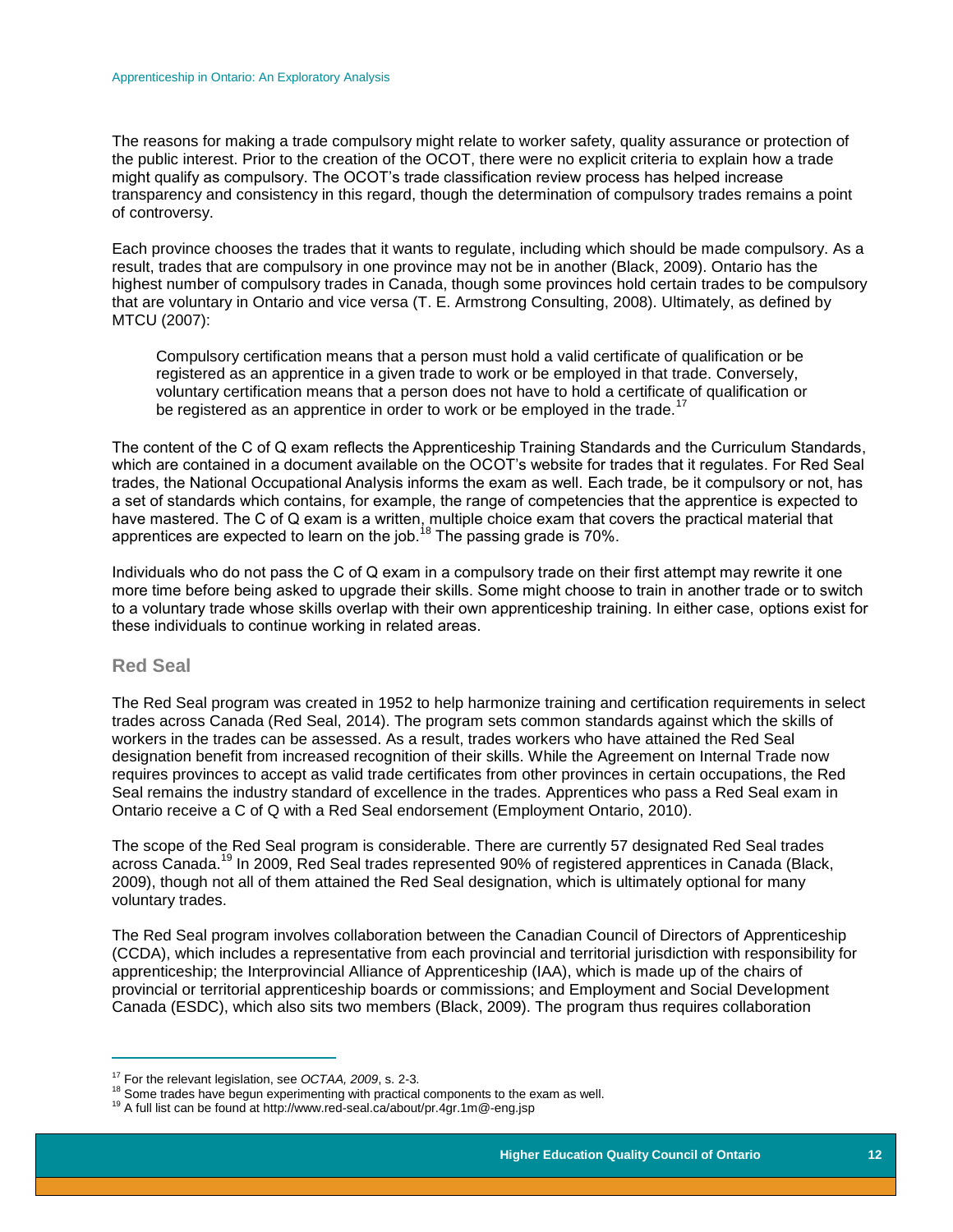The reasons for making a trade compulsory might relate to worker safety, quality assurance or protection of the public interest. Prior to the creation of the OCOT, there were no explicit criteria to explain how a trade might qualify as compulsory. The OCOT's trade classification review process has helped increase transparency and consistency in this regard, though the determination of compulsory trades remains a point of controversy.

Each province chooses the trades that it wants to regulate, including which should be made compulsory. As a result, trades that are compulsory in one province may not be in another (Black, 2009). Ontario has the highest number of compulsory trades in Canada, though some provinces hold certain trades to be compulsory that are voluntary in Ontario and vice versa (T. E. Armstrong Consulting, 2008). Ultimately, as defined by MTCU (2007):

Compulsory certification means that a person must hold a valid certificate of qualification or be registered as an apprentice in a given trade to work or be employed in that trade. Conversely, voluntary certification means that a person does not have to hold a certificate of qualification or be registered as an apprentice in order to work or be employed in the trade.<sup>17</sup>

The content of the C of Q exam reflects the Apprenticeship Training Standards and the Curriculum Standards, which are contained in a document available on the OCOT's website for trades that it regulates. For Red Seal trades, the National Occupational Analysis informs the exam as well. Each trade, be it compulsory or not, has a set of standards which contains, for example, the range of competencies that the apprentice is expected to have mastered. The C of Q exam is a written, multiple choice exam that covers the practical material that apprentices are expected to learn on the job.<sup>18</sup> The passing grade is 70%.

Individuals who do not pass the C of Q exam in a compulsory trade on their first attempt may rewrite it one more time before being asked to upgrade their skills. Some might choose to train in another trade or to switch to a voluntary trade whose skills overlap with their own apprenticeship training. In either case, options exist for these individuals to continue working in related areas.

#### <span id="page-12-0"></span>**Red Seal**

 $\overline{a}$ 

The Red Seal program was created in 1952 to help harmonize training and certification requirements in select trades across Canada (Red Seal, 2014). The program sets common standards against which the skills of workers in the trades can be assessed. As a result, trades workers who have attained the Red Seal designation benefit from increased recognition of their skills. While the Agreement on Internal Trade now requires provinces to accept as valid trade certificates from other provinces in certain occupations, the Red Seal remains the industry standard of excellence in the trades. Apprentices who pass a Red Seal exam in Ontario receive a C of Q with a Red Seal endorsement (Employment Ontario, 2010).

The scope of the Red Seal program is considerable. There are currently 57 designated Red Seal trades across Canada.<sup>19</sup> In 2009, Red Seal trades represented 90% of registered apprentices in Canada (Black, 2009), though not all of them attained the Red Seal designation, which is ultimately optional for many voluntary trades.

The Red Seal program involves collaboration between the Canadian Council of Directors of Apprenticeship (CCDA), which includes a representative from each provincial and territorial jurisdiction with responsibility for apprenticeship; the Interprovincial Alliance of Apprenticeship (IAA), which is made up of the chairs of provincial or territorial apprenticeship boards or commissions; and Employment and Social Development Canada (ESDC), which also sits two members (Black, 2009). The program thus requires collaboration

<sup>17</sup> For the relevant legislation, see *OCTAA, 2009*, s. 2-3.

<sup>&</sup>lt;sup>18</sup> Some trades have begun experimenting with practical components to the exam as well.

<sup>19</sup> A full list can be found at http://www.red-seal.ca/about/pr.4gr.1m@-eng.jsp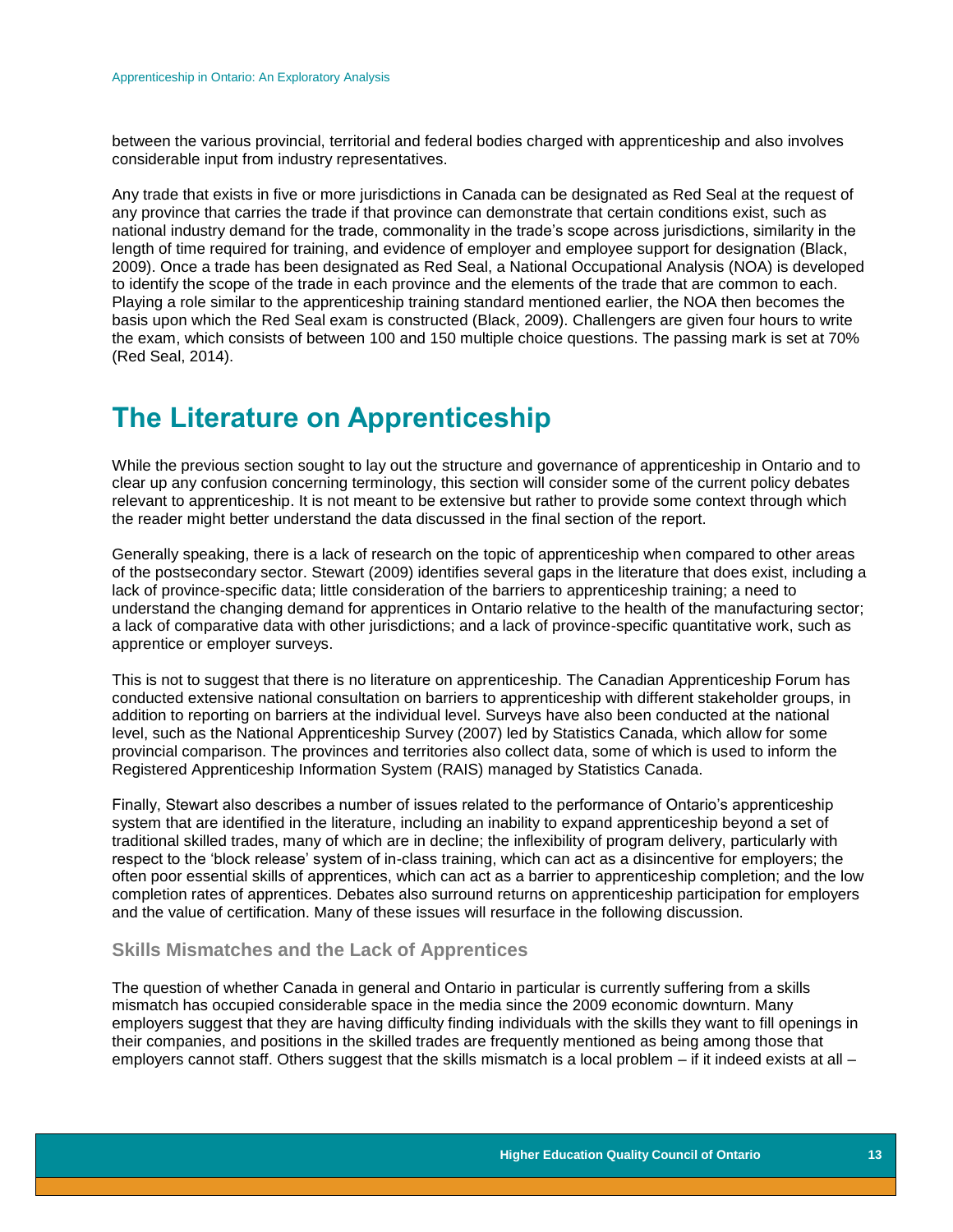between the various provincial, territorial and federal bodies charged with apprenticeship and also involves considerable input from industry representatives.

Any trade that exists in five or more jurisdictions in Canada can be designated as Red Seal at the request of any province that carries the trade if that province can demonstrate that certain conditions exist, such as national industry demand for the trade, commonality in the trade's scope across jurisdictions, similarity in the length of time required for training, and evidence of employer and employee support for designation (Black, 2009). Once a trade has been designated as Red Seal, a National Occupational Analysis (NOA) is developed to identify the scope of the trade in each province and the elements of the trade that are common to each. Playing a role similar to the apprenticeship training standard mentioned earlier, the NOA then becomes the basis upon which the Red Seal exam is constructed (Black, 2009). Challengers are given four hours to write the exam, which consists of between 100 and 150 multiple choice questions. The passing mark is set at 70% (Red Seal, 2014).

# <span id="page-13-0"></span>**The Literature on Apprenticeship**

While the previous section sought to lay out the structure and governance of apprenticeship in Ontario and to clear up any confusion concerning terminology, this section will consider some of the current policy debates relevant to apprenticeship. It is not meant to be extensive but rather to provide some context through which the reader might better understand the data discussed in the final section of the report.

Generally speaking, there is a lack of research on the topic of apprenticeship when compared to other areas of the postsecondary sector. Stewart (2009) identifies several gaps in the literature that does exist, including a lack of province-specific data; little consideration of the barriers to apprenticeship training; a need to understand the changing demand for apprentices in Ontario relative to the health of the manufacturing sector; a lack of comparative data with other jurisdictions; and a lack of province-specific quantitative work, such as apprentice or employer surveys.

This is not to suggest that there is no literature on apprenticeship. The Canadian Apprenticeship Forum has conducted extensive national consultation on barriers to apprenticeship with different stakeholder groups, in addition to reporting on barriers at the individual level. Surveys have also been conducted at the national level, such as the National Apprenticeship Survey (2007) led by Statistics Canada, which allow for some provincial comparison. The provinces and territories also collect data, some of which is used to inform the Registered Apprenticeship Information System (RAIS) managed by Statistics Canada.

Finally, Stewart also describes a number of issues related to the performance of Ontario's apprenticeship system that are identified in the literature, including an inability to expand apprenticeship beyond a set of traditional skilled trades, many of which are in decline; the inflexibility of program delivery, particularly with respect to the 'block release' system of in-class training, which can act as a disincentive for employers; the often poor essential skills of apprentices, which can act as a barrier to apprenticeship completion; and the low completion rates of apprentices. Debates also surround returns on apprenticeship participation for employers and the value of certification. Many of these issues will resurface in the following discussion.

#### <span id="page-13-1"></span>**Skills Mismatches and the Lack of Apprentices**

The question of whether Canada in general and Ontario in particular is currently suffering from a skills mismatch has occupied considerable space in the media since the 2009 economic downturn. Many employers suggest that they are having difficulty finding individuals with the skills they want to fill openings in their companies, and positions in the skilled trades are frequently mentioned as being among those that employers cannot staff. Others suggest that the skills mismatch is a local problem – if it indeed exists at all –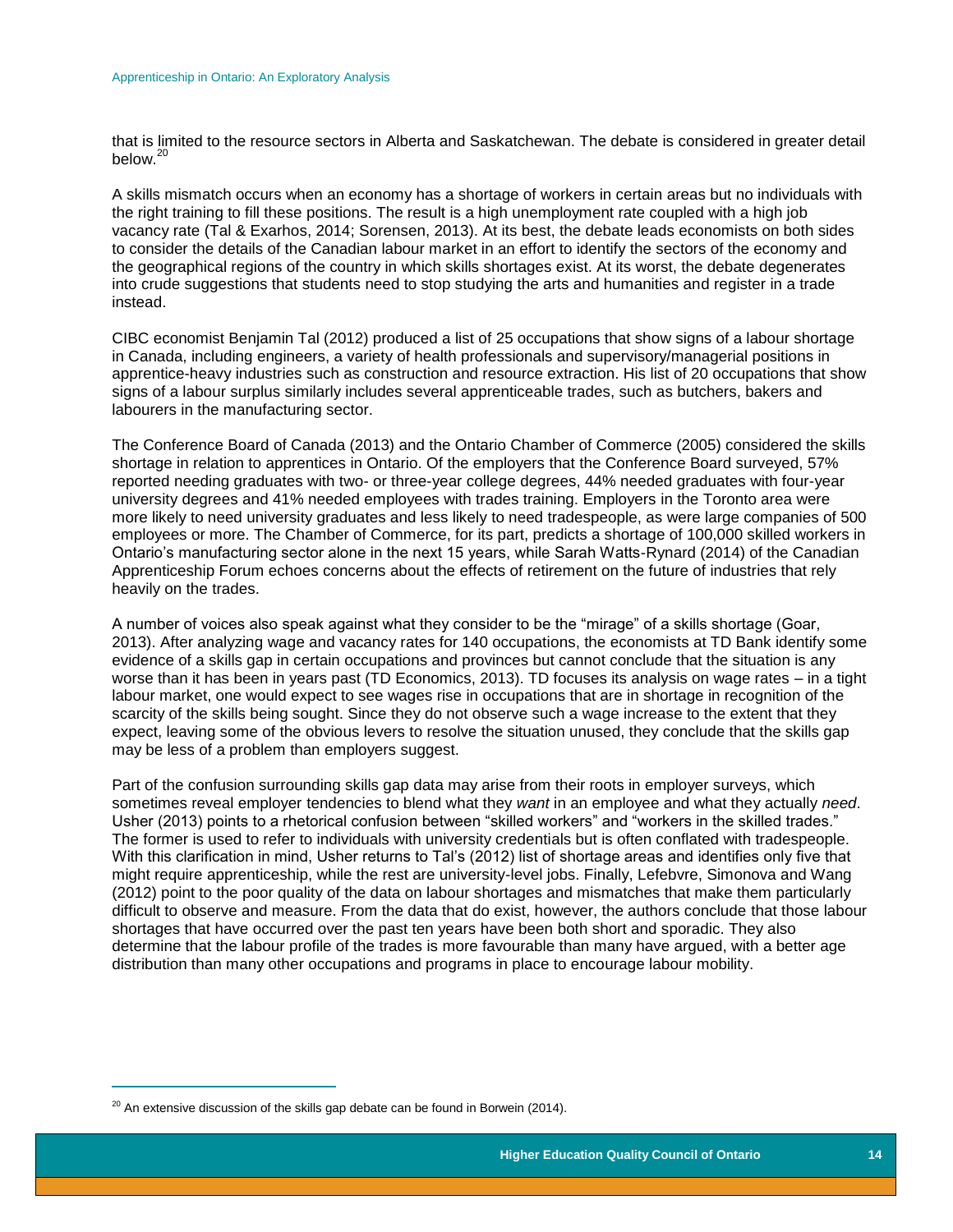that is limited to the resource sectors in Alberta and Saskatchewan. The debate is considered in greater detail below.<sup>20</sup>

A skills mismatch occurs when an economy has a shortage of workers in certain areas but no individuals with the right training to fill these positions. The result is a high unemployment rate coupled with a high job vacancy rate (Tal & Exarhos, 2014; Sorensen, 2013). At its best, the debate leads economists on both sides to consider the details of the Canadian labour market in an effort to identify the sectors of the economy and the geographical regions of the country in which skills shortages exist. At its worst, the debate degenerates into crude suggestions that students need to stop studying the arts and humanities and register in a trade instead.

CIBC economist Benjamin Tal (2012) produced a list of 25 occupations that show signs of a labour shortage in Canada, including engineers, a variety of health professionals and supervisory/managerial positions in apprentice-heavy industries such as construction and resource extraction. His list of 20 occupations that show signs of a labour surplus similarly includes several apprenticeable trades, such as butchers, bakers and labourers in the manufacturing sector.

The Conference Board of Canada (2013) and the Ontario Chamber of Commerce (2005) considered the skills shortage in relation to apprentices in Ontario. Of the employers that the Conference Board surveyed, 57% reported needing graduates with two- or three-year college degrees, 44% needed graduates with four-year university degrees and 41% needed employees with trades training. Employers in the Toronto area were more likely to need university graduates and less likely to need tradespeople, as were large companies of 500 employees or more. The Chamber of Commerce, for its part, predicts a shortage of 100,000 skilled workers in Ontario's manufacturing sector alone in the next 15 years, while Sarah Watts-Rynard (2014) of the Canadian Apprenticeship Forum echoes concerns about the effects of retirement on the future of industries that rely heavily on the trades.

A number of voices also speak against what they consider to be the "mirage" of a skills shortage (Goar, 2013). After analyzing wage and vacancy rates for 140 occupations, the economists at TD Bank identify some evidence of a skills gap in certain occupations and provinces but cannot conclude that the situation is any worse than it has been in years past (TD Economics, 2013). TD focuses its analysis on wage rates – in a tight labour market, one would expect to see wages rise in occupations that are in shortage in recognition of the scarcity of the skills being sought. Since they do not observe such a wage increase to the extent that they expect, leaving some of the obvious levers to resolve the situation unused, they conclude that the skills gap may be less of a problem than employers suggest.

Part of the confusion surrounding skills gap data may arise from their roots in employer surveys, which sometimes reveal employer tendencies to blend what they *want* in an employee and what they actually *need*. Usher (2013) points to a rhetorical confusion between "skilled workers" and "workers in the skilled trades." The former is used to refer to individuals with university credentials but is often conflated with tradespeople. With this clarification in mind, Usher returns to Tal's (2012) list of shortage areas and identifies only five that might require apprenticeship, while the rest are university-level jobs. Finally, Lefebvre, Simonova and Wang (2012) point to the poor quality of the data on labour shortages and mismatches that make them particularly difficult to observe and measure. From the data that do exist, however, the authors conclude that those labour shortages that have occurred over the past ten years have been both short and sporadic. They also determine that the labour profile of the trades is more favourable than many have argued, with a better age distribution than many other occupations and programs in place to encourage labour mobility.

<span id="page-14-0"></span> $\overline{a}$ 

 $20$  An extensive discussion of the skills gap debate can be found in Borwein (2014).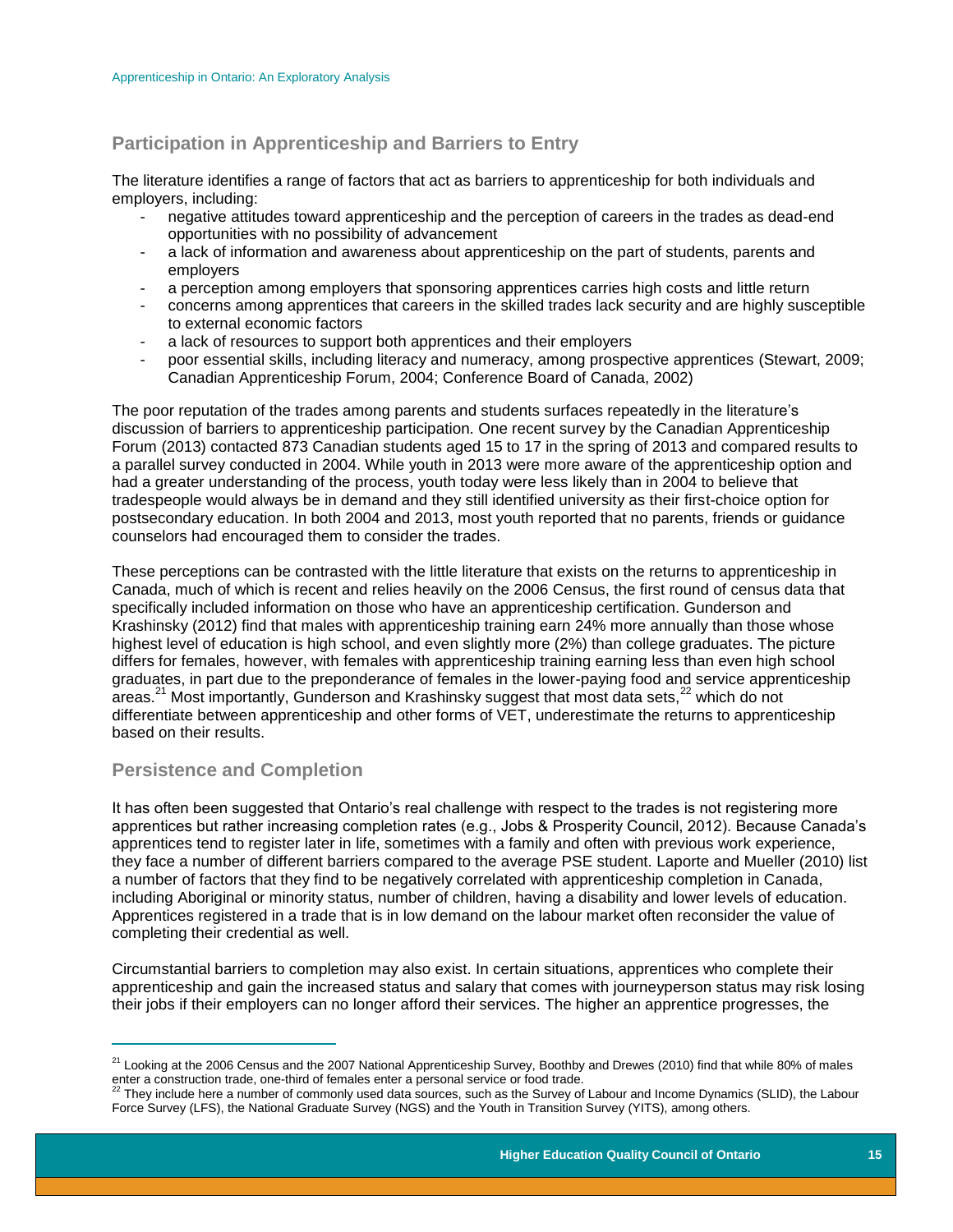## **Participation in Apprenticeship and Barriers to Entry**

The literature identifies a range of factors that act as barriers to apprenticeship for both individuals and employers, including:

- negative attitudes toward apprenticeship and the perception of careers in the trades as dead-end opportunities with no possibility of advancement
- a lack of information and awareness about apprenticeship on the part of students, parents and employers
- a perception among employers that sponsoring apprentices carries high costs and little return
- concerns among apprentices that careers in the skilled trades lack security and are highly susceptible to external economic factors
- a lack of resources to support both apprentices and their employers
- poor essential skills, including literacy and numeracy, among prospective apprentices (Stewart, 2009; Canadian Apprenticeship Forum, 2004; Conference Board of Canada, 2002)

The poor reputation of the trades among parents and students surfaces repeatedly in the literature's discussion of barriers to apprenticeship participation. One recent survey by the Canadian Apprenticeship Forum (2013) contacted 873 Canadian students aged 15 to 17 in the spring of 2013 and compared results to a parallel survey conducted in 2004. While youth in 2013 were more aware of the apprenticeship option and had a greater understanding of the process, youth today were less likely than in 2004 to believe that tradespeople would always be in demand and they still identified university as their first-choice option for postsecondary education. In both 2004 and 2013, most youth reported that no parents, friends or guidance counselors had encouraged them to consider the trades.

These perceptions can be contrasted with the little literature that exists on the returns to apprenticeship in Canada, much of which is recent and relies heavily on the 2006 Census, the first round of census data that specifically included information on those who have an apprenticeship certification. Gunderson and Krashinsky (2012) find that males with apprenticeship training earn 24% more annually than those whose highest level of education is high school, and even slightly more (2%) than college graduates. The picture differs for females, however, with females with apprenticeship training earning less than even high school graduates, in part due to the preponderance of females in the lower-paying food and service apprenticeship areas.<sup>21</sup> Most importantly, Gunderson and Krashinsky suggest that most data sets,<sup>22</sup> which do not differentiate between apprenticeship and other forms of VET, underestimate the returns to apprenticeship based on their results.

## <span id="page-15-0"></span>**Persistence and Completion**

 $\overline{a}$ 

It has often been suggested that Ontario's real challenge with respect to the trades is not registering more apprentices but rather increasing completion rates (e.g., Jobs & Prosperity Council, 2012). Because Canada's apprentices tend to register later in life, sometimes with a family and often with previous work experience, they face a number of different barriers compared to the average PSE student. Laporte and Mueller (2010) list a number of factors that they find to be negatively correlated with apprenticeship completion in Canada, including Aboriginal or minority status, number of children, having a disability and lower levels of education. Apprentices registered in a trade that is in low demand on the labour market often reconsider the value of completing their credential as well.

Circumstantial barriers to completion may also exist. In certain situations, apprentices who complete their apprenticeship and gain the increased status and salary that comes with journeyperson status may risk losing their jobs if their employers can no longer afford their services. The higher an apprentice progresses, the

<sup>&</sup>lt;sup>21</sup> Looking at the 2006 Census and the 2007 National Apprenticeship Survey, Boothby and Drewes (2010) find that while 80% of males enter a construction trade, one-third of females enter a personal service or food trade.<br><sup>22</sup> They include here a number of commonly used data sources, such as the Survey of Labour and Income Dynamics (SLID), the Labour

Force Survey (LFS), the National Graduate Survey (NGS) and the Youth in Transition Survey (YITS), among others.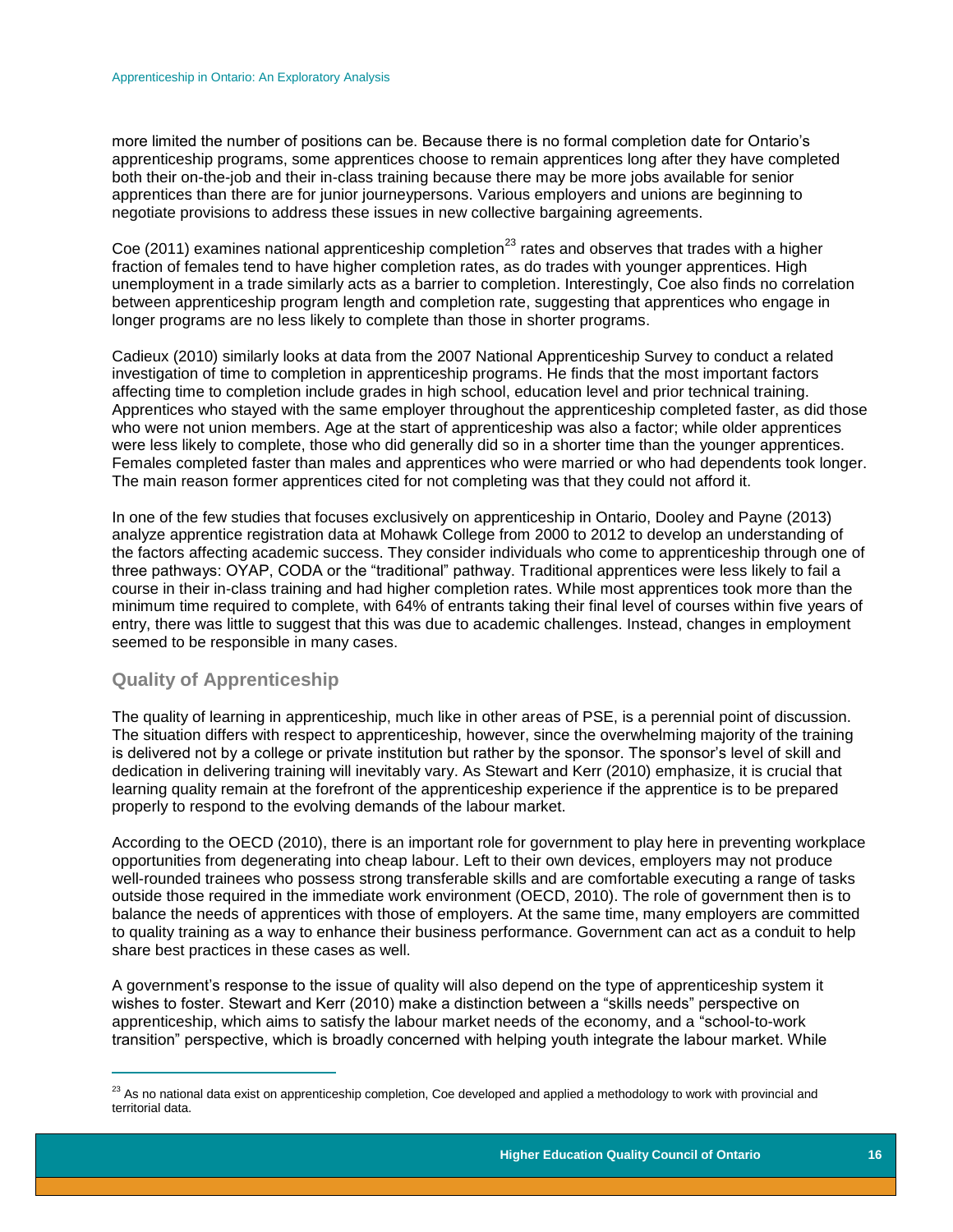more limited the number of positions can be. Because there is no formal completion date for Ontario's apprenticeship programs, some apprentices choose to remain apprentices long after they have completed both their on-the-job and their in-class training because there may be more jobs available for senior apprentices than there are for junior journeypersons. Various employers and unions are beginning to negotiate provisions to address these issues in new collective bargaining agreements.

Coe (2011) examines national apprenticeship completion<sup>23</sup> rates and observes that trades with a higher fraction of females tend to have higher completion rates, as do trades with younger apprentices. High unemployment in a trade similarly acts as a barrier to completion. Interestingly, Coe also finds no correlation between apprenticeship program length and completion rate, suggesting that apprentices who engage in longer programs are no less likely to complete than those in shorter programs.

Cadieux (2010) similarly looks at data from the 2007 National Apprenticeship Survey to conduct a related investigation of time to completion in apprenticeship programs. He finds that the most important factors affecting time to completion include grades in high school, education level and prior technical training. Apprentices who stayed with the same employer throughout the apprenticeship completed faster, as did those who were not union members. Age at the start of apprenticeship was also a factor; while older apprentices were less likely to complete, those who did generally did so in a shorter time than the younger apprentices. Females completed faster than males and apprentices who were married or who had dependents took longer. The main reason former apprentices cited for not completing was that they could not afford it.

In one of the few studies that focuses exclusively on apprenticeship in Ontario, Dooley and Payne (2013) analyze apprentice registration data at Mohawk College from 2000 to 2012 to develop an understanding of the factors affecting academic success. They consider individuals who come to apprenticeship through one of three pathways: OYAP, CODA or the "traditional" pathway. Traditional apprentices were less likely to fail a course in their in-class training and had higher completion rates. While most apprentices took more than the minimum time required to complete, with 64% of entrants taking their final level of courses within five years of entry, there was little to suggest that this was due to academic challenges. Instead, changes in employment seemed to be responsible in many cases.

#### <span id="page-16-0"></span>**Quality of Apprenticeship**

 $\overline{a}$ 

The quality of learning in apprenticeship, much like in other areas of PSE, is a perennial point of discussion. The situation differs with respect to apprenticeship, however, since the overwhelming majority of the training is delivered not by a college or private institution but rather by the sponsor. The sponsor's level of skill and dedication in delivering training will inevitably vary. As Stewart and Kerr (2010) emphasize, it is crucial that learning quality remain at the forefront of the apprenticeship experience if the apprentice is to be prepared properly to respond to the evolving demands of the labour market.

According to the OECD (2010), there is an important role for government to play here in preventing workplace opportunities from degenerating into cheap labour. Left to their own devices, employers may not produce well-rounded trainees who possess strong transferable skills and are comfortable executing a range of tasks outside those required in the immediate work environment (OECD, 2010). The role of government then is to balance the needs of apprentices with those of employers. At the same time, many employers are committed to quality training as a way to enhance their business performance. Government can act as a conduit to help share best practices in these cases as well.

A government's response to the issue of quality will also depend on the type of apprenticeship system it wishes to foster. Stewart and Kerr (2010) make a distinction between a "skills needs" perspective on apprenticeship, which aims to satisfy the labour market needs of the economy, and a "school-to-work transition" perspective, which is broadly concerned with helping youth integrate the labour market. While

 $23$  As no national data exist on apprenticeship completion, Coe developed and applied a methodology to work with provincial and territorial data.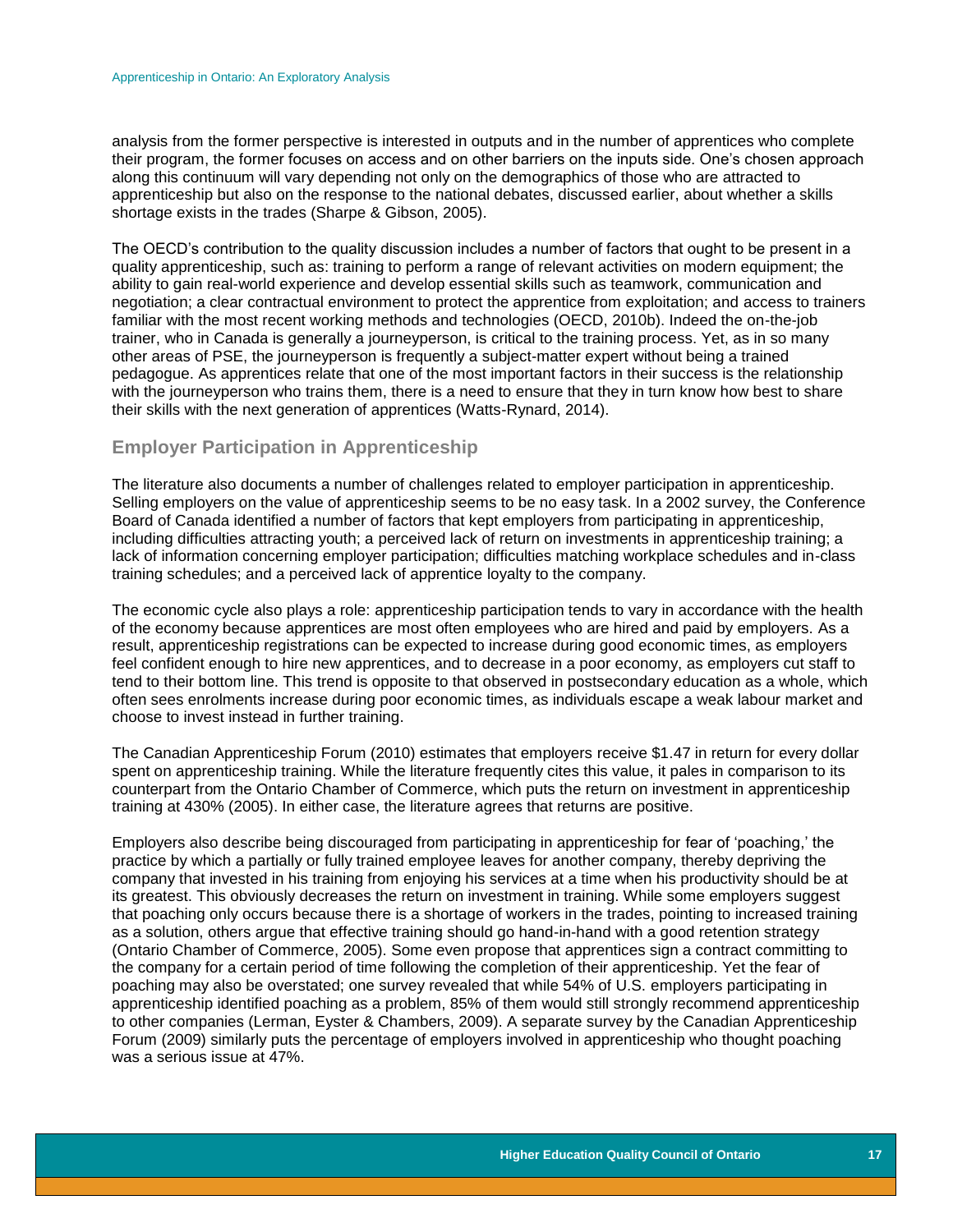analysis from the former perspective is interested in outputs and in the number of apprentices who complete their program, the former focuses on access and on other barriers on the inputs side. One's chosen approach along this continuum will vary depending not only on the demographics of those who are attracted to apprenticeship but also on the response to the national debates, discussed earlier, about whether a skills shortage exists in the trades (Sharpe & Gibson, 2005).

The OECD's contribution to the quality discussion includes a number of factors that ought to be present in a quality apprenticeship, such as: training to perform a range of relevant activities on modern equipment; the ability to gain real-world experience and develop essential skills such as teamwork, communication and negotiation; a clear contractual environment to protect the apprentice from exploitation; and access to trainers familiar with the most recent working methods and technologies (OECD, 2010b). Indeed the on-the-job trainer, who in Canada is generally a journeyperson, is critical to the training process. Yet, as in so many other areas of PSE, the journeyperson is frequently a subject-matter expert without being a trained pedagogue. As apprentices relate that one of the most important factors in their success is the relationship with the journeyperson who trains them, there is a need to ensure that they in turn know how best to share their skills with the next generation of apprentices (Watts-Rynard, 2014).

#### <span id="page-17-0"></span>**Employer Participation in Apprenticeship**

The literature also documents a number of challenges related to employer participation in apprenticeship. Selling employers on the value of apprenticeship seems to be no easy task. In a 2002 survey, the Conference Board of Canada identified a number of factors that kept employers from participating in apprenticeship, including difficulties attracting youth; a perceived lack of return on investments in apprenticeship training; a lack of information concerning employer participation; difficulties matching workplace schedules and in-class training schedules; and a perceived lack of apprentice loyalty to the company.

The economic cycle also plays a role: apprenticeship participation tends to vary in accordance with the health of the economy because apprentices are most often employees who are hired and paid by employers. As a result, apprenticeship registrations can be expected to increase during good economic times, as employers feel confident enough to hire new apprentices, and to decrease in a poor economy, as employers cut staff to tend to their bottom line. This trend is opposite to that observed in postsecondary education as a whole, which often sees enrolments increase during poor economic times, as individuals escape a weak labour market and choose to invest instead in further training.

The Canadian Apprenticeship Forum (2010) estimates that employers receive \$1.47 in return for every dollar spent on apprenticeship training. While the literature frequently cites this value, it pales in comparison to its counterpart from the Ontario Chamber of Commerce, which puts the return on investment in apprenticeship training at 430% (2005). In either case, the literature agrees that returns are positive.

<span id="page-17-1"></span>Employers also describe being discouraged from participating in apprenticeship for fear of 'poaching,' the practice by which a partially or fully trained employee leaves for another company, thereby depriving the company that invested in his training from enjoying his services at a time when his productivity should be at its greatest. This obviously decreases the return on investment in training. While some employers suggest that poaching only occurs because there is a shortage of workers in the trades, pointing to increased training as a solution, others argue that effective training should go hand-in-hand with a good retention strategy (Ontario Chamber of Commerce, 2005). Some even propose that apprentices sign a contract committing to the company for a certain period of time following the completion of their apprenticeship. Yet the fear of poaching may also be overstated; one survey revealed that while 54% of U.S. employers participating in apprenticeship identified poaching as a problem, 85% of them would still strongly recommend apprenticeship to other companies (Lerman, Eyster & Chambers, 2009). A separate survey by the Canadian Apprenticeship Forum (2009) similarly puts the percentage of employers involved in apprenticeship who thought poaching was a serious issue at 47%.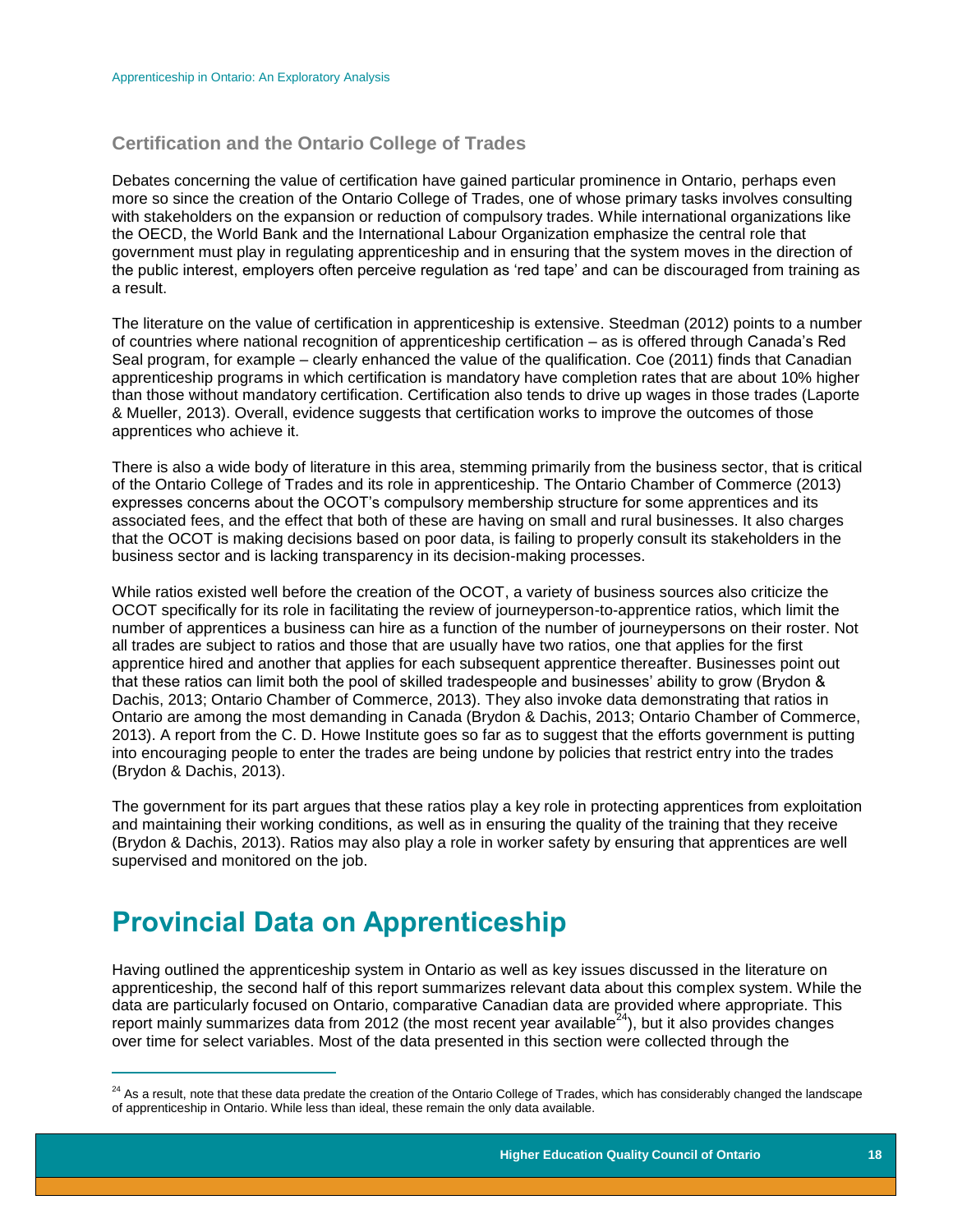#### **Certification and the Ontario College of Trades**

Debates concerning the value of certification have gained particular prominence in Ontario, perhaps even more so since the creation of the Ontario College of Trades, one of whose primary tasks involves consulting with stakeholders on the expansion or reduction of compulsory trades. While international organizations like the OECD, the World Bank and the International Labour Organization emphasize the central role that government must play in regulating apprenticeship and in ensuring that the system moves in the direction of the public interest, employers often perceive regulation as 'red tape' and can be discouraged from training as a result.

The literature on the value of certification in apprenticeship is extensive. Steedman (2012) points to a number of countries where national recognition of apprenticeship certification – as is offered through Canada's Red Seal program, for example – clearly enhanced the value of the qualification. Coe (2011) finds that Canadian apprenticeship programs in which certification is mandatory have completion rates that are about 10% higher than those without mandatory certification. Certification also tends to drive up wages in those trades (Laporte & Mueller, 2013). Overall, evidence suggests that certification works to improve the outcomes of those apprentices who achieve it.

There is also a wide body of literature in this area, stemming primarily from the business sector, that is critical of the Ontario College of Trades and its role in apprenticeship. The Ontario Chamber of Commerce (2013) expresses concerns about the OCOT's compulsory membership structure for some apprentices and its associated fees, and the effect that both of these are having on small and rural businesses. It also charges that the OCOT is making decisions based on poor data, is failing to properly consult its stakeholders in the business sector and is lacking transparency in its decision-making processes.

While ratios existed well before the creation of the OCOT, a variety of business sources also criticize the OCOT specifically for its role in facilitating the review of journeyperson-to-apprentice ratios, which limit the number of apprentices a business can hire as a function of the number of journeypersons on their roster. Not all trades are subject to ratios and those that are usually have two ratios, one that applies for the first apprentice hired and another that applies for each subsequent apprentice thereafter. Businesses point out that these ratios can limit both the pool of skilled tradespeople and businesses' ability to grow (Brydon & Dachis, 2013; Ontario Chamber of Commerce, 2013). They also invoke data demonstrating that ratios in Ontario are among the most demanding in Canada (Brydon & Dachis, 2013; Ontario Chamber of Commerce, 2013). A report from the C. D. Howe Institute goes so far as to suggest that the efforts government is putting into encouraging people to enter the trades are being undone by policies that restrict entry into the trades (Brydon & Dachis, 2013).

The government for its part argues that these ratios play a key role in protecting apprentices from exploitation and maintaining their working conditions, as well as in ensuring the quality of the training that they receive (Brydon & Dachis, 2013). Ratios may also play a role in worker safety by ensuring that apprentices are well supervised and monitored on the job.

# <span id="page-18-0"></span>**Provincial Data on Apprenticeship**

 $\overline{a}$ 

Having outlined the apprenticeship system in Ontario as well as key issues discussed in the literature on apprenticeship, the second half of this report summarizes relevant data about this complex system. While the data are particularly focused on Ontario, comparative Canadian data are provided where appropriate. This report mainly summarizes data from 2012 (the most recent year available $24$ ), but it also provides changes over time for select variables. Most of the data presented in this section were collected through the

<sup>&</sup>lt;sup>24</sup> As a result, note that these data predate the creation of the Ontario College of Trades, which has considerably changed the landscape of apprenticeship in Ontario. While less than ideal, these remain the only data available.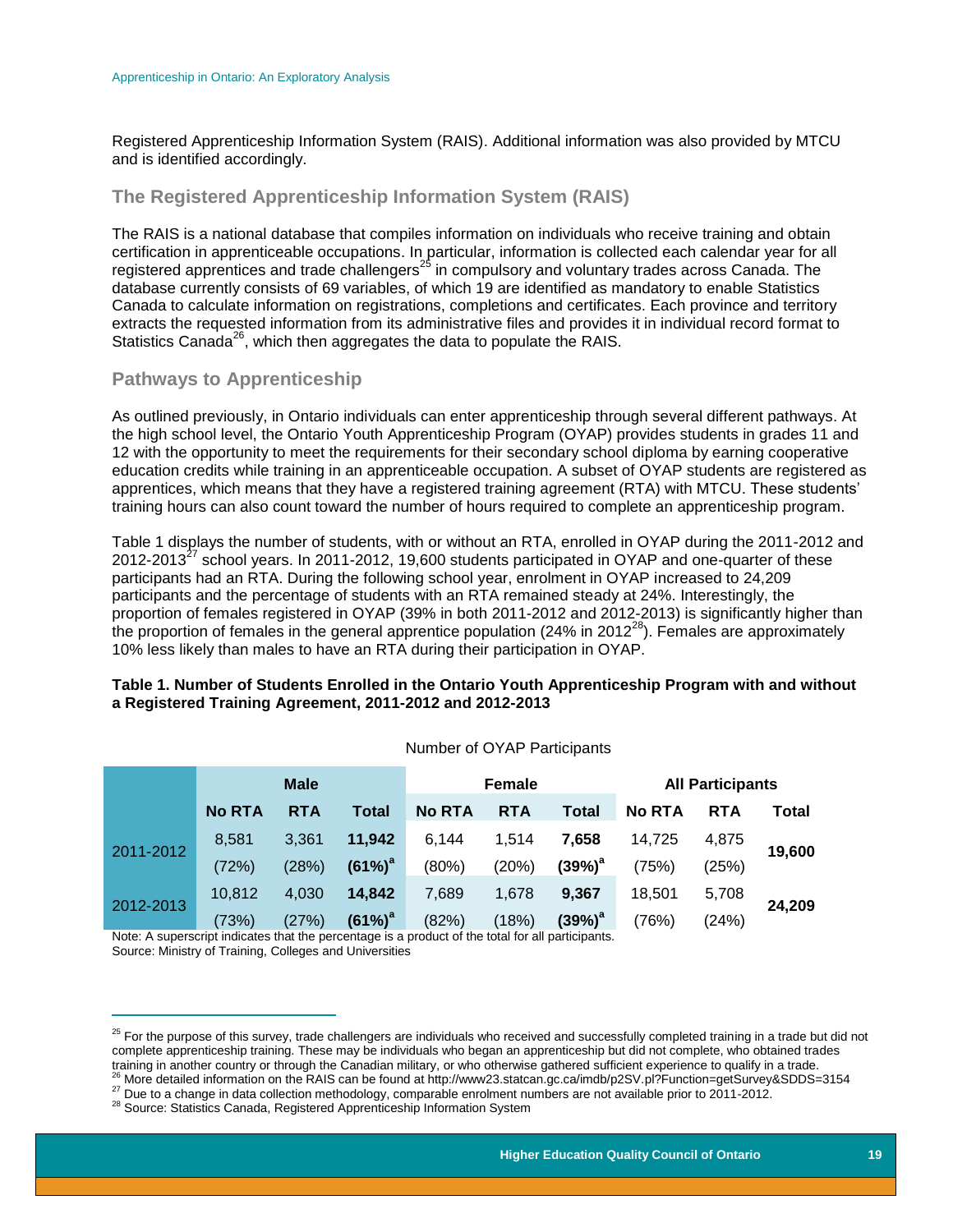Registered Apprenticeship Information System (RAIS). Additional information was also provided by MTCU and is identified accordingly.

### <span id="page-19-0"></span>**The Registered Apprenticeship Information System (RAIS)**

The RAIS is a national database that compiles information on individuals who receive training and obtain certification in apprenticeable occupations. In particular, information is collected each calendar year for all registered apprentices and trade challengers<sup>25</sup> in compulsory and voluntary trades across Canada. The database currently consists of 69 variables, of which 19 are identified as mandatory to enable Statistics Canada to calculate information on registrations, completions and certificates. Each province and territory extracts the requested information from its administrative files and provides it in individual record format to Statistics Canada<sup>26</sup>, which then aggregates the data to populate the RAIS.

### <span id="page-19-1"></span>**Pathways to Apprenticeship**

As outlined previously, in Ontario individuals can enter apprenticeship through several different pathways. At the high school level, the Ontario Youth Apprenticeship Program (OYAP) provides students in grades 11 and 12 with the opportunity to meet the requirements for their secondary school diploma by earning cooperative education credits while training in an apprenticeable occupation. A subset of OYAP students are registered as apprentices, which means that they have a registered training agreement (RTA) with MTCU. These students' training hours can also count toward the number of hours required to complete an apprenticeship program.

Table 1 displays the number of students, with or without an RTA, enrolled in OYAP during the 2011-2012 and 2012-2013<sup>27</sup> school years. In 2011-2012, 19,600 students participated in OYAP and one-quarter of these participants had an RTA. During the following school year, enrolment in OYAP increased to 24,209 participants and the percentage of students with an RTA remained steady at 24%. Interestingly, the proportion of females registered in OYAP (39% in both 2011-2012 and 2012-2013) is significantly higher than the proportion of females in the general apprentice population (24% in 2012 $^{28}$ ). Females are approximately 10% less likely than males to have an RTA during their participation in OYAP.

#### **Table 1. Number of Students Enrolled in the Ontario Youth Apprenticeship Program with and without a Registered Training Agreement, 2011-2012 and 2012-2013**

|           | <b>Male</b>   |            | <b>Female</b>      |               |            | <b>All Participants</b> |               |            |        |
|-----------|---------------|------------|--------------------|---------------|------------|-------------------------|---------------|------------|--------|
|           | <b>No RTA</b> | <b>RTA</b> | Total              | <b>No RTA</b> | <b>RTA</b> | Total                   | <b>No RTA</b> | <b>RTA</b> | Total  |
| 2011-2012 | 8,581         | 3,361      | 11,942             | 6,144         | 1,514      | 7,658                   | 14,725        | 4,875      | 19,600 |
|           | (72%)         | (28%)      | $(61\%)^a$         | (80%)         | (20%)      | $(39%)^a$               | (75%)         | (25%)      |        |
| 2012-2013 | 10,812        | 4,030      | 14,842             | 7,689         | 1,678      | 9,367                   | 18,501        | 5,708      | 24,209 |
|           | (73%)         | (27%)      | (61%) <sup>a</sup> | (82%)         | (18%)      | (39%) <sup>a</sup>      | (76%)         | (24%)      |        |

Number of OYAP Participants

Note: A superscript indicates that the percentage is a product of the total for all participants. Source: Ministry of Training, Colleges and Universities

 $\overline{a}$ 

 $25$  For the purpose of this survey, trade challengers are individuals who received and successfully completed training in a trade but did not complete apprenticeship training. These may be individuals who began an apprenticeship but did not complete, who obtained trades training in another country or through the Canadian military, or who otherwise gathered sufficient experience to qualify in a trade.  $^{26}$  More detailed information on the RAIS can be found at http://www23.statcan.gc.ca/imdb/p2SV.pl?Function=getSurvey&SDDS=3154

<sup>27</sup> Due to a change in data collection methodology, comparable enrolment numbers are not available prior to 2011-2012.

<sup>&</sup>lt;sup>28</sup> Source: Statistics Canada, Registered Apprenticeship Information System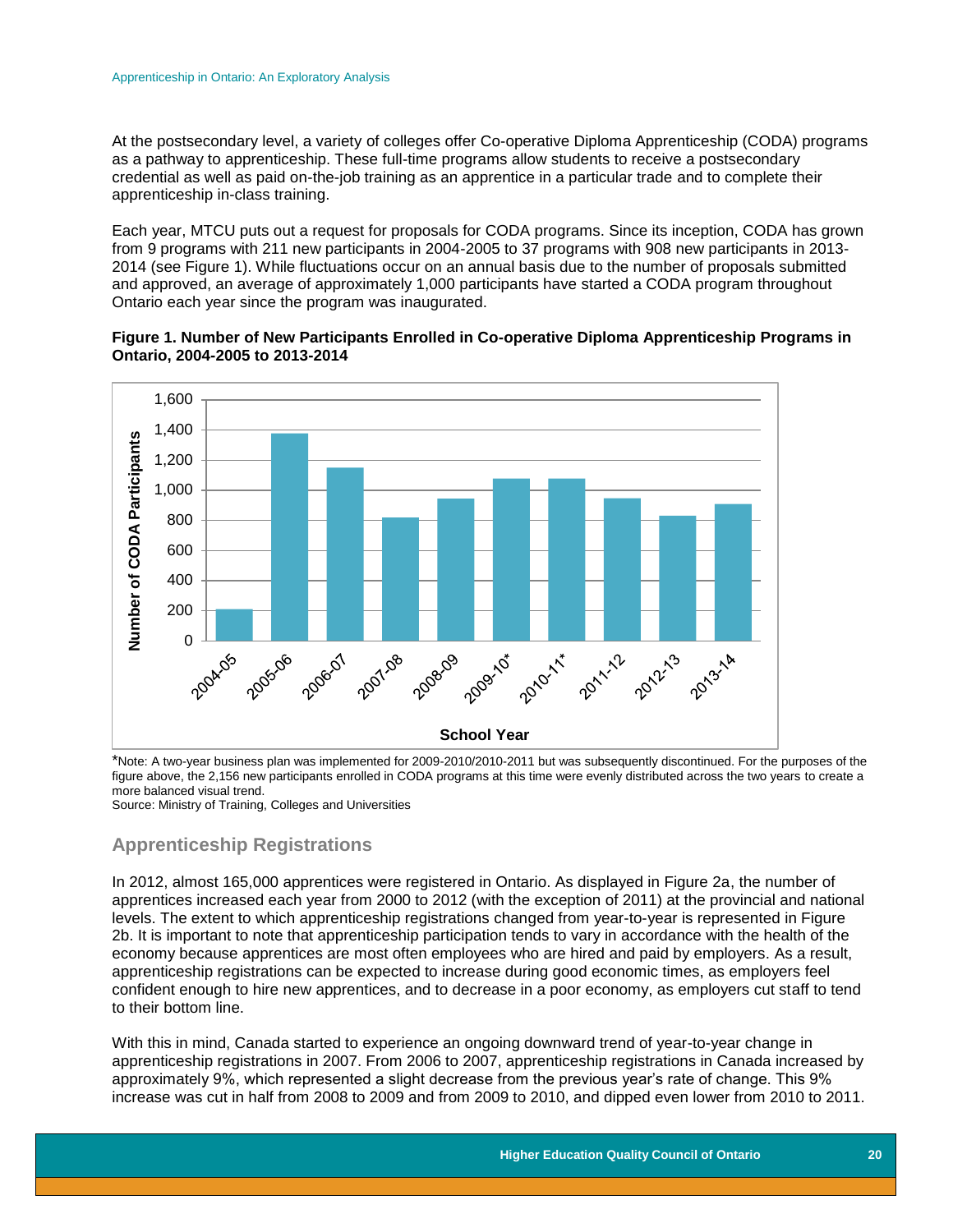At the postsecondary level, a variety of colleges offer Co-operative Diploma Apprenticeship (CODA) programs as a pathway to apprenticeship. These full-time programs allow students to receive a postsecondary credential as well as paid on-the-job training as an apprentice in a particular trade and to complete their apprenticeship in-class training.

Each year, MTCU puts out a request for proposals for CODA programs. Since its inception, CODA has grown from 9 programs with 211 new participants in 2004-2005 to 37 programs with 908 new participants in 2013- 2014 (see Figure 1). While fluctuations occur on an annual basis due to the number of proposals submitted and approved, an average of approximately 1,000 participants have started a CODA program throughout Ontario each year since the program was inaugurated.

#### **Figure 1. Number of New Participants Enrolled in Co-operative Diploma Apprenticeship Programs in Ontario, 2004-2005 to 2013-2014**



\*Note: A two-year business plan was implemented for 2009-2010/2010-2011 but was subsequently discontinued. For the purposes of the figure above, the 2,156 new participants enrolled in CODA programs at this time were evenly distributed across the two years to create a more balanced visual trend.

<span id="page-20-0"></span>Source: Ministry of Training, Colleges and Universities

## **Apprenticeship Registrations**

In 2012, almost 165,000 apprentices were registered in Ontario. As displayed in Figure 2a, the number of apprentices increased each year from 2000 to 2012 (with the exception of 2011) at the provincial and national levels. The extent to which apprenticeship registrations changed from year-to-year is represented in Figure 2b. It is important to note that apprenticeship participation tends to vary in accordance with the health of the economy because apprentices are most often employees who are hired and paid by employers. As a result, apprenticeship registrations can be expected to increase during good economic times, as employers feel confident enough to hire new apprentices, and to decrease in a poor economy, as employers cut staff to tend to their bottom line.

With this in mind, Canada started to experience an ongoing downward trend of year-to-year change in apprenticeship registrations in 2007. From 2006 to 2007, apprenticeship registrations in Canada increased by approximately 9%, which represented a slight decrease from the previous year's rate of change. This 9% increase was cut in half from 2008 to 2009 and from 2009 to 2010, and dipped even lower from 2010 to 2011.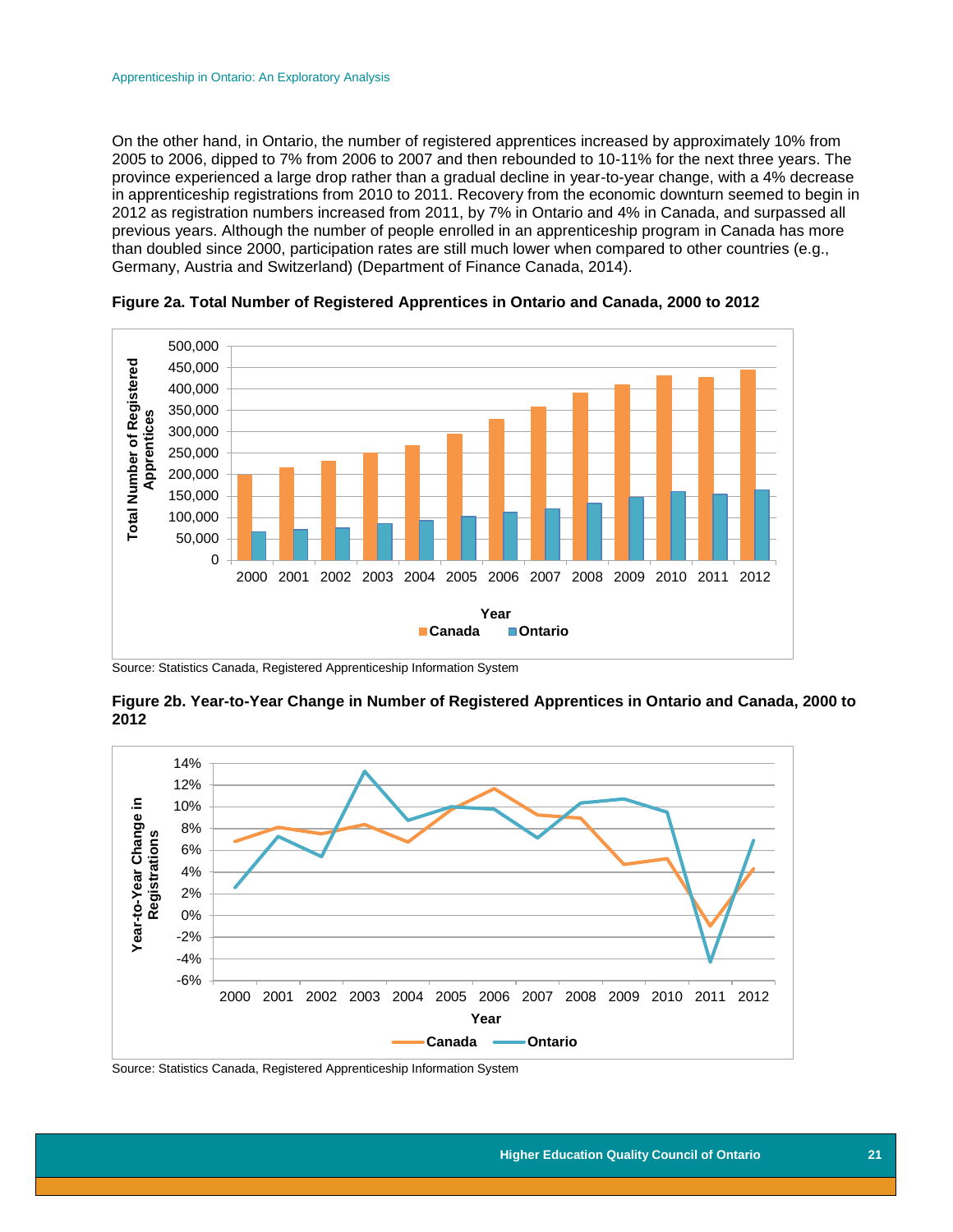On the other hand, in Ontario, the number of registered apprentices increased by approximately 10% from 2005 to 2006, dipped to 7% from 2006 to 2007 and then rebounded to 10-11% for the next three years. The province experienced a large drop rather than a gradual decline in year-to-year change, with a 4% decrease in apprenticeship registrations from 2010 to 2011. Recovery from the economic downturn seemed to begin in 2012 as registration numbers increased from 2011, by 7% in Ontario and 4% in Canada, and surpassed all previous years. Although the number of people enrolled in an apprenticeship program in Canada has more than doubled since 2000, participation rates are still much lower when compared to other countries (e.g., Germany, Austria and Switzerland) (Department of Finance Canada, 2014).



**Figure 2a. Total Number of Registered Apprentices in Ontario and Canada, 2000 to 2012**

Source: Statistics Canada, Registered Apprenticeship Information System





Source: Statistics Canada, Registered Apprenticeship Information System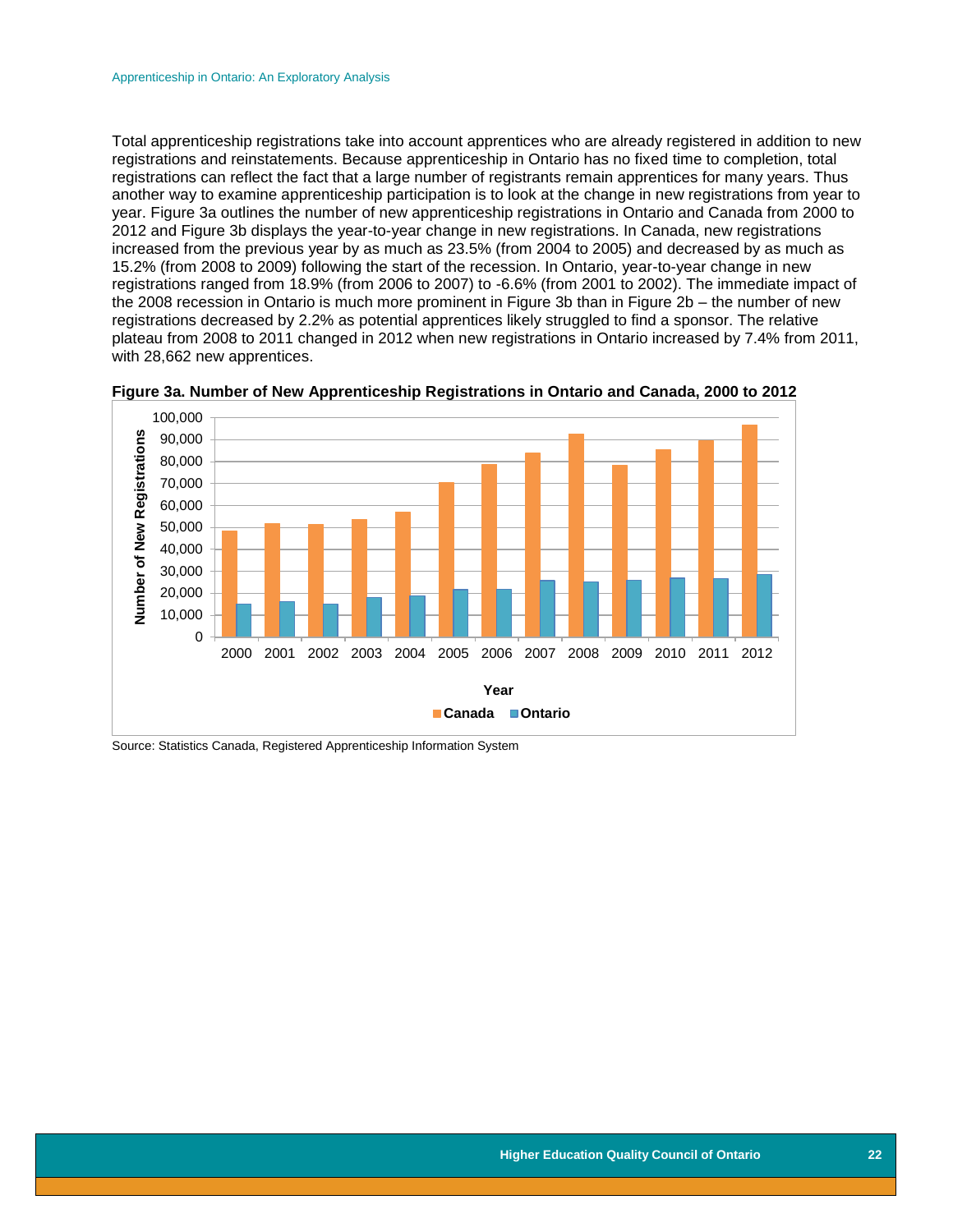Total apprenticeship registrations take into account apprentices who are already registered in addition to new registrations and reinstatements. Because apprenticeship in Ontario has no fixed time to completion, total registrations can reflect the fact that a large number of registrants remain apprentices for many years. Thus another way to examine apprenticeship participation is to look at the change in new registrations from year to year. Figure 3a outlines the number of new apprenticeship registrations in Ontario and Canada from 2000 to 2012 and Figure 3b displays the year-to-year change in new registrations. In Canada, new registrations increased from the previous year by as much as 23.5% (from 2004 to 2005) and decreased by as much as 15.2% (from 2008 to 2009) following the start of the recession. In Ontario, year-to-year change in new registrations ranged from 18.9% (from 2006 to 2007) to -6.6% (from 2001 to 2002). The immediate impact of the 2008 recession in Ontario is much more prominent in Figure 3b than in Figure 2b – the number of new registrations decreased by 2.2% as potential apprentices likely struggled to find a sponsor. The relative plateau from 2008 to 2011 changed in 2012 when new registrations in Ontario increased by 7.4% from 2011, with 28,662 new apprentices.



**Figure 3a. Number of New Apprenticeship Registrations in Ontario and Canada, 2000 to 2012**

Source: Statistics Canada, Registered Apprenticeship Information System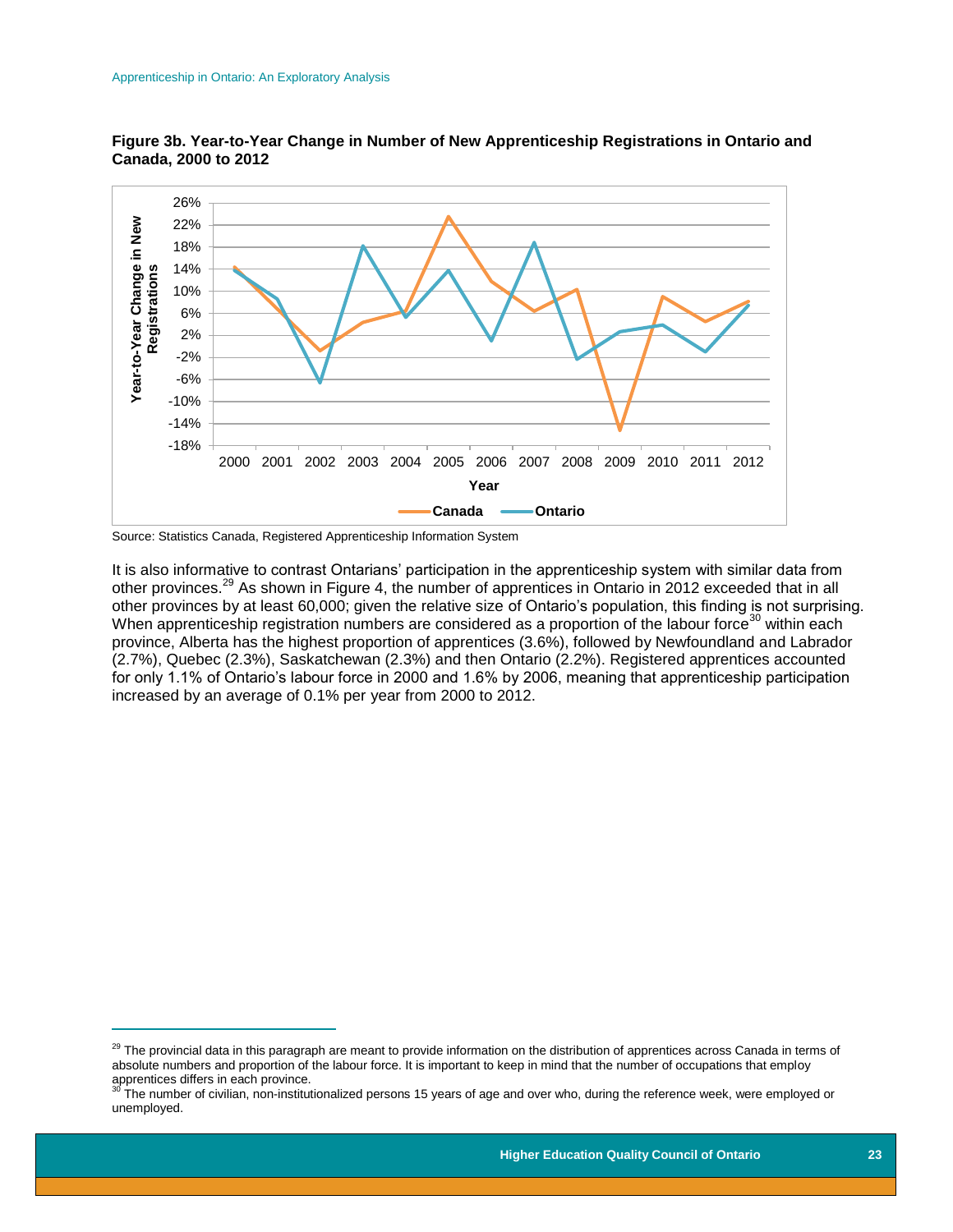

**Figure 3b. Year-to-Year Change in Number of New Apprenticeship Registrations in Ontario and Canada, 2000 to 2012**

 $\overline{a}$ 

It is also informative to contrast Ontarians' participation in the apprenticeship system with similar data from other provinces.<sup>29</sup> As shown in Figure 4, the number of apprentices in Ontario in 2012 exceeded that in all other provinces by at least 60,000; given the relative size of Ontario's population, this finding is not surprising. When apprenticeship registration numbers are considered as a proportion of the labour force<sup>30</sup> within each province, Alberta has the highest proportion of apprentices (3.6%), followed by Newfoundland and Labrador (2.7%), Quebec (2.3%), Saskatchewan (2.3%) and then Ontario (2.2%). Registered apprentices accounted for only 1.1% of Ontario's labour force in 2000 and 1.6% by 2006, meaning that apprenticeship participation increased by an average of 0.1% per year from 2000 to 2012.

Source: Statistics Canada, Registered Apprenticeship Information System

<sup>&</sup>lt;sup>29</sup> The provincial data in this paragraph are meant to provide information on the distribution of apprentices across Canada in terms of absolute numbers and proportion of the labour force. It is important to keep in mind that the number of occupations that employ apprentices differs in each province.

The number of civilian, non-institutionalized persons 15 years of age and over who, during the reference week, were employed or unemployed.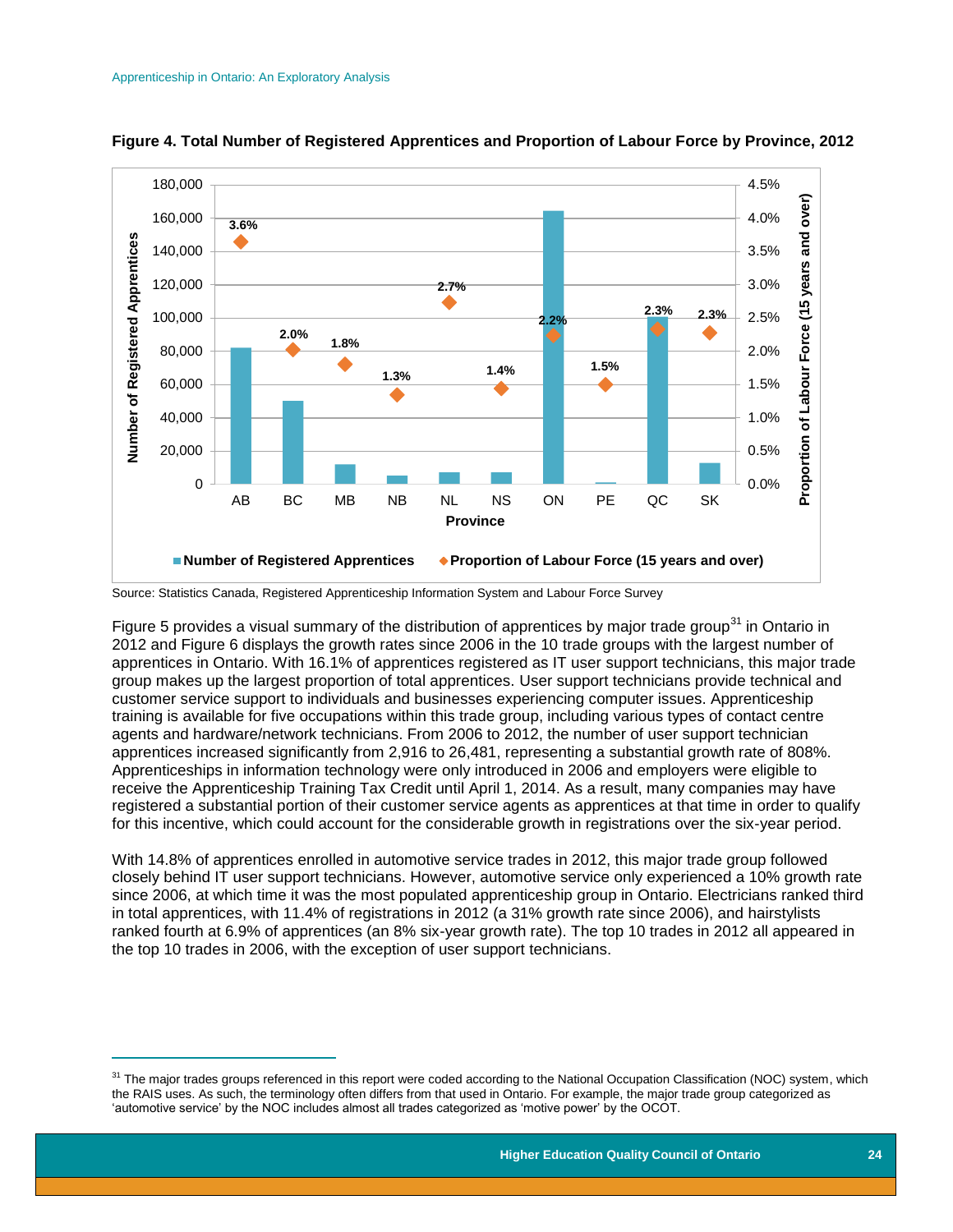$\overline{a}$ 



#### **Figure 4. Total Number of Registered Apprentices and Proportion of Labour Force by Province, 2012**

Source: Statistics Canada, Registered Apprenticeship Information System and Labour Force Survey

Figure 5 provides a visual summary of the distribution of apprentices by major trade group<sup>31</sup> in Ontario in 2012 and Figure 6 displays the growth rates since 2006 in the 10 trade groups with the largest number of apprentices in Ontario. With 16.1% of apprentices registered as IT user support technicians, this major trade group makes up the largest proportion of total apprentices. User support technicians provide technical and customer service support to individuals and businesses experiencing computer issues. Apprenticeship training is available for five occupations within this trade group, including various types of contact centre agents and hardware/network technicians. From 2006 to 2012, the number of user support technician apprentices increased significantly from 2,916 to 26,481, representing a substantial growth rate of 808%. Apprenticeships in information technology were only introduced in 2006 and employers were eligible to receive the Apprenticeship Training Tax Credit until April 1, 2014. As a result, many companies may have registered a substantial portion of their customer service agents as apprentices at that time in order to qualify for this incentive, which could account for the considerable growth in registrations over the six-year period.

With 14.8% of apprentices enrolled in automotive service trades in 2012, this major trade group followed closely behind IT user support technicians. However, automotive service only experienced a 10% growth rate since 2006, at which time it was the most populated apprenticeship group in Ontario. Electricians ranked third in total apprentices, with 11.4% of registrations in 2012 (a 31% growth rate since 2006), and hairstylists ranked fourth at 6.9% of apprentices (an 8% six-year growth rate). The top 10 trades in 2012 all appeared in the top 10 trades in 2006, with the exception of user support technicians.

<sup>&</sup>lt;sup>31</sup> The major trades groups referenced in this report were coded according to the National Occupation Classification (NOC) system, which the RAIS uses. As such, the terminology often differs from that used in Ontario. For example, the major trade group categorized as 'automotive service' by the NOC includes almost all trades categorized as 'motive power' by the OCOT.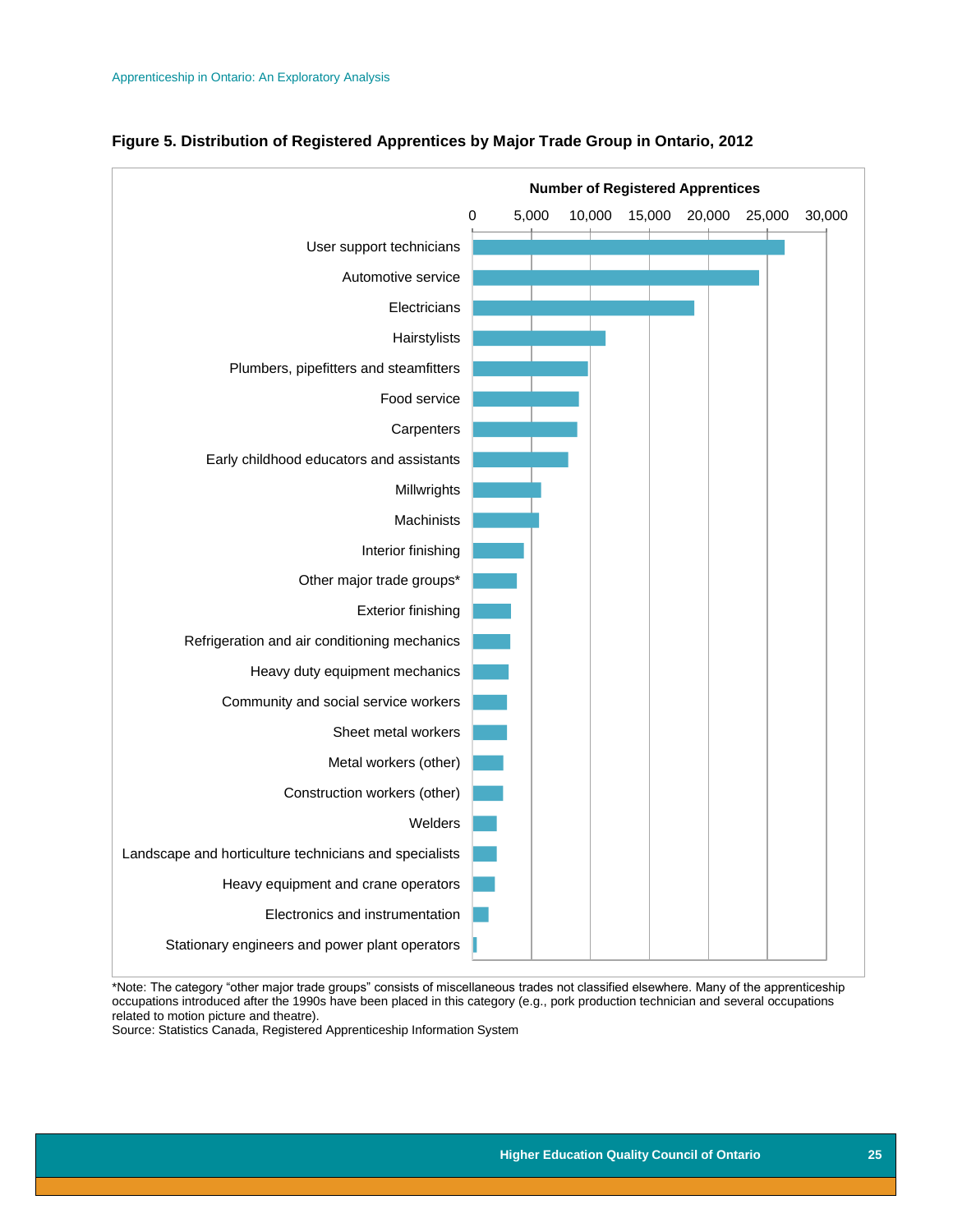

#### **Figure 5. Distribution of Registered Apprentices by Major Trade Group in Ontario, 2012**

\*Note: The category "other major trade groups" consists of miscellaneous trades not classified elsewhere. Many of the apprenticeship occupations introduced after the 1990s have been placed in this category (e.g., pork production technician and several occupations related to motion picture and theatre).

Source: Statistics Canada, Registered Apprenticeship Information System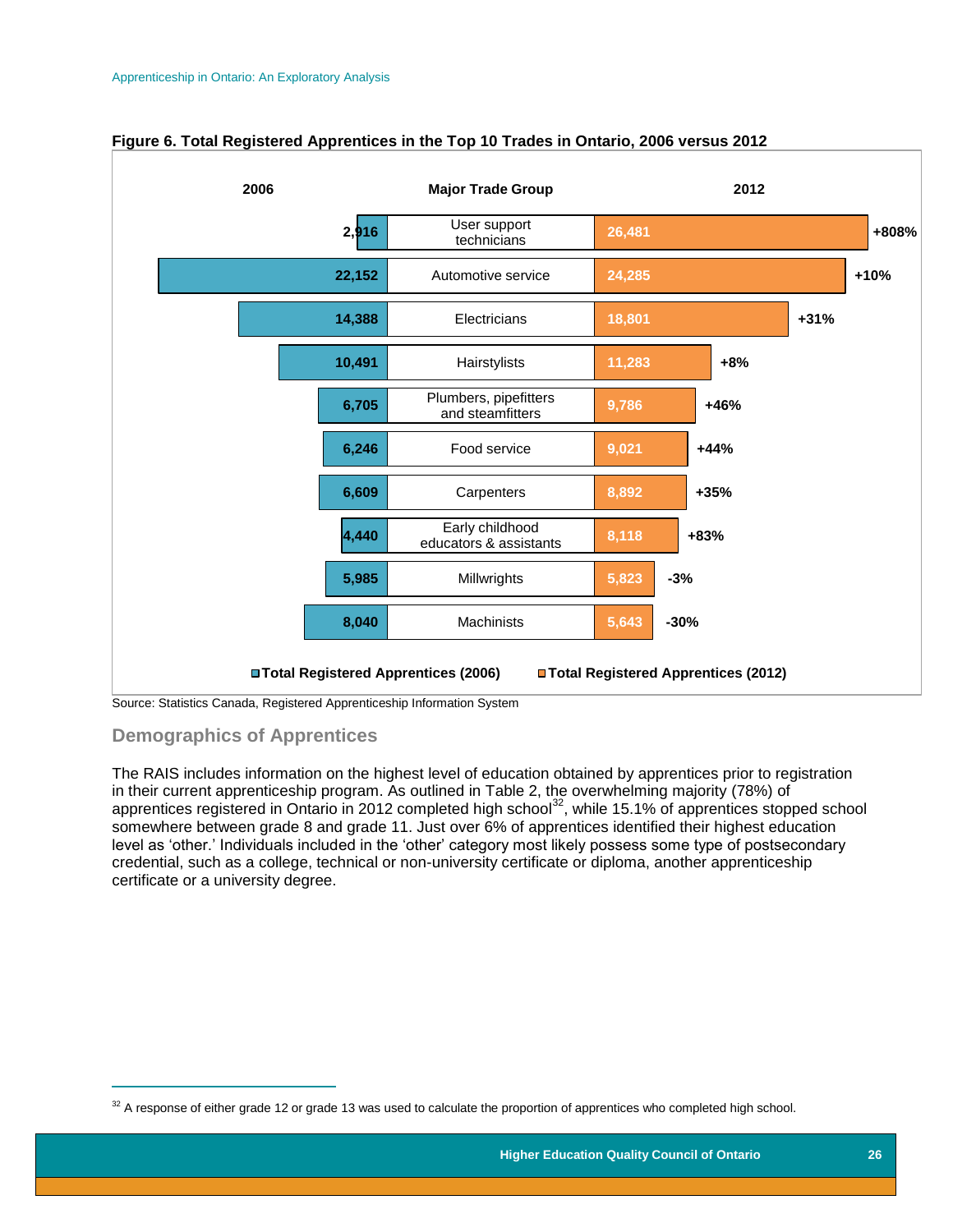

#### **Figure 6. Total Registered Apprentices in the Top 10 Trades in Ontario, 2006 versus 2012**

<span id="page-26-0"></span>**Demographics of Apprentices**

 $\overline{a}$ 

The RAIS includes information on the highest level of education obtained by apprentices prior to registration in their current apprenticeship program. As outlined in Table 2, the overwhelming majority (78%) of apprentices registered in Ontario in 2012 completed high school<sup>32</sup>, while 15.1% of apprentices stopped school somewhere between grade 8 and grade 11. Just over 6% of apprentices identified their highest education level as 'other.' Individuals included in the 'other' category most likely possess some type of postsecondary credential, such as a college, technical or non-university certificate or diploma, another apprenticeship certificate or a university degree.

 $32$  A response of either grade 12 or grade 13 was used to calculate the proportion of apprentices who completed high school.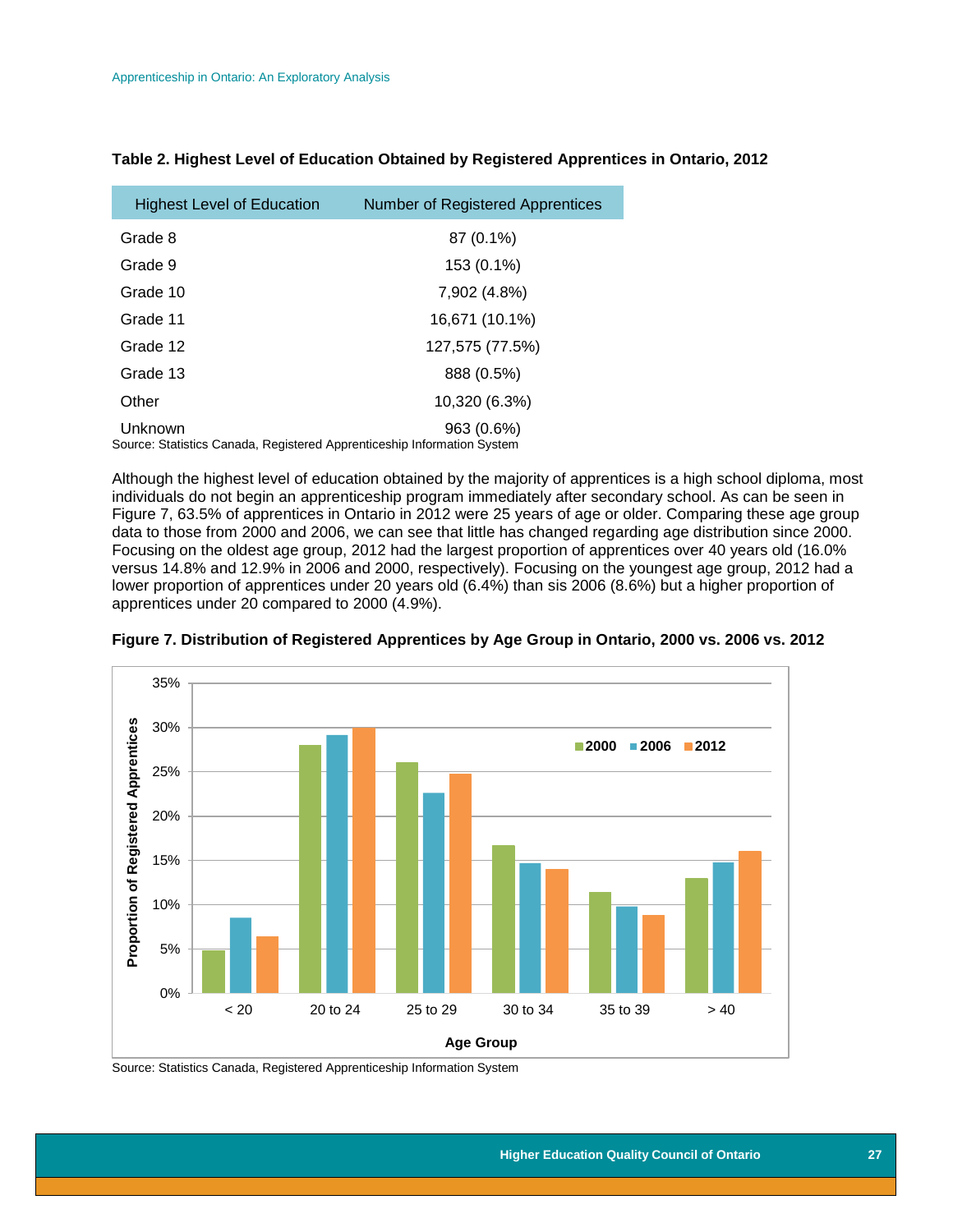| <b>Highest Level of Education</b>                                                  | <b>Number of Registered Apprentices</b> |
|------------------------------------------------------------------------------------|-----------------------------------------|
| Grade 8                                                                            | 87 (0.1%)                               |
| Grade 9                                                                            | 153 (0.1%)                              |
| Grade 10                                                                           | 7,902 (4.8%)                            |
| Grade 11                                                                           | 16,671 (10.1%)                          |
| Grade 12                                                                           | 127,575 (77.5%)                         |
| Grade 13                                                                           | 888 (0.5%)                              |
| Other                                                                              | 10,320 (6.3%)                           |
| Unknown<br>Source: Statistics Canada, Registered Apprenticeship Information System | 963 (0.6%)                              |

#### **Table 2. Highest Level of Education Obtained by Registered Apprentices in Ontario, 2012**

Although the highest level of education obtained by the majority of apprentices is a high school diploma, most individuals do not begin an apprenticeship program immediately after secondary school. As can be seen in Figure 7, 63.5% of apprentices in Ontario in 2012 were 25 years of age or older. Comparing these age group data to those from 2000 and 2006, we can see that little has changed regarding age distribution since 2000. Focusing on the oldest age group, 2012 had the largest proportion of apprentices over 40 years old (16.0% versus 14.8% and 12.9% in 2006 and 2000, respectively). Focusing on the youngest age group, 2012 had a lower proportion of apprentices under 20 years old (6.4%) than sis 2006 (8.6%) but a higher proportion of apprentices under 20 compared to 2000 (4.9%).



**Figure 7. Distribution of Registered Apprentices by Age Group in Ontario, 2000 vs. 2006 vs. 2012**

Source: Statistics Canada, Registered Apprenticeship Information System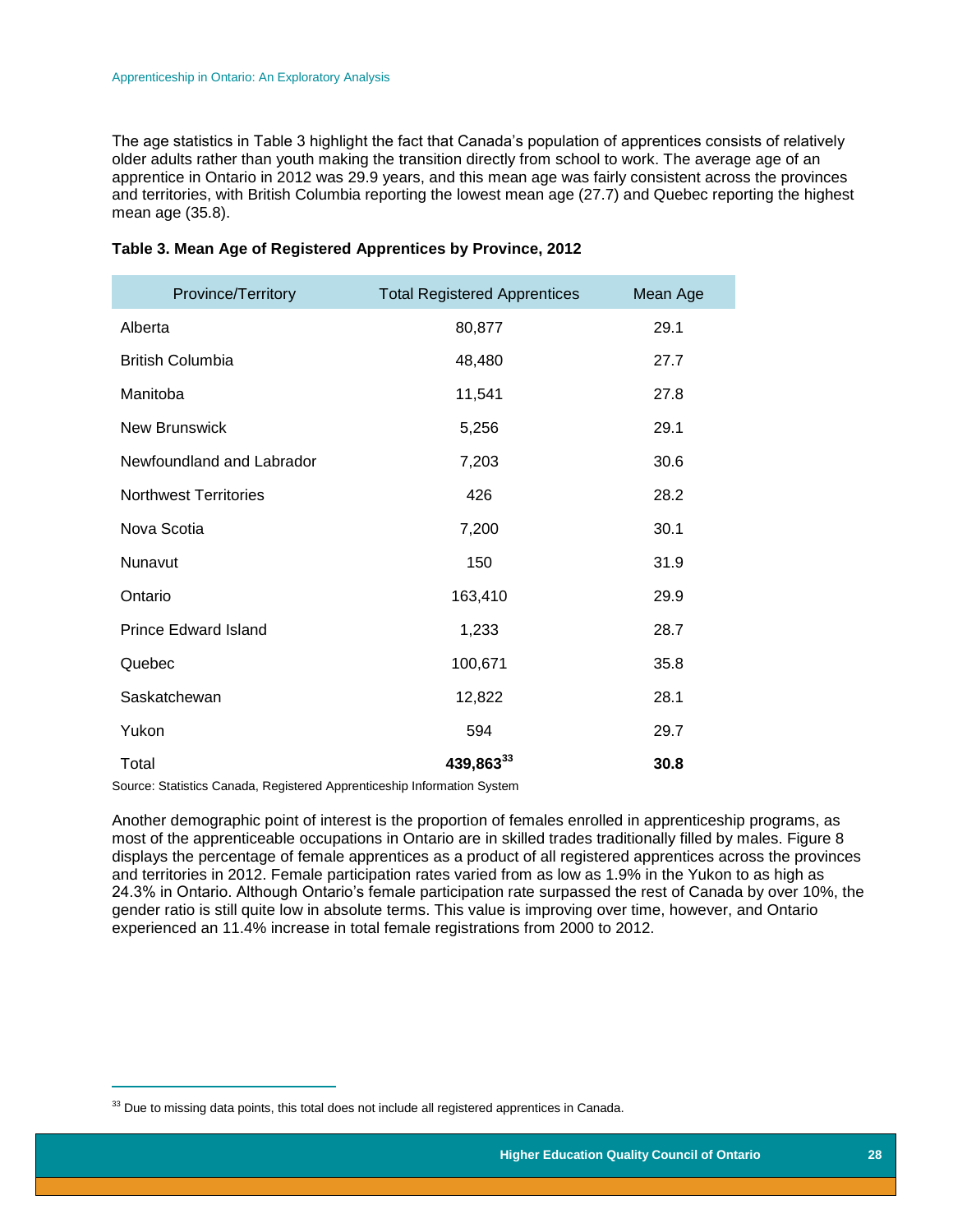The age statistics in Table 3 highlight the fact that Canada's population of apprentices consists of relatively older adults rather than youth making the transition directly from school to work. The average age of an apprentice in Ontario in 2012 was 29.9 years, and this mean age was fairly consistent across the provinces and territories, with British Columbia reporting the lowest mean age (27.7) and Quebec reporting the highest mean age (35.8).

| Province/Territory           | <b>Total Registered Apprentices</b> | Mean Age |
|------------------------------|-------------------------------------|----------|
| Alberta                      | 80,877                              | 29.1     |
| <b>British Columbia</b>      | 48,480                              | 27.7     |
| Manitoba                     | 11,541                              | 27.8     |
| <b>New Brunswick</b>         | 5,256                               | 29.1     |
| Newfoundland and Labrador    | 7,203                               | 30.6     |
| <b>Northwest Territories</b> | 426                                 | 28.2     |
| Nova Scotia                  | 7,200                               | 30.1     |
| Nunavut                      | 150                                 | 31.9     |
| Ontario                      | 163,410                             | 29.9     |
| <b>Prince Edward Island</b>  | 1,233                               | 28.7     |
| Quebec                       | 100,671                             | 35.8     |
| Saskatchewan                 | 12,822                              | 28.1     |
| Yukon                        | 594                                 | 29.7     |
| Total                        | 439,863 <sup>33</sup>               | 30.8     |

#### **Table 3. Mean Age of Registered Apprentices by Province, 2012**

Source: Statistics Canada, Registered Apprenticeship Information System

Another demographic point of interest is the proportion of females enrolled in apprenticeship programs, as most of the apprenticeable occupations in Ontario are in skilled trades traditionally filled by males. Figure 8 displays the percentage of female apprentices as a product of all registered apprentices across the provinces and territories in 2012. Female participation rates varied from as low as 1.9% in the Yukon to as high as 24.3% in Ontario. Although Ontario's female participation rate surpassed the rest of Canada by over 10%, the gender ratio is still quite low in absolute terms. This value is improving over time, however, and Ontario experienced an 11.4% increase in total female registrations from 2000 to 2012.

 $\overline{a}$ 

 $33$  Due to missing data points, this total does not include all registered apprentices in Canada.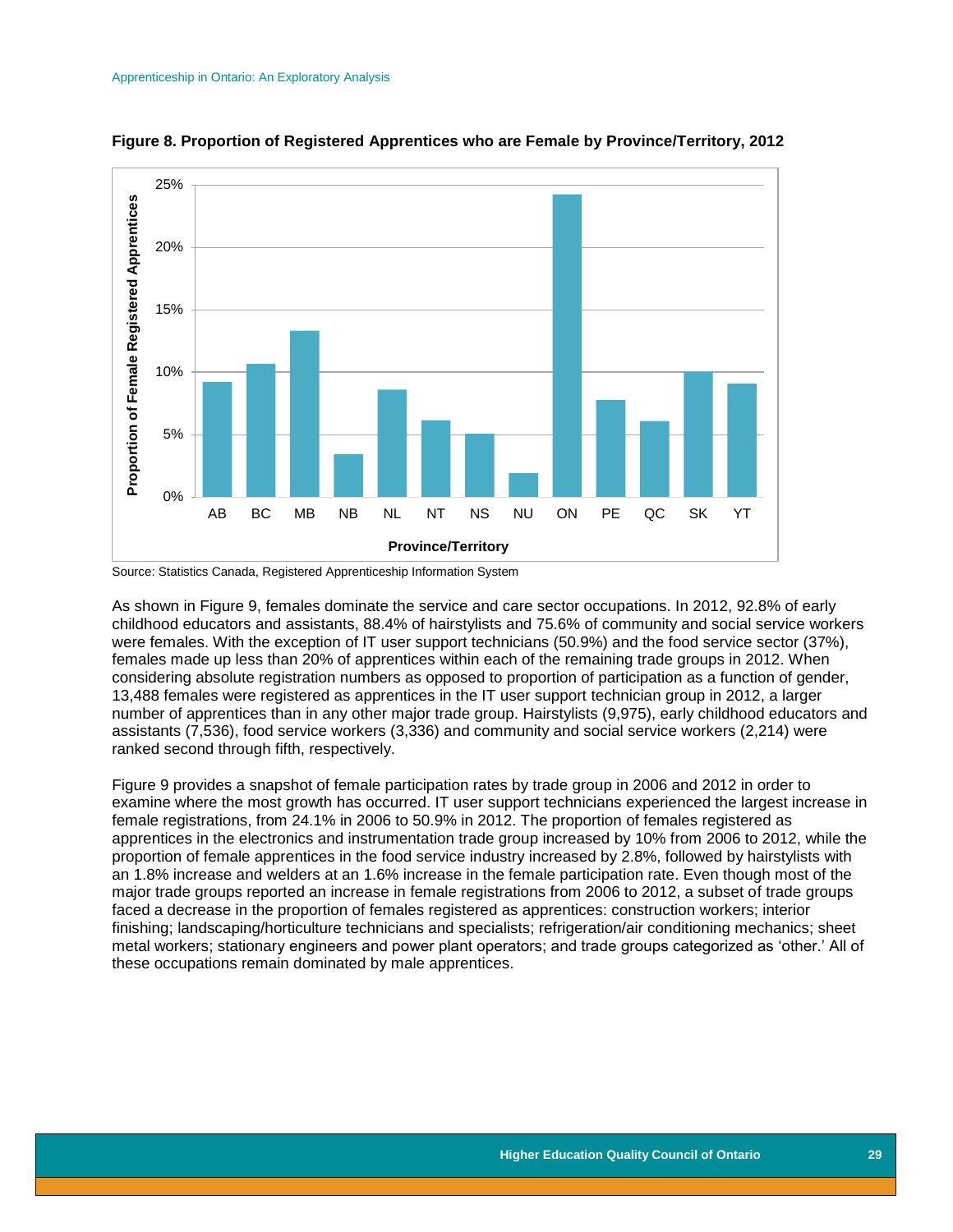

**Figure 8. Proportion of Registered Apprentices who are Female by Province/Territory, 2012**

Source: Statistics Canada, Registered Apprenticeship Information System

As shown in Figure 9, females dominate the service and care sector occupations. In 2012, 92.8% of early childhood educators and assistants, 88.4% of hairstylists and 75.6% of community and social service workers were females. With the exception of IT user support technicians (50.9%) and the food service sector (37%), females made up less than 20% of apprentices within each of the remaining trade groups in 2012. When considering absolute registration numbers as opposed to proportion of participation as a function of gender, 13,488 females were registered as apprentices in the IT user support technician group in 2012, a larger number of apprentices than in any other major trade group. Hairstylists (9,975), early childhood educators and assistants (7,536), food service workers (3,336) and community and social service workers (2,214) were ranked second through fifth, respectively.

Figure 9 provides a snapshot of female participation rates by trade group in 2006 and 2012 in order to examine where the most growth has occurred. IT user support technicians experienced the largest increase in female registrations, from 24.1% in 2006 to 50.9% in 2012. The proportion of females registered as apprentices in the electronics and instrumentation trade group increased by 10% from 2006 to 2012, while the proportion of female apprentices in the food service industry increased by 2.8%, followed by hairstylists with an 1.8% increase and welders at an 1.6% increase in the female participation rate. Even though most of the major trade groups reported an increase in female registrations from 2006 to 2012, a subset of trade groups faced a decrease in the proportion of females registered as apprentices: construction workers; interior finishing; landscaping/horticulture technicians and specialists; refrigeration/air conditioning mechanics; sheet metal workers; stationary engineers and power plant operators; and trade groups categorized as 'other.' All of these occupations remain dominated by male apprentices.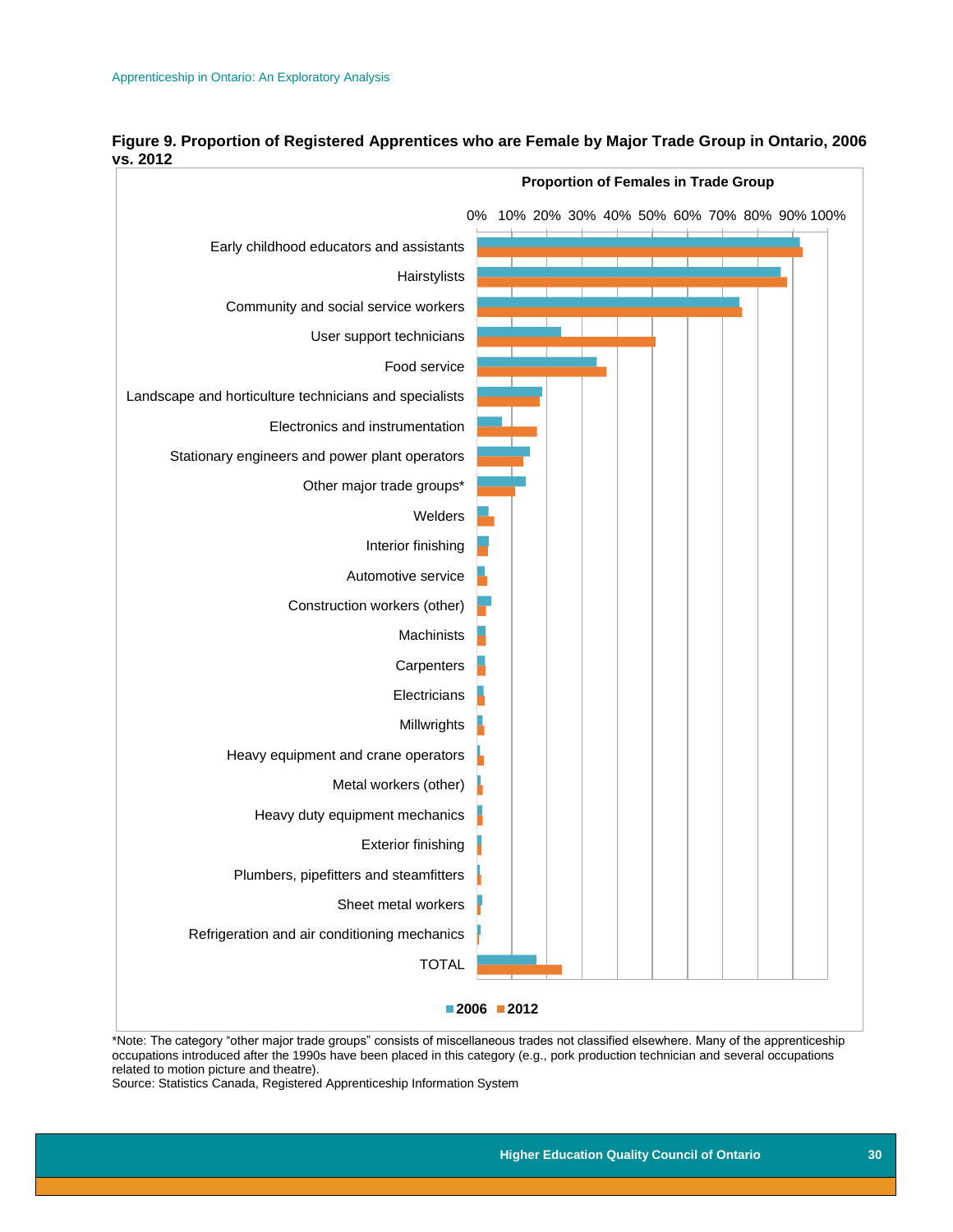

#### **Figure 9. Proportion of Registered Apprentices who are Female by Major Trade Group in Ontario, 2006 vs. 2012**

\*Note: The category "other major trade groups" consists of miscellaneous trades not classified elsewhere. Many of the apprenticeship occupations introduced after the 1990s have been placed in this category (e.g., pork production technician and several occupations related to motion picture and theatre).

<span id="page-30-0"></span>Source: Statistics Canada, Registered Apprenticeship Information System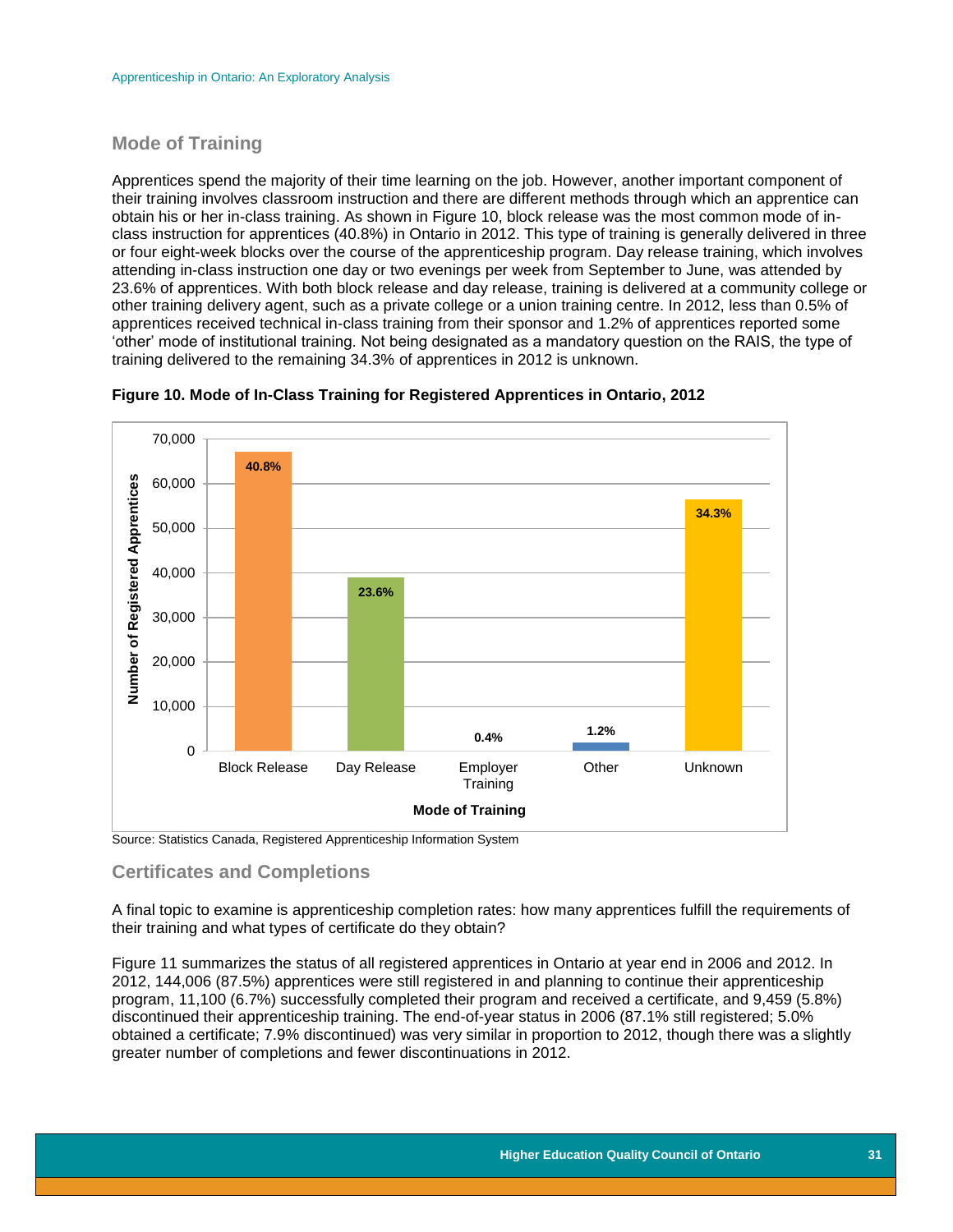## **Mode of Training**

Apprentices spend the majority of their time learning on the job. However, another important component of their training involves classroom instruction and there are different methods through which an apprentice can obtain his or her in-class training. As shown in Figure 10, block release was the most common mode of inclass instruction for apprentices (40.8%) in Ontario in 2012. This type of training is generally delivered in three or four eight-week blocks over the course of the apprenticeship program. Day release training, which involves attending in-class instruction one day or two evenings per week from September to June, was attended by 23.6% of apprentices. With both block release and day release, training is delivered at a community college or other training delivery agent, such as a private college or a union training centre. In 2012, less than 0.5% of apprentices received technical in-class training from their sponsor and 1.2% of apprentices reported some 'other' mode of institutional training. Not being designated as a mandatory question on the RAIS, the type of training delivered to the remaining 34.3% of apprentices in 2012 is unknown.





Source: Statistics Canada, Registered Apprenticeship Information System

## <span id="page-31-0"></span>**Certificates and Completions**

A final topic to examine is apprenticeship completion rates: how many apprentices fulfill the requirements of their training and what types of certificate do they obtain?

Figure 11 summarizes the status of all registered apprentices in Ontario at year end in 2006 and 2012. In 2012, 144,006 (87.5%) apprentices were still registered in and planning to continue their apprenticeship program, 11,100 (6.7%) successfully completed their program and received a certificate, and 9,459 (5.8%) discontinued their apprenticeship training. The end-of-year status in 2006 (87.1% still registered; 5.0% obtained a certificate; 7.9% discontinued) was very similar in proportion to 2012, though there was a slightly greater number of completions and fewer discontinuations in 2012.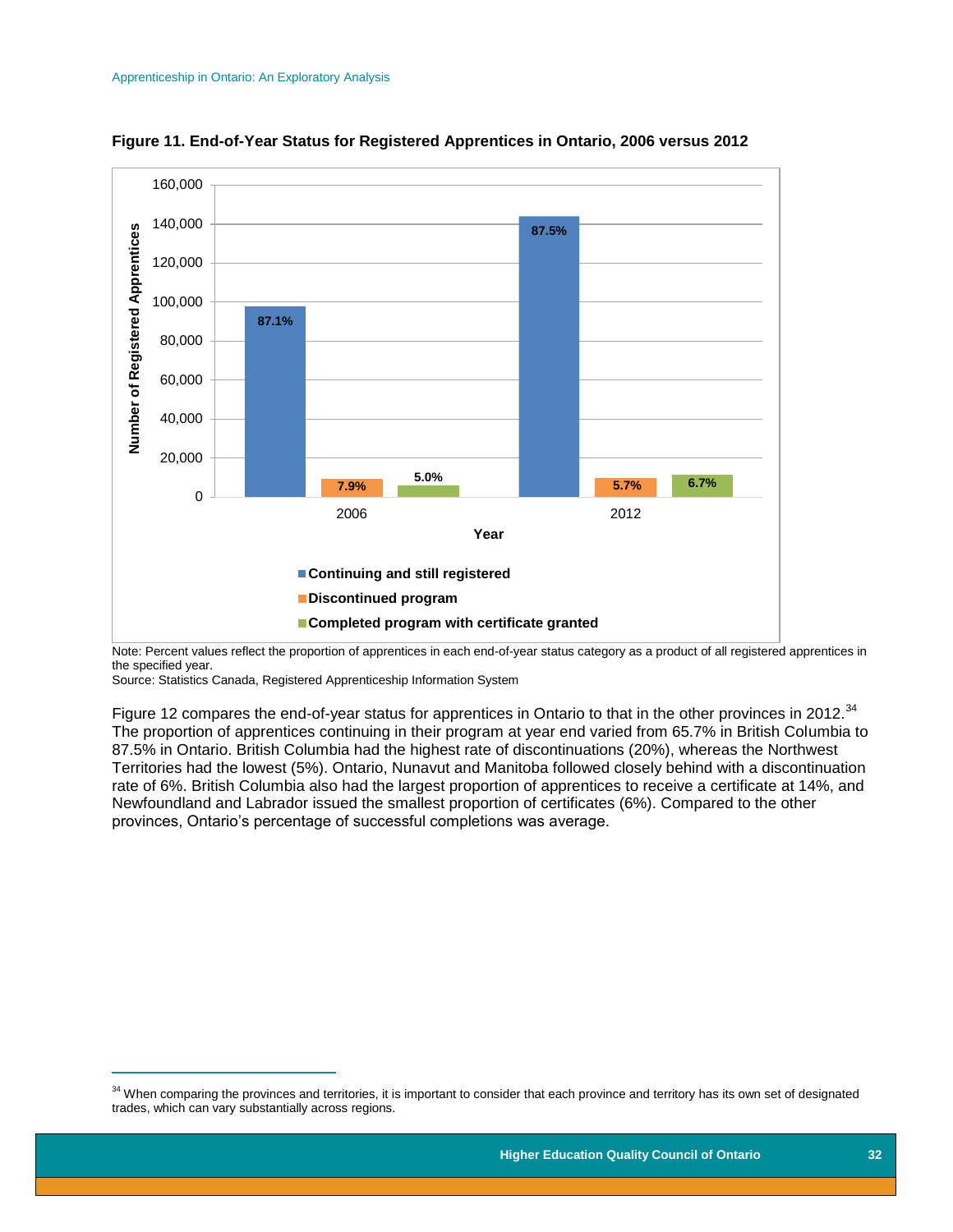

**Figure 11. End-of-Year Status for Registered Apprentices in Ontario, 2006 versus 2012**

Note: Percent values reflect the proportion of apprentices in each end-of-year status category as a product of all registered apprentices in the specified year.

Source: Statistics Canada, Registered Apprenticeship Information System

 $\overline{a}$ 

Figure 12 compares the end-of-year status for apprentices in Ontario to that in the other provinces in 2012.<sup>34</sup> The proportion of apprentices continuing in their program at year end varied from 65.7% in British Columbia to 87.5% in Ontario. British Columbia had the highest rate of discontinuations (20%), whereas the Northwest Territories had the lowest (5%). Ontario, Nunavut and Manitoba followed closely behind with a discontinuation rate of 6%. British Columbia also had the largest proportion of apprentices to receive a certificate at 14%, and Newfoundland and Labrador issued the smallest proportion of certificates (6%). Compared to the other provinces, Ontario's percentage of successful completions was average.

<sup>&</sup>lt;sup>34</sup> When comparing the provinces and territories, it is important to consider that each province and territory has its own set of designated trades, which can vary substantially across regions.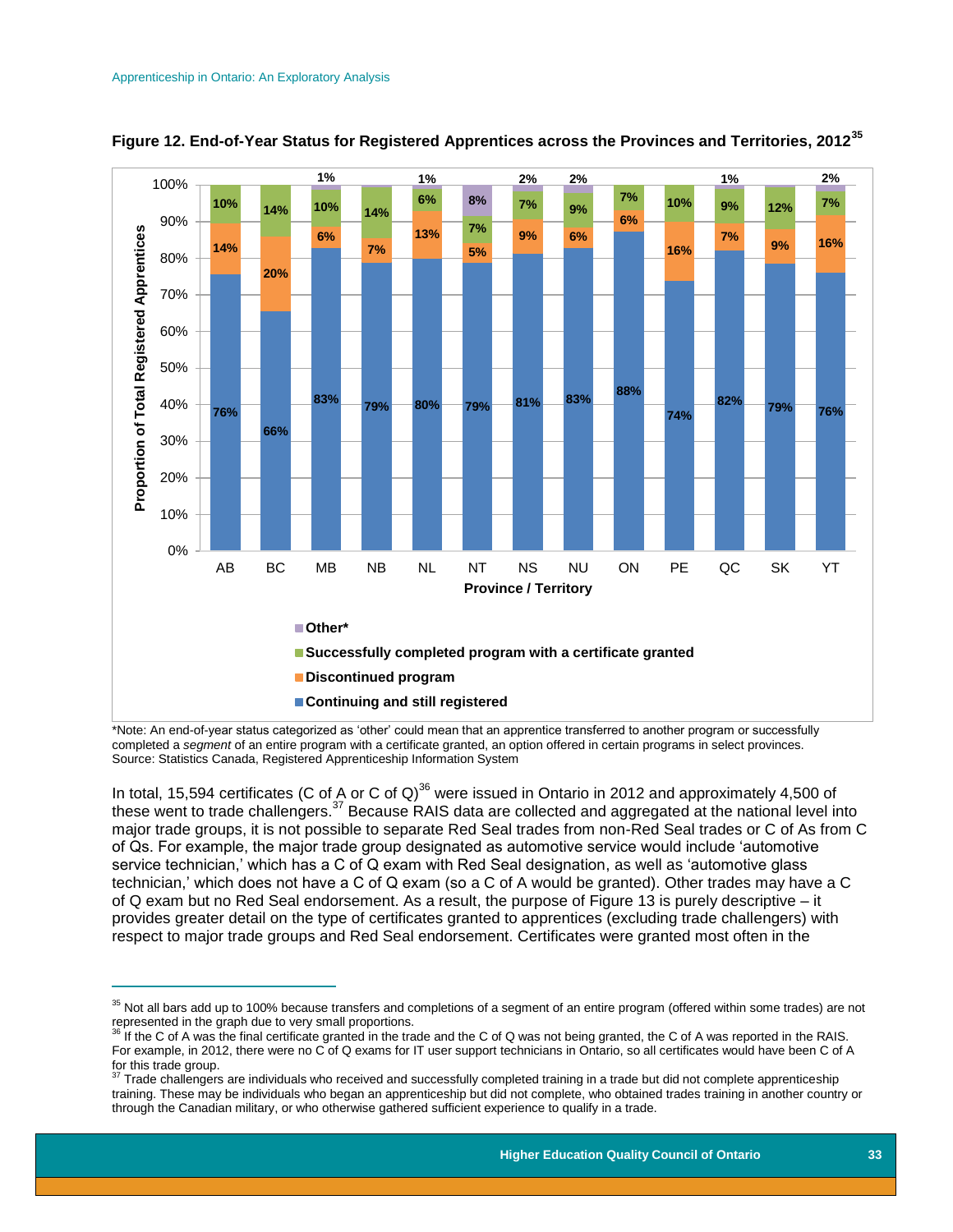$\overline{a}$ 





\*Note: An end-of-year status categorized as 'other' could mean that an apprentice transferred to another program or successfully completed a *segment* of an entire program with a certificate granted, an option offered in certain programs in select provinces. Source: Statistics Canada, Registered Apprenticeship Information System

In total, 15,594 certificates (C of A or C of Q)<sup>36</sup> were issued in Ontario in 2012 and approximately 4,500 of these went to trade challengers.<sup>37</sup> Because RAIS data are collected and aggregated at the national level into major trade groups, it is not possible to separate Red Seal trades from non-Red Seal trades or C of As from C of Qs. For example, the major trade group designated as automotive service would include 'automotive service technician,' which has a C of Q exam with Red Seal designation, as well as 'automotive glass technician,' which does not have a C of Q exam (so a C of A would be granted). Other trades may have a C of Q exam but no Red Seal endorsement. As a result, the purpose of Figure 13 is purely descriptive – it provides greater detail on the type of certificates granted to apprentices (excluding trade challengers) with respect to major trade groups and Red Seal endorsement. Certificates were granted most often in the

<sup>&</sup>lt;sup>35</sup> Not all bars add up to 100% because transfers and completions of a segment of an entire program (offered within some trades) are not represented in the graph due to very small proportions.

<sup>&</sup>lt;sup>36</sup> If the C of A was the final certificate granted in the trade and the C of Q was not being granted, the C of A was reported in the RAIS. For example, in 2012, there were no C of Q exams for IT user support technicians in Ontario, so all certificates would have been C of A  $f(x) = \frac{1}{37}$  Trade group.

Trade challengers are individuals who received and successfully completed training in a trade but did not complete apprenticeship training. These may be individuals who began an apprenticeship but did not complete, who obtained trades training in another country or through the Canadian military, or who otherwise gathered sufficient experience to qualify in a trade.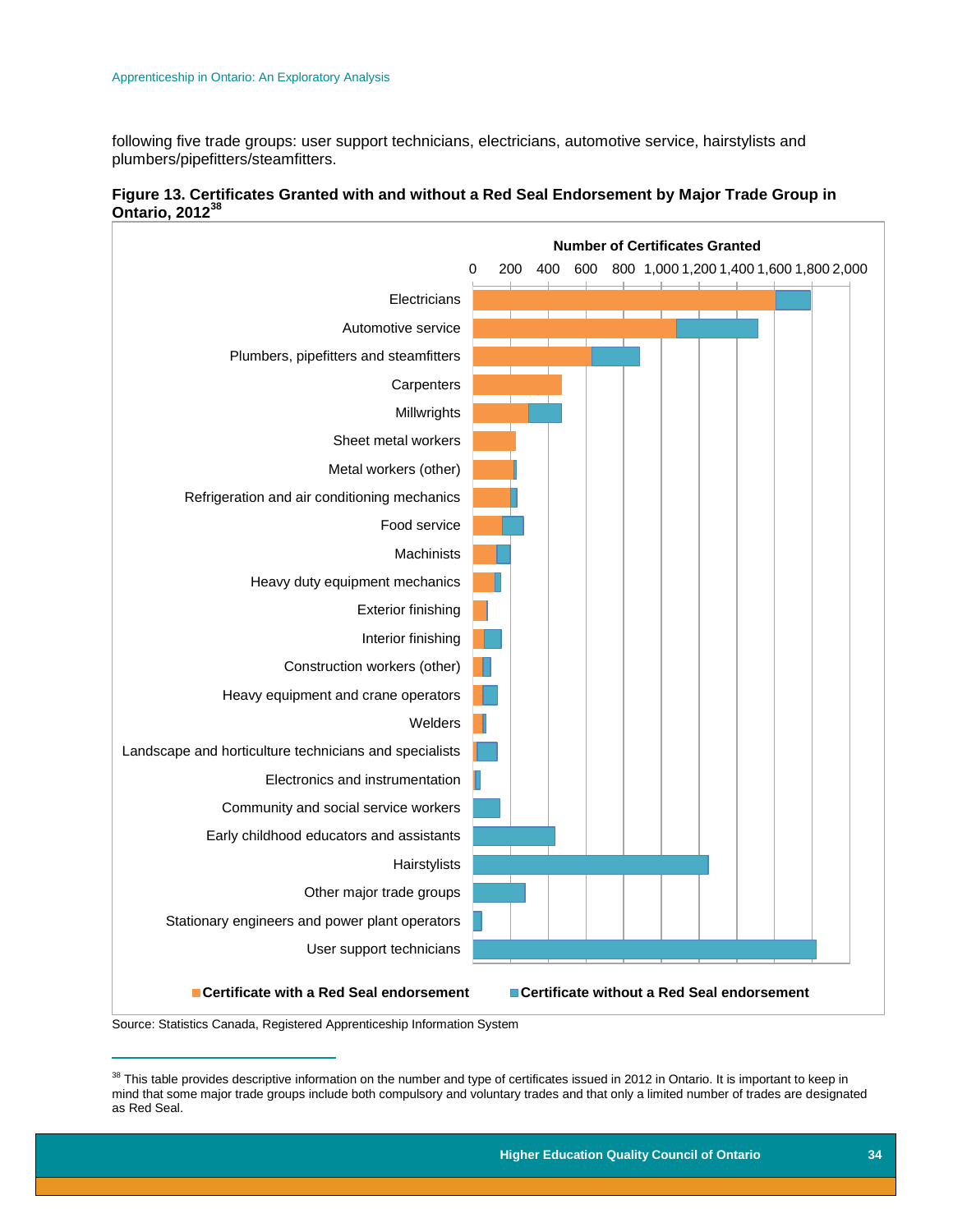following five trade groups: user support technicians, electricians, automotive service, hairstylists and plumbers/pipefitters/steamfitters.



#### **Figure 13. Certificates Granted with and without a Red Seal Endorsement by Major Trade Group in Ontario, 2012<sup>38</sup>**

Source: Statistics Canada, Registered Apprenticeship Information System

 $\overline{a}$ 

<sup>&</sup>lt;sup>38</sup> This table provides descriptive information on the number and type of certificates issued in 2012 in Ontario. It is important to keep in mind that some major trade groups include both compulsory and voluntary trades and that only a limited number of trades are designated as Red Seal.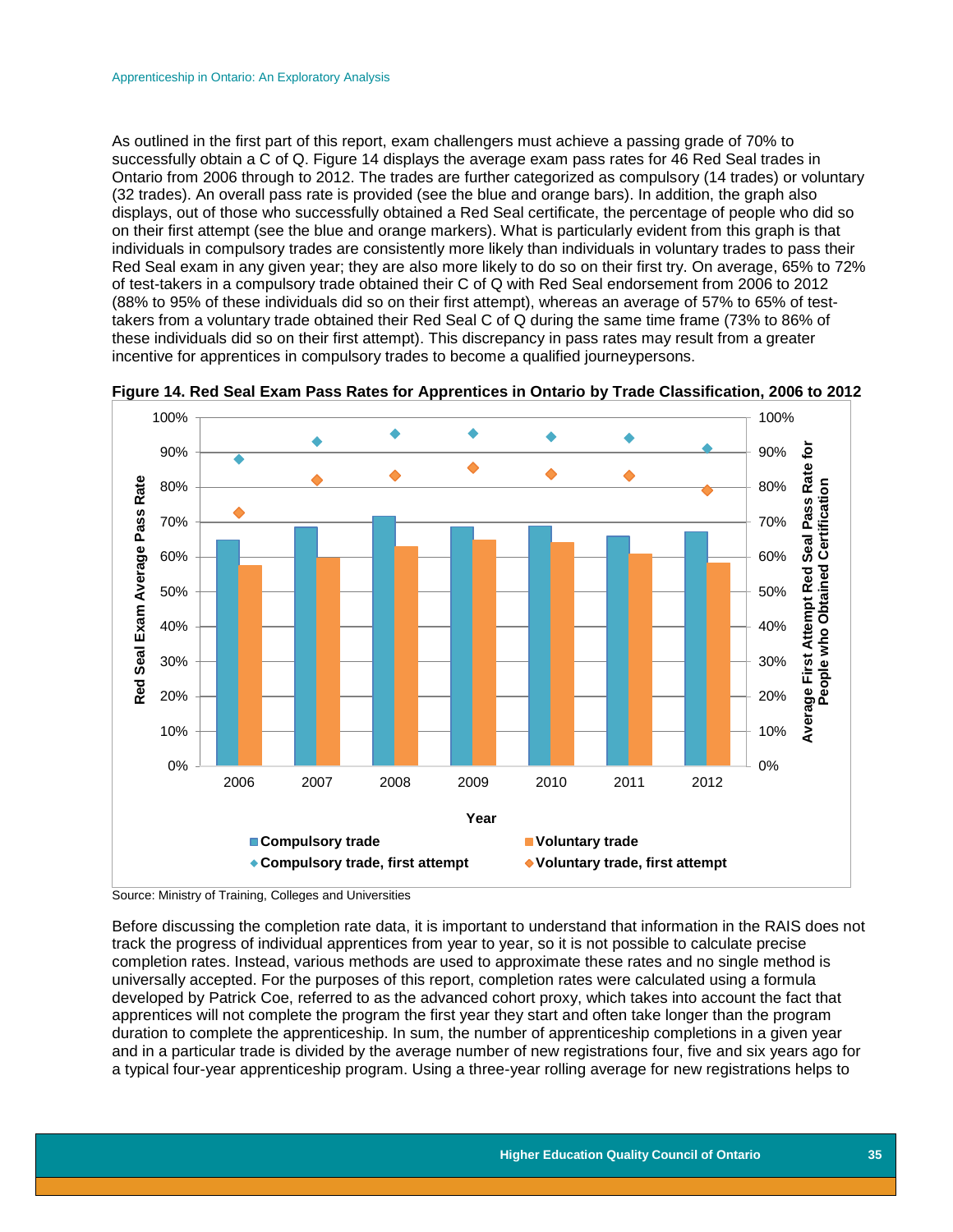As outlined in the first part of this report, exam challengers must achieve a passing grade of 70% to successfully obtain a C of Q. Figure 14 displays the average exam pass rates for 46 Red Seal trades in Ontario from 2006 through to 2012. The trades are further categorized as compulsory (14 trades) or voluntary (32 trades). An overall pass rate is provided (see the blue and orange bars). In addition, the graph also displays, out of those who successfully obtained a Red Seal certificate, the percentage of people who did so on their first attempt (see the blue and orange markers). What is particularly evident from this graph is that individuals in compulsory trades are consistently more likely than individuals in voluntary trades to pass their Red Seal exam in any given year; they are also more likely to do so on their first try. On average, 65% to 72% of test-takers in a compulsory trade obtained their C of Q with Red Seal endorsement from 2006 to 2012 (88% to 95% of these individuals did so on their first attempt), whereas an average of 57% to 65% of testtakers from a voluntary trade obtained their Red Seal C of Q during the same time frame (73% to 86% of these individuals did so on their first attempt). This discrepancy in pass rates may result from a greater incentive for apprentices in compulsory trades to become a qualified journeypersons.



**Figure 14. Red Seal Exam Pass Rates for Apprentices in Ontario by Trade Classification, 2006 to 2012**

Before discussing the completion rate data, it is important to understand that information in the RAIS does not track the progress of individual apprentices from year to year, so it is not possible to calculate precise completion rates. Instead, various methods are used to approximate these rates and no single method is universally accepted. For the purposes of this report, completion rates were calculated using a formula developed by Patrick Coe, referred to as the advanced cohort proxy, which takes into account the fact that apprentices will not complete the program the first year they start and often take longer than the program duration to complete the apprenticeship. In sum, the number of apprenticeship completions in a given year and in a particular trade is divided by the average number of new registrations four, five and six years ago for a typical four-year apprenticeship program. Using a three-year rolling average for new registrations helps to

Source: Ministry of Training, Colleges and Universities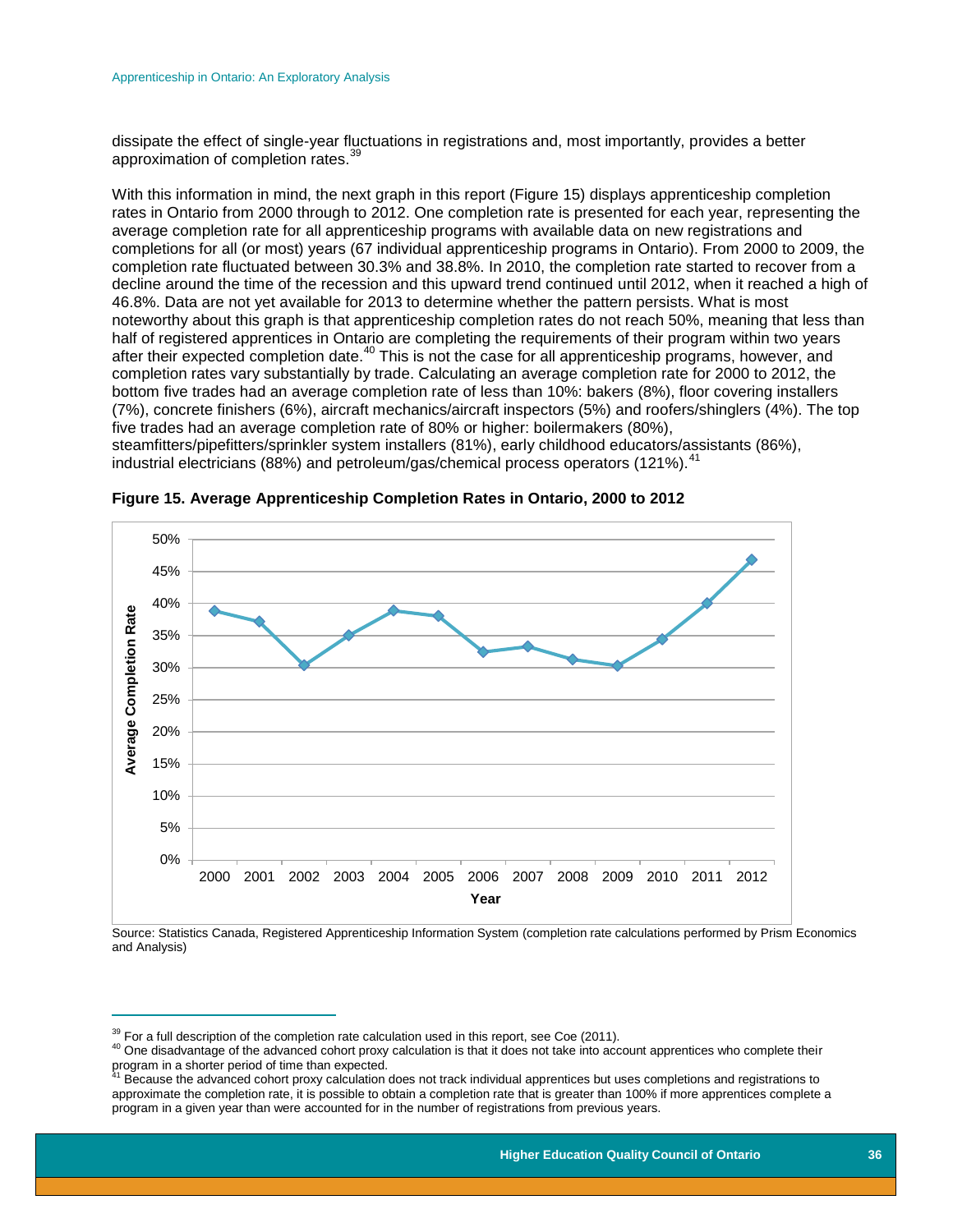dissipate the effect of single-year fluctuations in registrations and, most importantly, provides a better approximation of completion rates.<sup>3</sup>

With this information in mind, the next graph in this report (Figure 15) displays apprenticeship completion rates in Ontario from 2000 through to 2012. One completion rate is presented for each year, representing the average completion rate for all apprenticeship programs with available data on new registrations and completions for all (or most) years (67 individual apprenticeship programs in Ontario). From 2000 to 2009, the completion rate fluctuated between 30.3% and 38.8%. In 2010, the completion rate started to recover from a decline around the time of the recession and this upward trend continued until 2012, when it reached a high of 46.8%. Data are not yet available for 2013 to determine whether the pattern persists. What is most noteworthy about this graph is that apprenticeship completion rates do not reach 50%, meaning that less than half of registered apprentices in Ontario are completing the requirements of their program within two years after their expected completion date.<sup>40</sup> This is not the case for all apprenticeship programs, however, and completion rates vary substantially by trade. Calculating an average completion rate for 2000 to 2012, the bottom five trades had an average completion rate of less than 10%: bakers (8%), floor covering installers (7%), concrete finishers (6%), aircraft mechanics/aircraft inspectors (5%) and roofers/shinglers (4%). The top five trades had an average completion rate of 80% or higher: boilermakers (80%), steamfitters/pipefitters/sprinkler system installers (81%), early childhood educators/assistants (86%),

50% 45% 40% **Average Completion Rate Average Completion Rate** 35% 30% 25% 20% 15% 10% 5% 0% 2000 2001 2002 2003 2004 2005 2006 2007 2008 2009 2010 2011 2012 **Year**

**Figure 15. Average Apprenticeship Completion Rates in Ontario, 2000 to 2012**

industrial electricians (88%) and petroleum/gas/chemical process operators (121%).<sup>41</sup>

Source: Statistics Canada, Registered Apprenticeship Information System (completion rate calculations performed by Prism Economics and Analysis)

 $\overline{a}$ 

 $39$  For a full description of the completion rate calculation used in this report, see Coe (2011).

<sup>&</sup>lt;sup>40</sup> One disadvantage of the advanced cohort proxy calculation is that it does not take into account apprentices who complete their program in a shorter period of time than expected.<br><sup>41</sup> Because the advanced cohort proxy calculation does not track individual apprentices but uses completions and registrations to

approximate the completion rate, it is possible to obtain a completion rate that is greater than 100% if more apprentices complete a program in a given year than were accounted for in the number of registrations from previous years.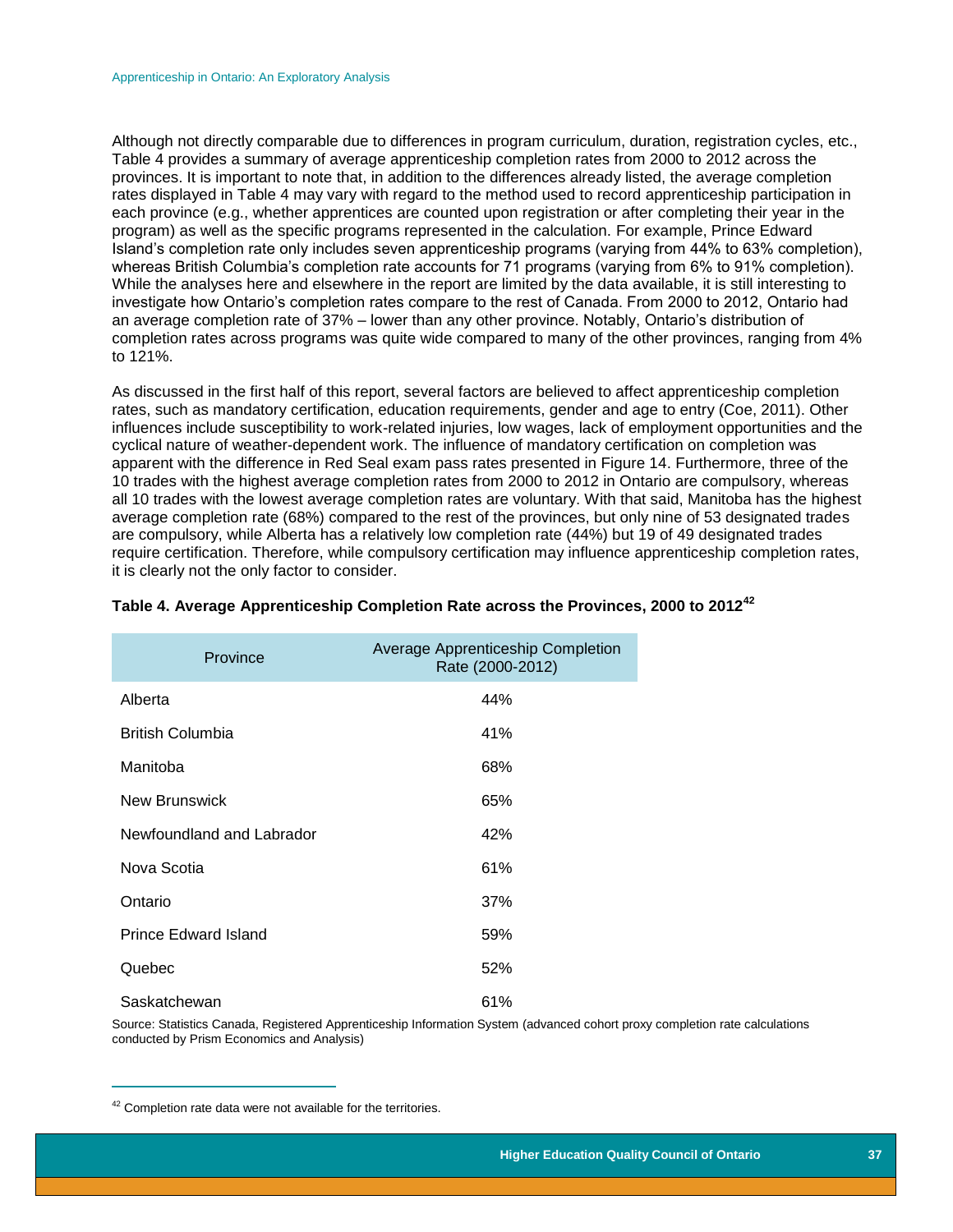Although not directly comparable due to differences in program curriculum, duration, registration cycles, etc., Table 4 provides a summary of average apprenticeship completion rates from 2000 to 2012 across the provinces. It is important to note that, in addition to the differences already listed, the average completion rates displayed in Table 4 may vary with regard to the method used to record apprenticeship participation in each province (e.g., whether apprentices are counted upon registration or after completing their year in the program) as well as the specific programs represented in the calculation. For example, Prince Edward Island's completion rate only includes seven apprenticeship programs (varying from 44% to 63% completion), whereas British Columbia's completion rate accounts for 71 programs (varying from 6% to 91% completion). While the analyses here and elsewhere in the report are limited by the data available, it is still interesting to investigate how Ontario's completion rates compare to the rest of Canada. From 2000 to 2012, Ontario had an average completion rate of 37% – lower than any other province. Notably, Ontario's distribution of completion rates across programs was quite wide compared to many of the other provinces, ranging from 4% to 121%.

As discussed in the first half of this report, several factors are believed to affect apprenticeship completion rates, such as mandatory certification, education requirements, gender and age to entry (Coe, 2011). Other influences include susceptibility to work-related injuries, low wages, lack of employment opportunities and the cyclical nature of weather-dependent work. The influence of mandatory certification on completion was apparent with the difference in Red Seal exam pass rates presented in Figure 14. Furthermore, three of the 10 trades with the highest average completion rates from 2000 to 2012 in Ontario are compulsory, whereas all 10 trades with the lowest average completion rates are voluntary. With that said, Manitoba has the highest average completion rate (68%) compared to the rest of the provinces, but only nine of 53 designated trades are compulsory, while Alberta has a relatively low completion rate (44%) but 19 of 49 designated trades require certification. Therefore, while compulsory certification may influence apprenticeship completion rates, it is clearly not the only factor to consider.

| Province                    | Average Apprenticeship Completion<br>Rate (2000-2012) |
|-----------------------------|-------------------------------------------------------|
| Alberta                     | 44%                                                   |
| <b>British Columbia</b>     | 41%                                                   |
| Manitoba                    | 68%                                                   |
| New Brunswick               | 65%                                                   |
| Newfoundland and Labrador   | 42%                                                   |
| Nova Scotia                 | 61%                                                   |
| Ontario                     | 37%                                                   |
| <b>Prince Edward Island</b> | 59%                                                   |
| Quebec                      | 52%                                                   |
| Saskatchewan                | 61%                                                   |

#### **Table 4. Average Apprenticeship Completion Rate across the Provinces, 2000 to 2012<sup>42</sup>**

Source: Statistics Canada, Registered Apprenticeship Information System (advanced cohort proxy completion rate calculations conducted by Prism Economics and Analysis)

 $42$  Completion rate data were not available for the territories.

<span id="page-37-0"></span> $\overline{a}$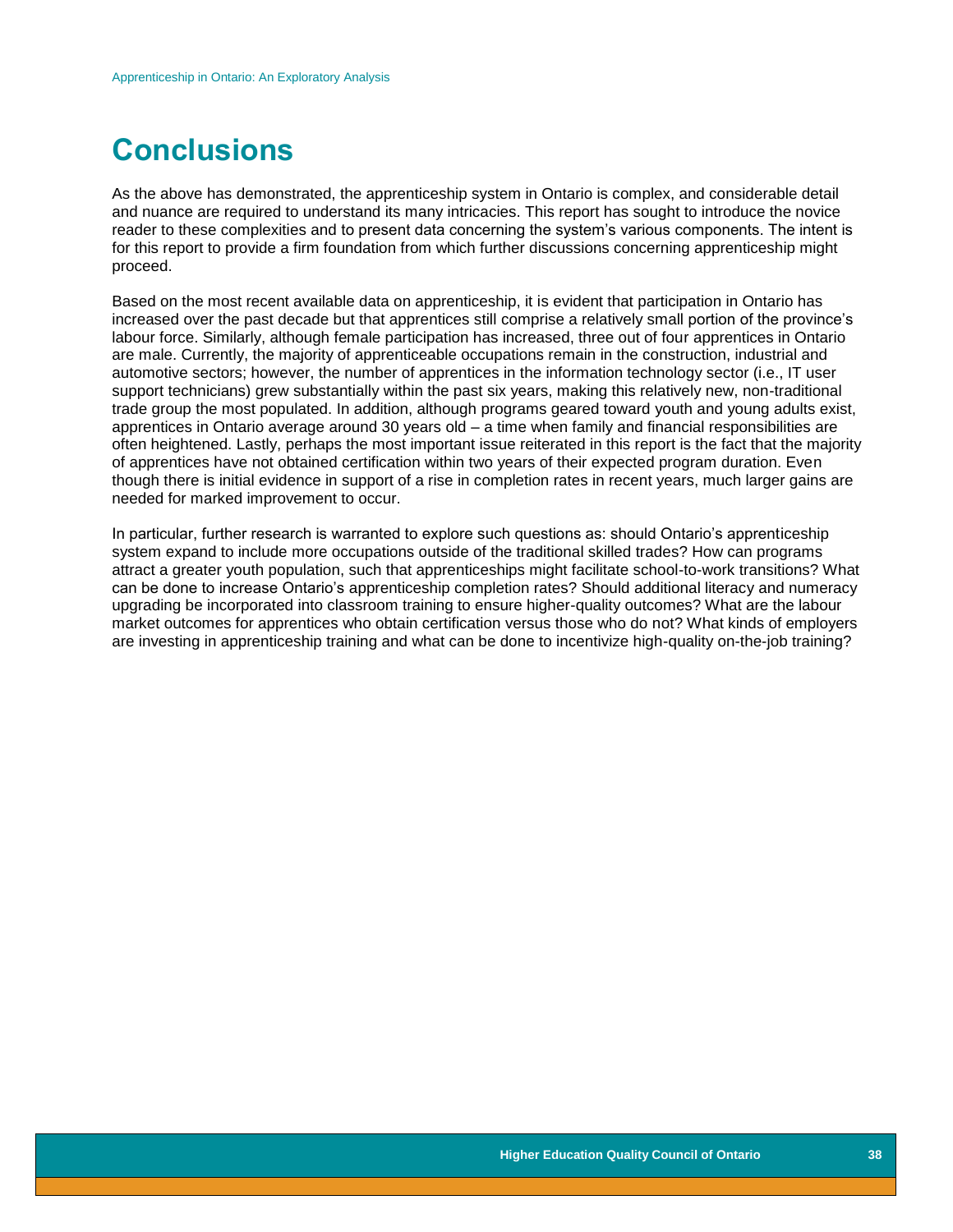# **Conclusions**

As the above has demonstrated, the apprenticeship system in Ontario is complex, and considerable detail and nuance are required to understand its many intricacies. This report has sought to introduce the novice reader to these complexities and to present data concerning the system's various components. The intent is for this report to provide a firm foundation from which further discussions concerning apprenticeship might proceed.

Based on the most recent available data on apprenticeship, it is evident that participation in Ontario has increased over the past decade but that apprentices still comprise a relatively small portion of the province's labour force. Similarly, although female participation has increased, three out of four apprentices in Ontario are male. Currently, the majority of apprenticeable occupations remain in the construction, industrial and automotive sectors; however, the number of apprentices in the information technology sector (i.e., IT user support technicians) grew substantially within the past six years, making this relatively new, non-traditional trade group the most populated. In addition, although programs geared toward youth and young adults exist, apprentices in Ontario average around 30 years old – a time when family and financial responsibilities are often heightened. Lastly, perhaps the most important issue reiterated in this report is the fact that the majority of apprentices have not obtained certification within two years of their expected program duration. Even though there is initial evidence in support of a rise in completion rates in recent years, much larger gains are needed for marked improvement to occur.

In particular, further research is warranted to explore such questions as: should Ontario's apprenticeship system expand to include more occupations outside of the traditional skilled trades? How can programs attract a greater youth population, such that apprenticeships might facilitate school-to-work transitions? What can be done to increase Ontario's apprenticeship completion rates? Should additional literacy and numeracy upgrading be incorporated into classroom training to ensure higher-quality outcomes? What are the labour market outcomes for apprentices who obtain certification versus those who do not? What kinds of employers are investing in apprenticeship training and what can be done to incentivize high-quality on-the-job training?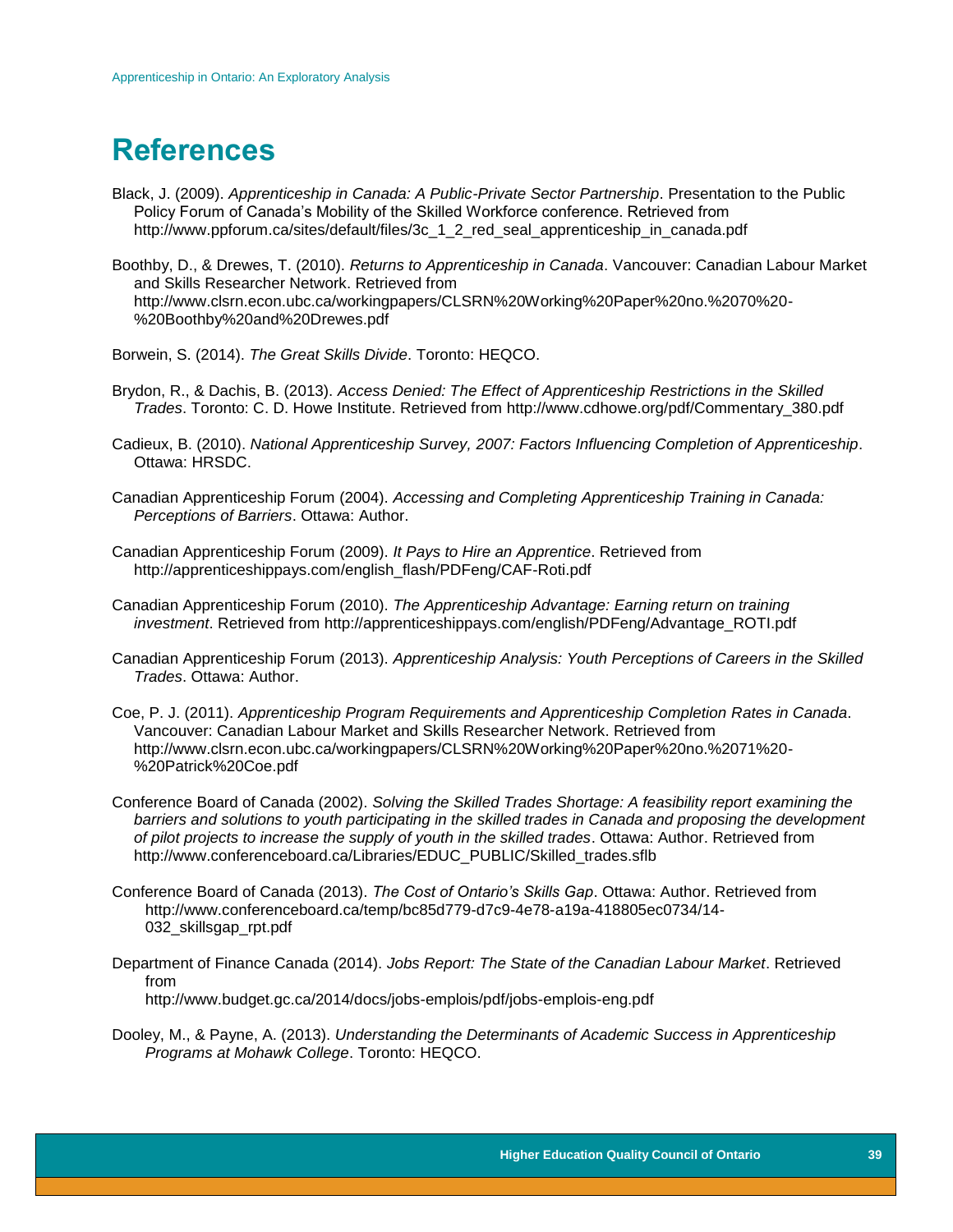# <span id="page-39-0"></span>**References**

Black, J. (2009). *Apprenticeship in Canada: A Public-Private Sector Partnership*. Presentation to the Public Policy Forum of Canada's Mobility of the Skilled Workforce conference. Retrieved from http://www.ppforum.ca/sites/default/files/3c\_1\_2\_red\_seal\_apprenticeship\_in\_canada.pdf

Boothby, D., & Drewes, T. (2010). *Returns to Apprenticeship in Canada*. Vancouver: Canadian Labour Market and Skills Researcher Network. Retrieved from http://www.clsrn.econ.ubc.ca/workingpapers/CLSRN%20Working%20Paper%20no.%2070%20- %20Boothby%20and%20Drewes.pdf

Borwein, S. (2014). *The Great Skills Divide*. Toronto: HEQCO.

- Brydon, R., & Dachis, B. (2013). *Access Denied: The Effect of Apprenticeship Restrictions in the Skilled Trades*. Toronto: C. D. Howe Institute. Retrieved from http://www.cdhowe.org/pdf/Commentary\_380.pdf
- Cadieux, B. (2010). *National Apprenticeship Survey, 2007: Factors Influencing Completion of Apprenticeship*. Ottawa: HRSDC.
- Canadian Apprenticeship Forum (2004). *Accessing and Completing Apprenticeship Training in Canada: Perceptions of Barriers*. Ottawa: Author.
- Canadian Apprenticeship Forum (2009). *It Pays to Hire an Apprentice*. Retrieved from http://apprenticeshippays.com/english\_flash/PDFeng/CAF-Roti.pdf
- Canadian Apprenticeship Forum (2010). *The Apprenticeship Advantage: Earning return on training investment*. Retrieved from http://apprenticeshippays.com/english/PDFeng/Advantage\_ROTI.pdf
- Canadian Apprenticeship Forum (2013). *Apprenticeship Analysis: Youth Perceptions of Careers in the Skilled Trades*. Ottawa: Author.
- Coe, P. J. (2011). *Apprenticeship Program Requirements and Apprenticeship Completion Rates in Canada*. Vancouver: Canadian Labour Market and Skills Researcher Network. Retrieved from http://www.clsrn.econ.ubc.ca/workingpapers/CLSRN%20Working%20Paper%20no.%2071%20- %20Patrick%20Coe.pdf
- Conference Board of Canada (2002). *Solving the Skilled Trades Shortage: A feasibility report examining the barriers and solutions to youth participating in the skilled trades in Canada and proposing the development of pilot projects to increase the supply of youth in the skilled trades*. Ottawa: Author. Retrieved from http://www.conferenceboard.ca/Libraries/EDUC\_PUBLIC/Skilled\_trades.sflb
- Conference Board of Canada (2013). *The Cost of Ontario's Skills Gap*. Ottawa: Author. Retrieved from http://www.conferenceboard.ca/temp/bc85d779-d7c9-4e78-a19a-418805ec0734/14- 032\_skillsgap\_rpt.pdf
- Department of Finance Canada (2014). *Jobs Report: The State of the Canadian Labour Market*. Retrieved from http://www.budget.gc.ca/2014/docs/jobs-emplois/pdf/jobs-emplois-eng.pdf
- Dooley, M., & Payne, A. (2013). *Understanding the Determinants of Academic Success in Apprenticeship Programs at Mohawk College*. Toronto: HEQCO.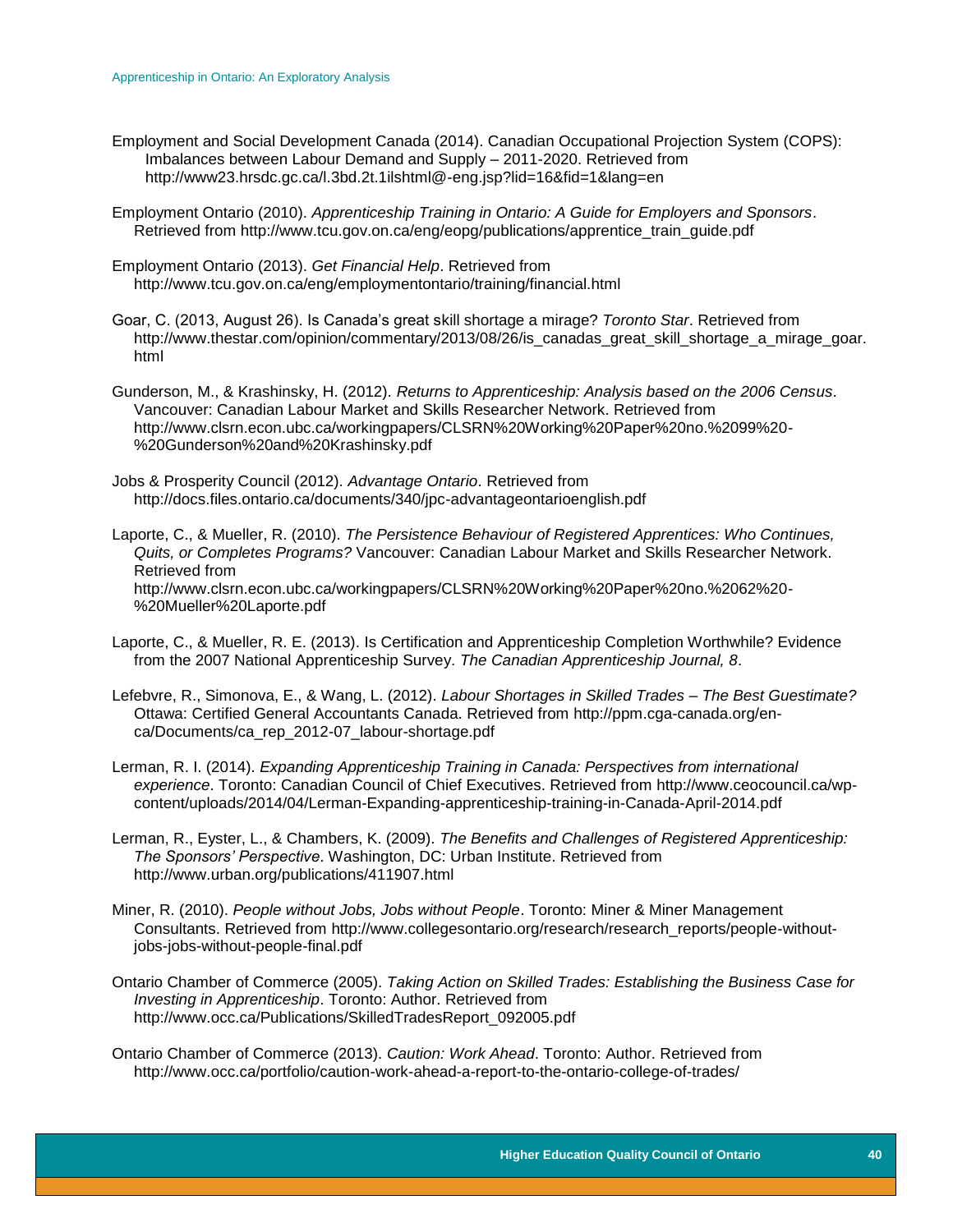- Employment and Social Development Canada (2014). Canadian Occupational Projection System (COPS): Imbalances between Labour Demand and Supply – 2011-2020. Retrieved from http://www23.hrsdc.gc.ca/l.3bd.2t.1ilshtml@-eng.jsp?lid=16&fid=1&lang=en
- Employment Ontario (2010). *Apprenticeship Training in Ontario: A Guide for Employers and Sponsors*. Retrieved from http://www.tcu.gov.on.ca/eng/eopg/publications/apprentice\_train\_guide.pdf
- Employment Ontario (2013). *Get Financial Help*. Retrieved from http://www.tcu.gov.on.ca/eng/employmentontario/training/financial.html
- Goar, C. (2013, August 26). Is Canada's great skill shortage a mirage? *Toronto Star*. Retrieved from http://www.thestar.com/opinion/commentary/2013/08/26/is\_canadas\_great\_skill\_shortage\_a\_mirage\_goar. html
- Gunderson, M., & Krashinsky, H. (2012). *Returns to Apprenticeship: Analysis based on the 2006 Census*. Vancouver: Canadian Labour Market and Skills Researcher Network. Retrieved from http://www.clsrn.econ.ubc.ca/workingpapers/CLSRN%20Working%20Paper%20no.%2099%20- %20Gunderson%20and%20Krashinsky.pdf
- Jobs & Prosperity Council (2012). *Advantage Ontario*. Retrieved from http://docs.files.ontario.ca/documents/340/jpc-advantageontarioenglish.pdf
- Laporte, C., & Mueller, R. (2010). *The Persistence Behaviour of Registered Apprentices: Who Continues, Quits, or Completes Programs?* Vancouver: Canadian Labour Market and Skills Researcher Network. Retrieved from http://www.clsrn.econ.ubc.ca/workingpapers/CLSRN%20Working%20Paper%20no.%2062%20- %20Mueller%20Laporte.pdf
- Laporte, C., & Mueller, R. E. (2013). Is Certification and Apprenticeship Completion Worthwhile? Evidence from the 2007 National Apprenticeship Survey. *The Canadian Apprenticeship Journal, 8*.
- Lefebvre, R., Simonova, E., & Wang, L. (2012). *Labour Shortages in Skilled Trades – The Best Guestimate?* Ottawa: Certified General Accountants Canada. Retrieved from http://ppm.cga-canada.org/enca/Documents/ca\_rep\_2012-07\_labour-shortage.pdf
- Lerman, R. I. (2014). *Expanding Apprenticeship Training in Canada: Perspectives from international experience*. Toronto: Canadian Council of Chief Executives. Retrieved from http://www.ceocouncil.ca/wpcontent/uploads/2014/04/Lerman-Expanding-apprenticeship-training-in-Canada-April-2014.pdf
- Lerman, R., Eyster, L., & Chambers, K. (2009). *The Benefits and Challenges of Registered Apprenticeship: The Sponsors' Perspective*. Washington, DC: Urban Institute. Retrieved from http://www.urban.org/publications/411907.html
- Miner, R. (2010). *People without Jobs, Jobs without People*. Toronto: Miner & Miner Management Consultants. Retrieved from http://www.collegesontario.org/research/research\_reports/people-withoutjobs-jobs-without-people-final.pdf
- Ontario Chamber of Commerce (2005). *Taking Action on Skilled Trades: Establishing the Business Case for Investing in Apprenticeship*. Toronto: Author. Retrieved from http://www.occ.ca/Publications/SkilledTradesReport\_092005.pdf
- Ontario Chamber of Commerce (2013). *Caution: Work Ahead*. Toronto: Author. Retrieved from http://www.occ.ca/portfolio/caution-work-ahead-a-report-to-the-ontario-college-of-trades/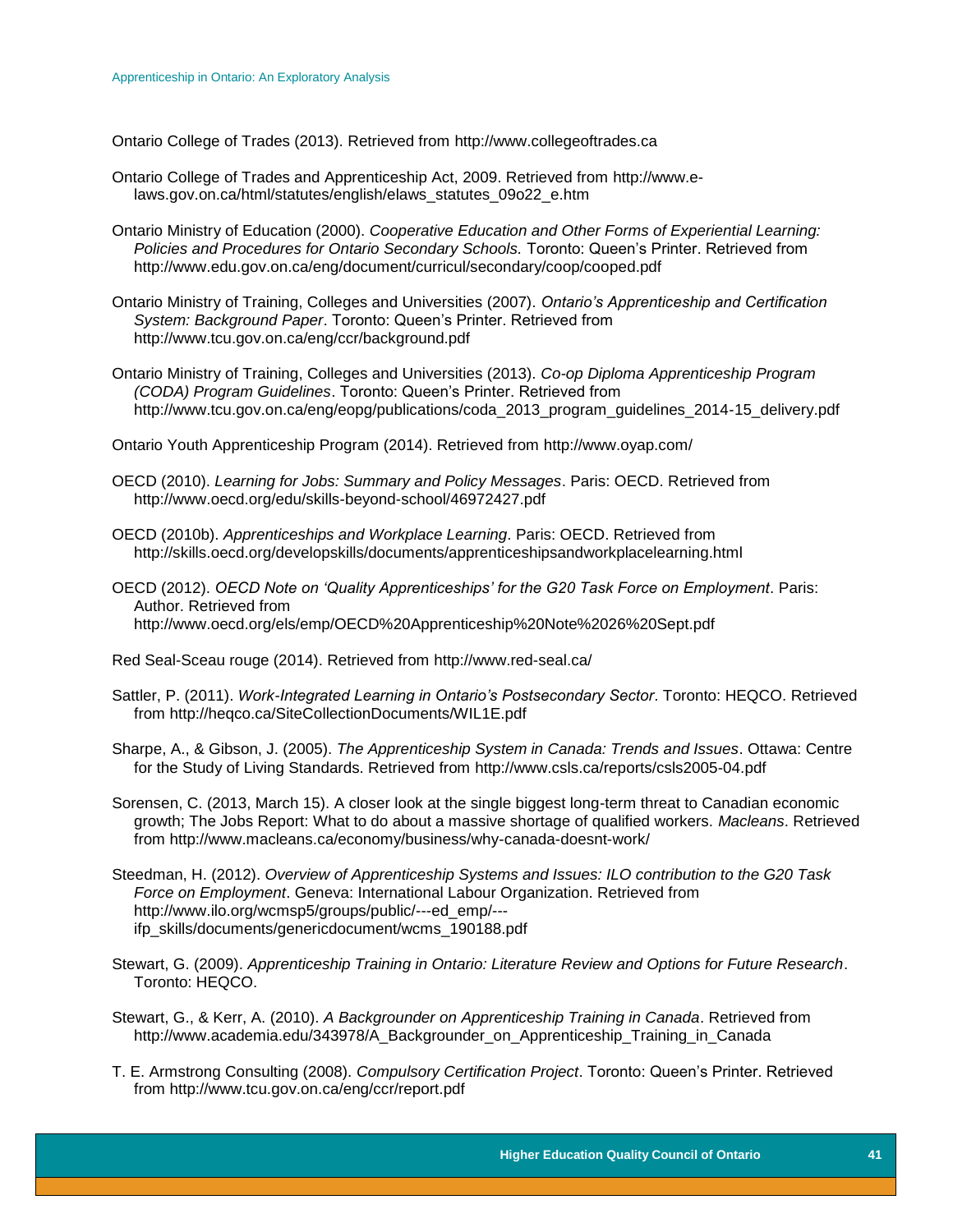Ontario College of Trades (2013). Retrieved from http://www.collegeoftrades.ca

- Ontario College of Trades and Apprenticeship Act, 2009. Retrieved from http://www.elaws.gov.on.ca/html/statutes/english/elaws\_statutes\_09o22\_e.htm
- Ontario Ministry of Education (2000). *Cooperative Education and Other Forms of Experiential Learning: Policies and Procedures for Ontario Secondary Schools.* Toronto: Queen's Printer. Retrieved from http://www.edu.gov.on.ca/eng/document/curricul/secondary/coop/cooped.pdf
- Ontario Ministry of Training, Colleges and Universities (2007). *Ontario's Apprenticeship and Certification System: Background Paper*. Toronto: Queen's Printer. Retrieved from http://www.tcu.gov.on.ca/eng/ccr/background.pdf
- Ontario Ministry of Training, Colleges and Universities (2013). *Co-op Diploma Apprenticeship Program (CODA) Program Guidelines*. Toronto: Queen's Printer. Retrieved from http://www.tcu.gov.on.ca/eng/eopg/publications/coda\_2013\_program\_guidelines\_2014-15\_delivery.pdf
- Ontario Youth Apprenticeship Program (2014). Retrieved from http://www.oyap.com/
- OECD (2010). *Learning for Jobs: Summary and Policy Messages*. Paris: OECD. Retrieved from http://www.oecd.org/edu/skills-beyond-school/46972427.pdf
- OECD (2010b). *Apprenticeships and Workplace Learning*. Paris: OECD. Retrieved from http://skills.oecd.org/developskills/documents/apprenticeshipsandworkplacelearning.html
- OECD (2012). *OECD Note on 'Quality Apprenticeships' for the G20 Task Force on Employment*. Paris: Author. Retrieved from http://www.oecd.org/els/emp/OECD%20Apprenticeship%20Note%2026%20Sept.pdf

Red Seal-Sceau rouge (2014). Retrieved from http://www.red-seal.ca/

- Sattler, P. (2011). *Work-Integrated Learning in Ontario's Postsecondary Sector*. Toronto: HEQCO. Retrieved from http://heqco.ca/SiteCollectionDocuments/WIL1E.pdf
- Sharpe, A., & Gibson, J. (2005). *The Apprenticeship System in Canada: Trends and Issues*. Ottawa: Centre for the Study of Living Standards. Retrieved from http://www.csls.ca/reports/csls2005-04.pdf
- Sorensen, C. (2013, March 15). A closer look at the single biggest long-term threat to Canadian economic growth; The Jobs Report: What to do about a massive shortage of qualified workers. *Macleans*. Retrieved from http://www.macleans.ca/economy/business/why-canada-doesnt-work/
- Steedman, H. (2012). *Overview of Apprenticeship Systems and Issues: ILO contribution to the G20 Task Force on Employment*. Geneva: International Labour Organization. Retrieved from http://www.ilo.org/wcmsp5/groups/public/---ed\_emp/-- ifp\_skills/documents/genericdocument/wcms\_190188.pdf
- Stewart, G. (2009). *Apprenticeship Training in Ontario: Literature Review and Options for Future Research*. Toronto: HEQCO.
- Stewart, G., & Kerr, A. (2010). *A Backgrounder on Apprenticeship Training in Canada*. Retrieved from http://www.academia.edu/343978/A\_Backgrounder\_on\_Apprenticeship\_Training\_in\_Canada
- T. E. Armstrong Consulting (2008). *Compulsory Certification Project*. Toronto: Queen's Printer. Retrieved from http://www.tcu.gov.on.ca/eng/ccr/report.pdf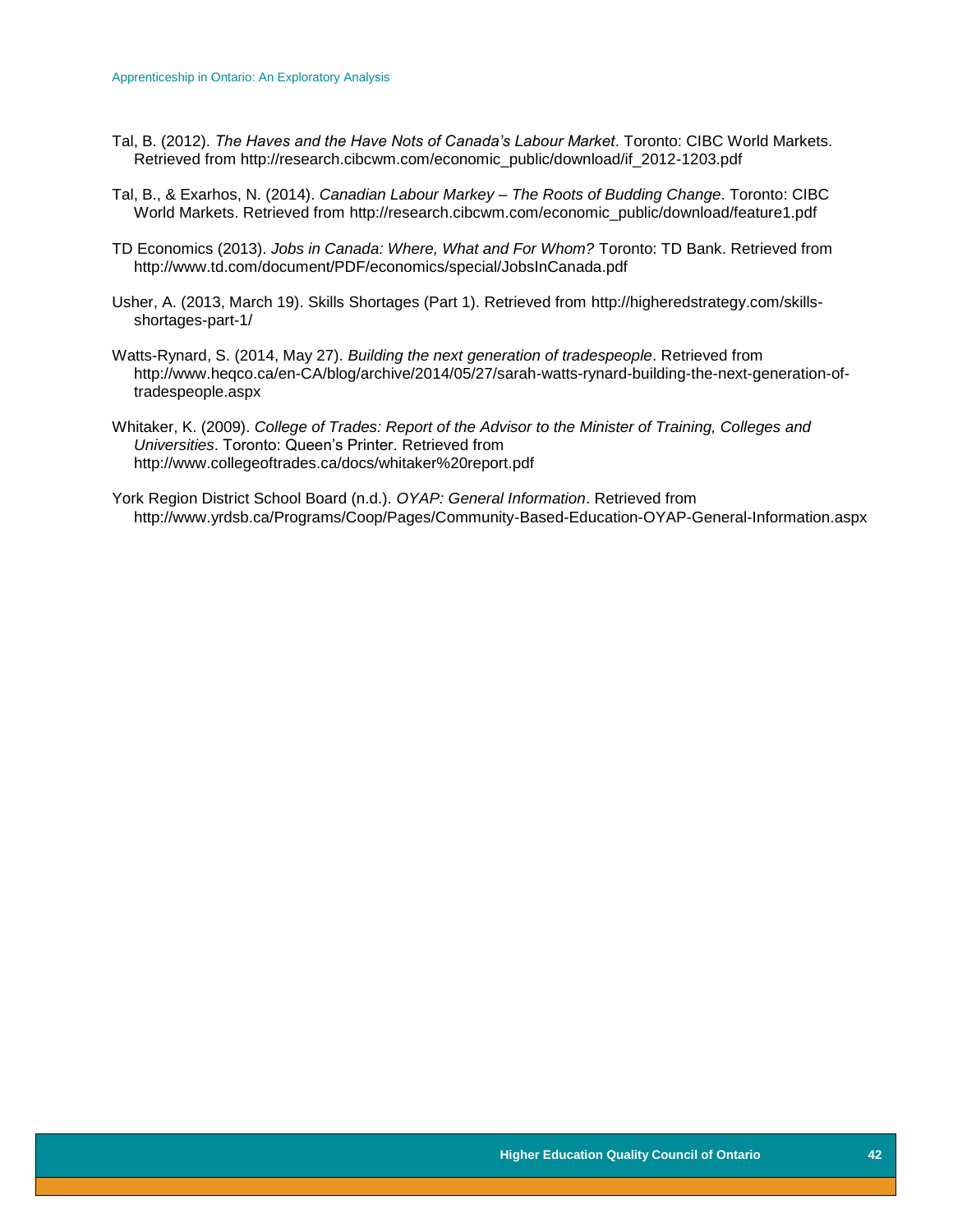- Tal, B. (2012). *The Haves and the Have Nots of Canada's Labour Market*. Toronto: CIBC World Markets. Retrieved from http://research.cibcwm.com/economic\_public/download/if\_2012-1203.pdf
- Tal, B., & Exarhos, N. (2014). *Canadian Labour Markey – The Roots of Budding Change*. Toronto: CIBC World Markets. Retrieved from http://research.cibcwm.com/economic\_public/download/feature1.pdf
- TD Economics (2013). *Jobs in Canada: Where, What and For Whom?* Toronto: TD Bank. Retrieved from http://www.td.com/document/PDF/economics/special/JobsInCanada.pdf
- Usher, A. (2013, March 19). Skills Shortages (Part 1). Retrieved from http://higheredstrategy.com/skillsshortages-part-1/
- Watts-Rynard, S. (2014, May 27). *Building the next generation of tradespeople*. Retrieved from http://www.heqco.ca/en-CA/blog/archive/2014/05/27/sarah-watts-rynard-building-the-next-generation-oftradespeople.aspx
- Whitaker, K. (2009). *College of Trades: Report of the Advisor to the Minister of Training, Colleges and Universities*. Toronto: Queen's Printer. Retrieved from http://www.collegeoftrades.ca/docs/whitaker%20report.pdf
- York Region District School Board (n.d.). *OYAP: General Information*. Retrieved from http://www.yrdsb.ca/Programs/Coop/Pages/Community-Based-Education-OYAP-General-Information.aspx